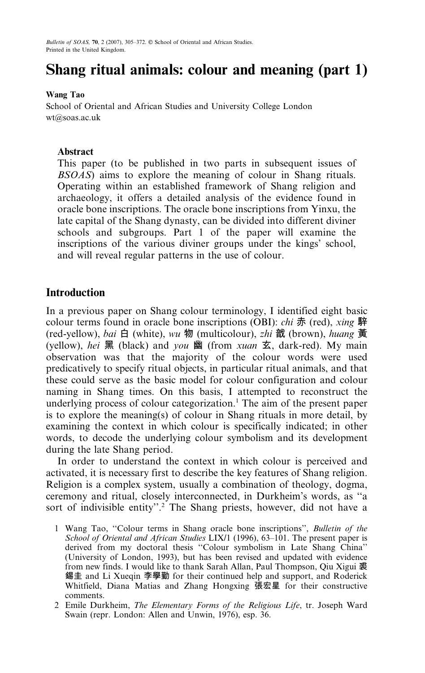# Shang ritual animals: colour and meaning (part 1)

## **Wang Tao**

School of Oriental and African Studies and University College London wt@soas.ac.uk

# Abstract

This paper (to be published in two parts in subsequent issues of *BSOAS*) aims to explore the meaning of colour in Shang rituals. Operating within an established framework of Shang religion and archaeology, it offers a detailed analysis of the evidence found in oracle bone inscriptions. The oracle bone inscriptions from Yinxu, the late capital of the Shang dynasty, can be divided into different diviner schools and subgroups. Part 1 of the paper will examine the inscriptions of the various diviner groups under the kings' school, and will reveal regular patterns in the use of colour.

# **Introduction**

In a previous paper on Shang colour terminology, I identified eight basic colour terms found in oracle bone inscriptions (OBI): *chi* 赤 (red), *xing* 騂 (red-yellow), bai 白 (white), wu 物 (multicolour), zhi 戠 (brown), huang 黃 (yellow), hei 黑 (black) and you 幽 (from xuan 玄, dark-red). My main observation was that the majority of the colour words were used predicatively to specify ritual objects, in particular ritual animals, and that these could serve as the basic model for colour configuration and colour naming in Shang times. On this basis, I attempted to reconstruct the underlying process of colour categorization.<sup>1</sup> The aim of the present paper is to explore the meaning(s) of colour in Shang rituals in more detail, by examining the context in which colour is specifically indicated; in other words, to decode the underlying colour symbolism and its development during the late Shang period.

In order to understand the context in which colour is perceived and activated, it is necessary first to describe the key features of Shang religion. Religion is a complex system, usually a combination of theology, dogma, ceremony and ritual, closely interconnected, in Durkheim's words, as "a sort of indivisible entity".<sup>2</sup> The Shang priests, however, did not have a

- 1 Wang Tao, "Colour terms in Shang oracle bone inscriptions", Bulletin of the School of Oriental and African Studies LIX/1 (1996), 63-101. The present paper is derived from my doctoral thesis "Colour symbolism in Late Shang China" (University of London, 1993), but has been revised and updated with evidence from new finds. I would like to thank Sarah Allan, Paul Thompson, Qiu Xigui 裘 錫圭 and Li Xueqin 李學勤 for their continued help and support, and Roderick Whitfield, Diana Matias and Zhang Hongxing 張宏星 for their constructive comments.
- 2 Emile Durkheim, The Elementary Forms of the Religious Life, tr. Joseph Ward Swain (repr. London: Allen and Unwin, 1976), esp. 36.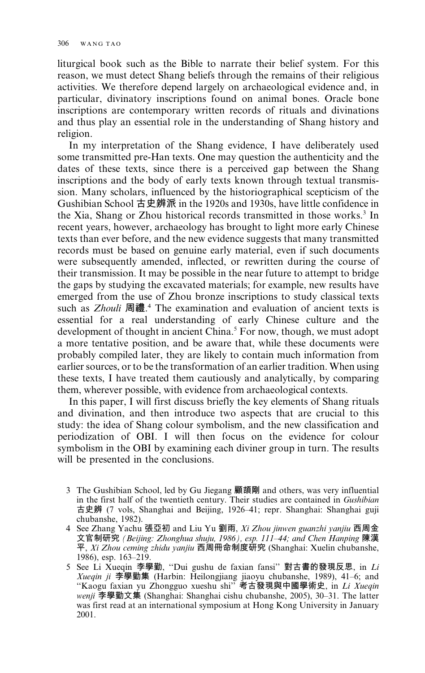liturgical book such as the Bible to narrate their belief system. For this reason, we must detect Shang beliefs through the remains of their religious activities. We therefore depend largely on archaeological evidence and, in particular, divinatory inscriptions found on animal bones. Oracle bone inscriptions are contemporary written records of rituals and divinations and thus play an essential role in the understanding of Shang history and religion.

In my interpretation of the Shang evidence, I have deliberately used some transmitted pre-Han texts. One may question the authenticity and the dates of these texts, since there is a perceived gap between the Shang inscriptions and the body of early texts known through textual transmission. Many scholars, influenced by the historiographical scepticism of the Gushibian School 古史辨派 in the 1920s and 1930s, have little confidence in the Xia, Shang or Zhou historical records transmitted in those works.<sup>3</sup> In recent years, however, archaeology has brought to light more early Chinese texts than ever before, and the new evidence suggests that many transmitted records must be based on genuine early material, even if such documents were subsequently amended, inflected, or rewritten during the course of their transmission. It may be possible in the near future to attempt to bridge the gaps by studying the excavated materials; for example, new results have emerged from the use of Zhou bronze inscriptions to study classical texts such as *Zhouli* 周禮.<sup>4</sup> The examination and evaluation of ancient texts is essential for a real understanding of early Chinese culture and the development of thought in ancient China.<sup>5</sup> For now, though, we must adopt a more tentative position, and be aware that, while these documents were probably compiled later, they are likely to contain much information from earlier sources, or to be the transformation of an earlier tradition. When using these texts. I have treated them cautiously and analytically, by comparing them, wherever possible, with evidence from archaeological contexts.

In this paper, I will first discuss briefly the key elements of Shang rituals and divination, and then introduce two aspects that are crucial to this study: the idea of Shang colour symbolism, and the new classification and periodization of OBI. I will then focus on the evidence for colour symbolism in the OBI by examining each diviner group in turn. The results will be presented in the conclusions.

- 3 The Gushibian School, led by Gu Jiegang 顧頡剛 and others, was very influential in the first half of the twentieth century. Their studies are contained in Gushibian 古史辨 (7 vols, Shanghai and Beijing, 1926–41; repr. Shanghai: Shanghai guji chubanshe, 1982).
- 4 See Zhang Yachu 張亞初 and Liu Yu 劉雨, Xi Zhou jinwen guanzhi yanjiu 西周金 文官制研究 (Beijing: Zhonghua shuju, 1986), esp. 111-44; and Chen Hanping 陳漢<br>平, Xi Zhou ceming zhidu yanjiu 西周冊命制度研究 (Shanghai: Xuelin chubanshe, 1986), esp. 163-219.
- 5 See Li Xueqin 李學勤, "Dui gushu de faxian fansi" 對古書的發現反思, in Li Xueqin ji 李學勤集 (Harbin: Heilongjiang jiaoyu chubanshe, 1989), 41–6; and "Kaogu faxian yu Zhongguo xueshu shi" 考古發現與中國學術史, in Li Xueqin wenji 李學勤文集 (Shanghai: Shanghai cishu chubanshe, 2005), 30–31. The latter was first read at an international symposium at Hong Kong University in January 2001.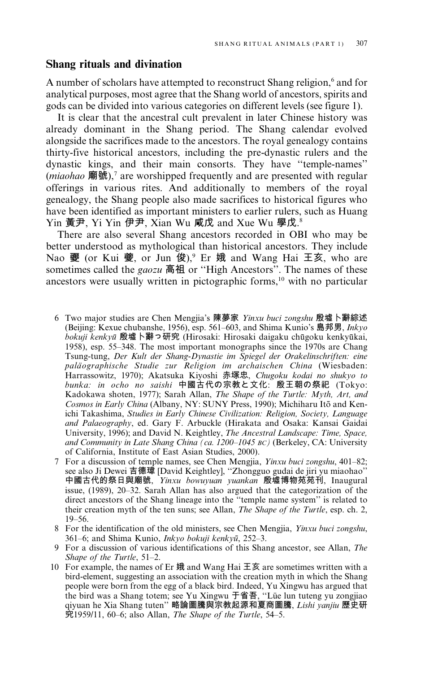## Shang rituals and divination

A number of scholars have attempted to reconstruct Shang religion,<sup>6</sup> and for analytical purposes, most agree that the Shang world of ancestors, spirits and gods can be divided into various categories on different levels (see figure 1).

It is clear that the ancestral cult prevalent in later Chinese history was already dominant in the Shang period. The Shang calendar evolved alongside the sacrifices made to the ancestors. The royal genealogy contains thirty-five historical ancestors, including the pre-dynastic rulers and the dynastic kings, and their main consorts. They have "temple-names" (*miaohao* 廟號).<sup>7</sup> are worshipped frequently and are presented with regular offerings in various rites. And additionally to members of the royal genealogy, the Shang people also made sacrifices to historical figures who have been identified as important ministers to earlier rulers, such as Huang Yin 黃尹, Yi Yin 伊尹, Xian Wu 咸戊 and Xue Wu 學戊.8

There are also several Shang ancestors recorded in OBI who may be better understood as mythological than historical ancestors. They include Nao 夒 (or Kui 夔, or Jun 俊),<sup>9</sup> Er 娥 and Wang Hai 王亥, who are sometimes called the *gaozu* 高祖 or "High Ancestors". The names of these ancestors were usually written in pictographic forms,<sup>10</sup> with no particular

- 6 Two major studies are Chen Mengjia's 陳夢家 Yinxu buci zongshu 殷墟卜辭綜述 (Beijing: Kexue chubanshe, 1956), esp. 561–603, and Shima Kunio's 島邦男, *Inkyo* bokuji kenkyū 殷墟卜辭っ研究 (Hirosaki: Hirosaki daigaku chūgoku kenkyūkai, 1958), esp. 55–348. The most important monographs since the 1970s are Chang Tsung-tung, Der Kult der Shang-Dynastie im Spiegel der Orakelinschriften: eine paläographische Studie zur Religion im archaischen China (Wiesbaden: Harrassowitz, 1970); Akatsuka Kiyoshi 赤塚忠, Chugoku kodai no shukyo to bunka: in ocho no saishi 中國古代の宗教と文化: 殷王朝の祭祀 (Tokyo: Kadokawa shoten, 1977); Sarah Allan, The Shape of the Turtle: Myth, Art, and Cosmos in Early China (Albany, NY: SUNY Press, 1990); Michiharu Itō and Kenichi Takashima, Studies in Early Chinese Civilization: Religion, Society, Language and Palaeography, ed. Gary F. Arbuckle (Hirakata and Osaka: Kansai Gaidai University, 1996); and David N. Keightley, The Ancestral Landscape: Time, Space, and Community in Late Shang China (ca. 1200-1045 BC) (Berkeley, CA: University of California, Institute of East Asian Studies, 2000).
- 7 For a discussion of temple names, see Chen Mengjia, *Yinxu buci zongshu*, 401–82; see also Ji Dewei 吉德瑋 [David Keightley], "Zhongguo gudai de jiri yu miaohao" 中國古代的祭日與廟號, Yinxu bowuyuan yuankan 殷墟博物苑苑刊, Inaugural issue, (1989), 20–32. Sarah Allan has also argued that the categorization of the direct ancestors of the Shang lineage into the "temple name system" is related to their creation myth of the ten suns; see Allan, The Shape of the Turtle, esp. ch. 2,  $19 - 56$ .
- 8 For the identification of the old ministers, see Chen Mengjia, *Yinxu buci zongshu*, 361–6; and Shima Kunio, *Inkyo bokuji kenkyū*, 252–3.
- 9 For a discussion of various identifications of this Shang ancestor, see Allan, The Shape of the Turtle, 51-2.
- 10 For example, the names of Er 娥 and Wang Hai 王亥 are sometimes written with a bird-element, suggesting an association with the creation myth in which the Shang people were born from the egg of a black bird. Indeed, Yu Xingwu has argued that the bird was a Shang totem; see Yu Xingwu 于省吾, "Lüe lun tuteng yu zongjiao qiyuan he Xia Shang tuten"略論圖騰與宗教起源和夏商圖騰, Lishi yanjiu 歷史研  $\ddot{\mathcal{R}}$ 1959/11, 60–6; also Allan, The Shape of the Turtle, 54–5.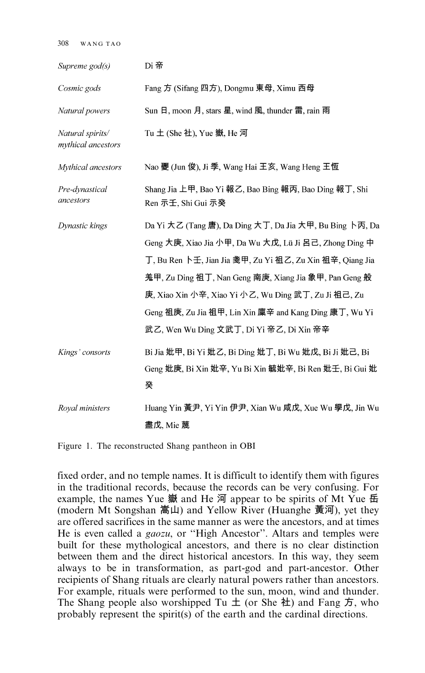$308$  WANGTAO

| Supreme god(s)                         | Di 帝                                                                                                                                                                                                                                                                                                                                                                                                   |
|----------------------------------------|--------------------------------------------------------------------------------------------------------------------------------------------------------------------------------------------------------------------------------------------------------------------------------------------------------------------------------------------------------------------------------------------------------|
| Cosmic gods                            | Fang 方 (Sifang 四方), Dongmu 東母, Ximu 西母                                                                                                                                                                                                                                                                                                                                                                 |
| Natural powers                         | Sun 日, moon 月, stars 星, wind 風, thunder 雷, rain 雨                                                                                                                                                                                                                                                                                                                                                      |
| Natural spirits/<br>mythical ancestors | Tu $\pm$ (She 社), Yue 嶽, He 河                                                                                                                                                                                                                                                                                                                                                                          |
| Mythical ancestors                     | Nao 夒 (Jun 俊), Ji 季, Wang Hai 王亥, Wang Heng 王恆                                                                                                                                                                                                                                                                                                                                                         |
| Pre-dynastical<br>ancestors            | Shang Jia 上甲, Bao Yi 報乙, Bao Bing 報丙, Bao Ding 報丁, Shi<br>Ren 示壬, Shi Gui 示癸                                                                                                                                                                                                                                                                                                                           |
| Dynastic kings                         | Da Yi 大乙 (Tang 唐), Da Ding 大丁, Da Jia 大甲, Bu Bing 卜丙, Da<br>Geng 大庚, Xiao Jia 小甲, Da Wu 大戊, Lü Ji 呂己, Zhong Ding 中<br>丁, Bu Ren 卜壬, Jian Jia 戔甲, Zu Yi 祖乙, Zu Xin 祖辛, Qiang Jia<br>羗甲, Zu Ding 祖丁, Nan Geng 南庚, Xiang Jia 象甲, Pan Geng 般<br>庚, Xiao Xin 小辛, Xiao Yi 小乙, Wu Ding 武丁, Zu Ji 祖己, Zu<br>Geng 祖庚, Zu Jia 祖甲, Lin Xin 廩辛 and Kang Ding 康丁, Wu Yi<br>武乙, Wen Wu Ding 文武丁, Di Yi 帝乙, Di Xin 帝辛 |
| Kings' consorts                        | Bi Jia 妣甲, Bi Yi 妣乙, Bi Ding 妣丁, Bi Wu 妣戊, Bi Ji 妣己, Bi<br>Geng 妣庚, Bi Xin 妣辛, Yu Bi Xin 毓妣辛, Bi Ren 妣壬, Bi Gui 妣<br>癸                                                                                                                                                                                                                                                                                 |
| Royal ministers                        | Huang Yin 黃尹, Yi Yin 伊尹, Xian Wu 咸戊, Xue Wu 學戊, Jin Wu<br>盡戊, Mie 蔑                                                                                                                                                                                                                                                                                                                                    |

Figure 1. The reconstructed Shang pantheon in OBI

fixed order, and no temple names. It is difficult to identify them with figures in the traditional records, because the records can be very confusing. For example, the names Yue 嶽 and He 河 appear to be spirits of Mt Yue 岳 (modern Mt Songshan 嵩山) and Yellow River (Huanghe 黃河), yet they are offered sacrifices in the same manner as were the ancestors, and at times He is even called a *gaozu*, or "High Ancestor". Altars and temples were built for these mythological ancestors, and there is no clear distinction between them and the direct historical ancestors. In this way, they seem always to be in transformation, as part-god and part-ancestor. Other recipients of Shang rituals are clearly natural powers rather than ancestors. For example, rituals were performed to the sun, moon, wind and thunder. The Shang people also worshipped Tu  $\pm$  (or She  $\pm$ ) and Fang  $\overline{D}$ , who probably represent the spirit(s) of the earth and the cardinal directions.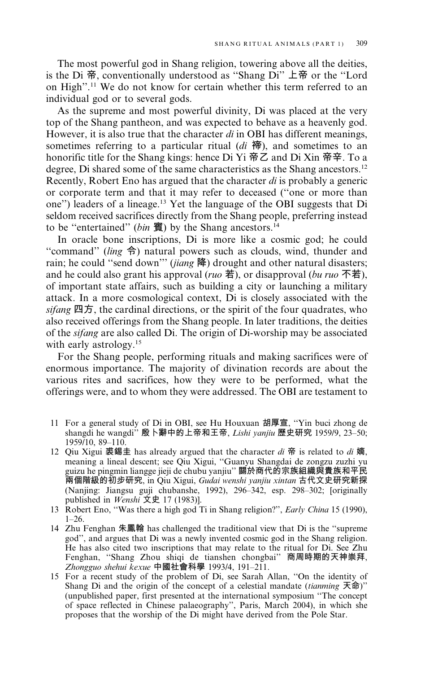The most powerful god in Shang religion, towering above all the deities. is the Di 帝, conventionally understood as "Shang Di" 上帝 or the "Lord on High".<sup>11</sup> We do not know for certain whether this term referred to an individual god or to several gods.

As the supreme and most powerful divinity, Di was placed at the very top of the Shang pantheon, and was expected to behave as a heavenly god. However, it is also true that the character  $di$  in OBI has different meanings, sometimes referring to a particular ritual  $(di \frac{\pi}{10})$ , and sometimes to an honorific title for the Shang kings: hence Di Yi  $\overline{R}Z$  and Di Xin  $\overline{R}Z$ . To a degree, Di shared some of the same characteristics as the Shang ancestors.<sup>12</sup> Recently, Robert Eno has argued that the character di is probably a generic or corporate term and that it may refer to deceased ("one or more than one") leaders of a lineage.<sup>13</sup> Yet the language of the OBI suggests that Di seldom received sacrifices directly from the Shang people, preferring instead to be "entertained" (bin 賓) by the Shang ancestors.<sup>14</sup>

In oracle bone inscriptions, Di is more like a cosmic god; he could "command" (ling  $\hat{\Theta}$ ) natural powers such as clouds, wind, thunder and rain; he could "send down" (jiang 降) drought and other natural disasters; and he could also grant his approval (*ruo*  $\ddot{\mathbf{a}}$ ), or disapproval (*bu ruo*  $\ddot{\mathbf{A}}$ ), of important state affairs, such as building a city or launching a military attack. In a more cosmological context, Di is closely associated with the sifang 四方, the cardinal directions, or the spirit of the four quadrates, who also received offerings from the Shang people. In later traditions, the deities of the *sifang* are also called Di. The origin of Di-worship may be associated with early astrology.<sup>15</sup>

For the Shang people, performing rituals and making sacrifices were of enormous importance. The majority of divination records are about the various rites and sacrifices, how they were to be performed, what the offerings were, and to whom they were addressed. The OBI are testament to

- 11 For a general study of Di in OBI, see Hu Houxuan 胡厚宣, "Yin buci zhong de shangdi he wangdi" 殷卜辭中的上帝和王帝, Lishi yanjiu 歷史研究 1959/9, 23-50; 1959/10, 89-110.
- 12 Oiu Xigui 裘錫圭 has already argued that the character di 帝 is related to di 嫡. meaning a lineal descent; see Qiu Xigui, "Guanyu Shangdai de zongzu zuzhi yu guizu he pingmin liangge jieji de chubu yanjiu" 關於商代的宗族組織與貴族和平民 兩個階級的初步研究, in Qiu Xigui, Gudai wenshi yanjiu xintan 古代文史研究新探 (Nanjing: Jiangsu guji chubanshe, 1992), 296-342, esp. 298-302; [originally published in *Wenshi* 文史 17 (1983)].
- 13 Robert Eno, "Was there a high god Ti in Shang religion?", *Early China* 15 (1990),  $1 - 26$ .
- 14 Zhu Fenghan 朱鳳翰 has challenged the traditional view that Di is the "supreme" god", and argues that Di was a newly invented cosmic god in the Shang religion. He has also cited two inscriptions that may relate to the ritual for Di. See Zhu Fenghan, "Shang Zhou shiqi de tianshen chongbai" 商周時期的天神崇拜, Zhongguo shehui kexue 中國社會科學 1993/4, 191-211.
- 15 For a recent study of the problem of Di, see Sarah Allan, "On the identity of Shang Di and the origin of the concept of a celestial mandate (tianming 天命)" (unpublished paper, first presented at the international symposium "The concept of space reflected in Chinese palaeography", Paris, March 2004), in which she proposes that the worship of the Di might have derived from the Pole Star.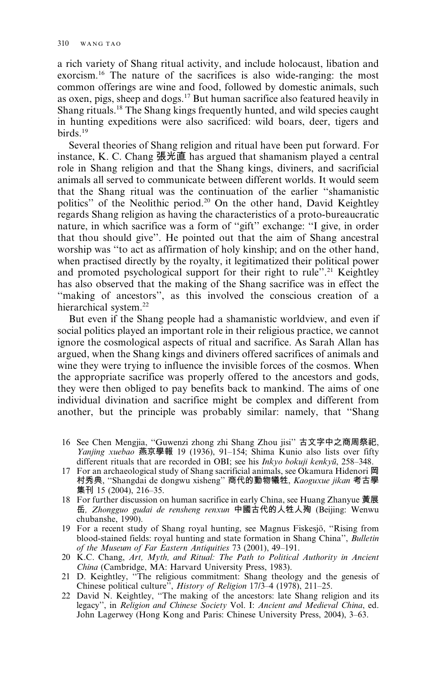a rich variety of Shang ritual activity, and include holocaust, libation and exorcism.<sup>16</sup> The nature of the sacrifices is also wide-ranging: the most common offerings are wine and food, followed by domestic animals, such as oxen, pigs, sheep and dogs.<sup>17</sup> But human sacrifice also featured heavily in Shang rituals.<sup>18</sup> The Shang kings frequently hunted, and wild species caught in hunting expeditions were also sacrificed: wild boars, deer, tigers and  $\frac{\text{birds}}{19}$ 

Several theories of Shang religion and ritual have been put forward. For instance, K. C. Chang 張光直 has argued that shamanism played a central role in Shang religion and that the Shang kings, diviners, and sacrificial animals all served to communicate between different worlds. It would seem that the Shang ritual was the continuation of the earlier "shamanistic politics" of the Neolithic period.<sup>20</sup> On the other hand, David Keightley regards Shang religion as having the characteristics of a proto-bureaucratic nature, in which sacrifice was a form of "gift" exchange: "I give, in order that thou should give". He pointed out that the aim of Shang ancestral worship was "to act as affirmation of holy kinship; and on the other hand, when practised directly by the royalty, it legitimatized their political power and promoted psychological support for their right to rule".<sup>21</sup> Keightley has also observed that the making of the Shang sacrifice was in effect the "making of ancestors", as this involved the conscious creation of a hierarchical system.<sup>22</sup>

But even if the Shang people had a shamanistic worldview, and even if social politics played an important role in their religious practice, we cannot ignore the cosmological aspects of ritual and sacrifice. As Sarah Allan has argued, when the Shang kings and diviners offered sacrifices of animals and wine they were trying to influence the invisible forces of the cosmos. When the appropriate sacrifice was properly offered to the ancestors and gods, they were then obliged to pay benefits back to mankind. The aims of one individual divination and sacrifice might be complex and different from another, but the principle was probably similar: namely, that "Shang

- 16 See Chen Mengjia, "Guwenzi zhong zhi Shang Zhou jisi" 古文字中之商周祭祀, Yanjing xuebao 燕京學報 19 (1936), 91–154; Shima Kunio also lists over fifty different rituals that are recorded in OBI; see his Inkyo bokuji kenkyū, 258-348.
- 17 For an archaeological study of Shang sacrificial animals, see Okamura Hidenori 岡 村秀典, "Shangdai de dongwu xisheng"商代的動物犧牲, Kaoguxue jikan 考古學 集刊 15 (2004), 216-35.
- 18 For further discussion on human sacrifice in early China, see Huang Zhanyue 黃展 岳, Zhongguo gudai de rensheng renxun 中國古代的人牲人殉 (Beijing: Wenwu chubanshe, 1990).
- 19 For a recent study of Shang royal hunting, see Magnus Fiskesjö, "Rising from blood-stained fields: royal hunting and state formation in Shang China", Bulletin of the Museum of Far Eastern Antiquities 73 (2001), 49-191.
- 20 K.C. Chang, Art, Myth, and Ritual: The Path to Political Authority in Ancient China (Cambridge, MA: Harvard University Press, 1983).
- 21 D. Keightley, "The religious commitment: Shang theology and the genesis of Chinese political culture", History of Religion 17/3-4 (1978), 211-25.
- 22 David N. Keightley, "The making of the ancestors: late Shang religion and its legacy", in Religion and Chinese Society Vol. I: Ancient and Medieval China, ed. John Lagerwey (Hong Kong and Paris: Chinese University Press, 2004), 3–63.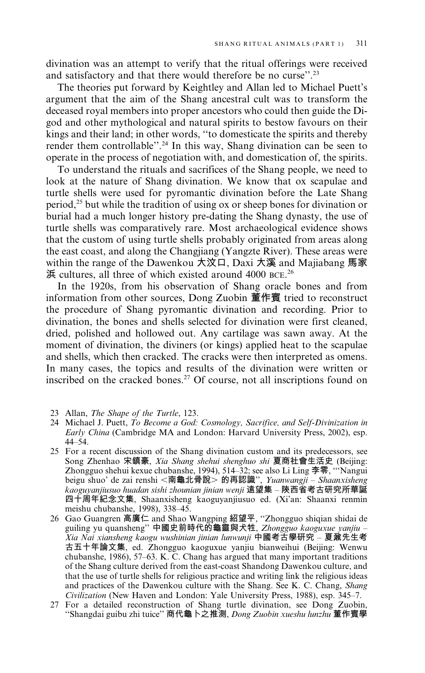divination was an attempt to verify that the ritual offerings were received and satisfactory and that there would therefore be no curse".<sup>23</sup>

The theories put forward by Keightley and Allan led to Michael Puett's argument that the aim of the Shang ancestral cult was to transform the deceased royal members into proper ancestors who could then guide the Digod and other mythological and natural spirits to bestow favours on their kings and their land; in other words, "to domesticate the spirits and thereby render them controllable".<sup>24</sup> In this way, Shang divination can be seen to operate in the process of negotiation with, and domestication of, the spirits.

To understand the rituals and sacrifices of the Shang people, we need to look at the nature of Shang divination. We know that ox scapulae and turtle shells were used for pyromantic divination before the Late Shang period,<sup>25</sup> but while the tradition of using ox or sheep bones for divination or burial had a much longer history pre-dating the Shang dynasty, the use of turtle shells was comparatively rare. Most archaeological evidence shows that the custom of using turtle shells probably originated from areas along the east coast, and along the Changjiang (Yangzte River). These areas were within the range of the Dawenkou 大汶口, Daxi 大溪 and Majiabang 馬家 浜 cultures, all three of which existed around 4000 BCE.<sup>26</sup>

In the 1920s, from his observation of Shang oracle bones and from information from other sources, Dong Zuobin 董作賓 tried to reconstruct the procedure of Shang pyromantic divination and recording. Prior to divination, the bones and shells selected for divination were first cleaned, dried, polished and hollowed out. Any cartilage was sawn away. At the moment of divination, the diviners (or kings) applied heat to the scapulae and shells, which then cracked. The cracks were then interpreted as omens. In many cases, the topics and results of the divination were written or inscribed on the cracked bones.<sup>27</sup> Of course, not all inscriptions found on

- 23 Allan, The Shape of the Turtle, 123.
- 24 Michael J. Puett, To Become a God: Cosmology, Sacrifice, and Self-Divinization in Early China (Cambridge MA and London: Harvard University Press, 2002), esp.  $44 - 54$ .
- 25 For a recent discussion of the Shang divination custom and its predecessors, see Song Zhenhao 宋鎮豪, Xia Shang shehui shenghuo shi 夏商社會生活史 (Beijing: Zhongguo shehui kexue chubanshe, 1994), 514–32; see also Li Ling 李零, "Nangui beigu shuo' de zai renshi <南龜北骨說> 的再認識", Yuanwangji - Shaanxisheng kaoguyanjiusuo huadan sishi zhounian jinian wenji 遠望集 - 陝西省考古研究所華誕 四十周年紀念文集, Shaanxisheng kaoguyanjiusuo ed. (Xi'an: Shaanxi renmin meishu chubanshe, 1998), 338-45.
- 26 Gao Guangren 高廣仁 and Shao Wangping 紹望平, "Zhongguo shiqian shidai de guiling yu quansheng" 中國史前時代的龜靈與犬牲, Zhongguo kaoguxue yanjiu -<br>Xia Nai xiansheng kaogu wushinian jinian lunwunji 中國考古學研究 – 夏鼐先生考 古五十年論文集, ed. Zhongguo kaoguxue yanjiu bianweihui (Beijing: Wenwu chubanshe, 1986), 57-63. K. C. Chang has argued that many important traditions of the Shang culture derived from the east-coast Shandong Dawenkou culture, and that the use of turtle shells for religious practice and writing link the religious ideas and practices of the Dawenkou culture with the Shang. See K. C. Chang, Shang Civilization (New Haven and London: Yale University Press, 1988), esp. 345-7.
- 27 For a detailed reconstruction of Shang turtle divination, see Dong Zuobin, "Shangdai guibu zhi tuice" 商代龜卜之推測, Dong Zuobin xueshu lunzhu 董作賓學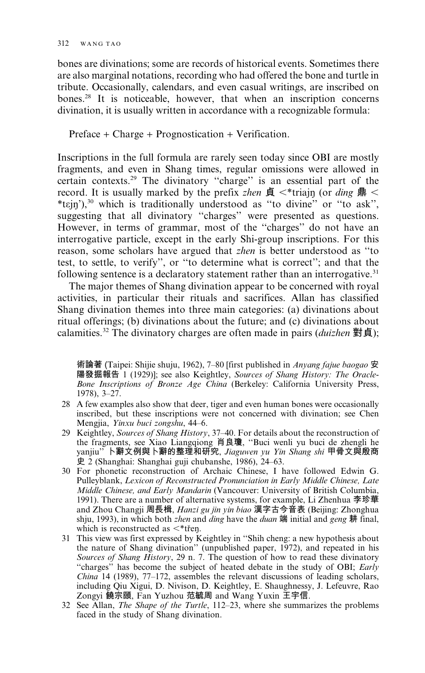bones are divinations; some are records of historical events. Sometimes there are also marginal notations, recording who had offered the bone and turtle in tribute. Occasionally, calendars, and even casual writings, are inscribed on bones.<sup>28</sup> It is noticeable, however, that when an inscription concerns divination, it is usually written in accordance with a recognizable formula:

 $Preface + Charge + Propnostication + Verification.$ 

Inscriptions in the full formula are rarely seen today since OBI are mostly fragments, and even in Shang times, regular omissions were allowed in certain contexts.<sup>29</sup> The divinatory "charge" is an essential part of the record. It is usually marked by the prefix zhen  $\oint$  <\*triain (or ding  $\oint$  < \*tɛjn'),<sup>30</sup> which is traditionally understood as "to divine" or "to ask", suggesting that all divinatory "charges" were presented as questions. However, in terms of grammar, most of the "charges" do not have an interrogative particle, except in the early Shi-group inscriptions. For this reason, some scholars have argued that *zhen* is better understood as "to test, to settle, to verify", or "to determine what is correct"; and that the following sentence is a declaratory statement rather than an interrogative.<sup>31</sup>

The major themes of Shang divination appear to be concerned with royal activities, in particular their rituals and sacrifices. Allan has classified Shang divination themes into three main categories: (a) divinations about ritual offerings; (b) divinations about the future; and (c) divinations about calamities.<sup>32</sup> The divinatory charges are often made in pairs (*duizhen* 對貞);

術論著 (Taipei: Shijie shuju, 1962), 7–80 [first published in Anyang fajue baogao 安 陽發掘報告 1 (1929)]; see also Keightley, Sources of Shang History: The Oracle-Bone Inscriptions of Bronze Age China (Berkeley: California University Press,  $1978$ ,  $3-27$ .

- 28 A few examples also show that deer, tiger and even human bones were occasionally inscribed, but these inscriptions were not concerned with divination; see Chen Mengjia, Yinxu buci zongshu, 44-6.
- 29 Keightley, Sources of Shang History, 37–40. For details about the reconstruction of the fragments, see Xiao Liangqiong 肖良瓊, "Buci wenli yu buci de zhengli he yanjiu" 卜辭文例與卜辭的整理和研究, Jiaguwen yu Yin Shang shi 甲骨文與殷商 史 2 (Shanghai: Shanghai guji chubanshe, 1986), 24–63.
- 30 For phonetic reconstruction of Archaic Chinese, I have followed Edwin G. Pulleyblank, Lexicon of Reconstructed Pronunciation in Early Middle Chinese, Late Middle Chinese, and Early Mandarin (Vancouver: University of British Columbia, 1991). There are a number of alternative systems, for example, Li Zhenhua 李珍華 and Zhou Changji 周長楫, *Hanzi gu jin yin biao* 漢字古今音表 (Beijing: Zhonghua shju, 1993), in which both *zhen* and *ding* have the *duan*  $\ddot{\mathbf{m}}$  initial and *geng* # final, which is reconstructed as  $\lt^*$ třen.
- 31 This view was first expressed by Keightley in "Shih cheng: a new hypothesis about the nature of Shang divination" (unpublished paper, 1972), and repeated in his Sources of Shang History, 29 n. 7. The question of how to read these divinatory "charges" has become the subject of heated debate in the study of OBI; Early *China* 14 (1989),  $77-172$ , assembles the relevant discussions of leading scholars, including Qiu Xigui, D. Nivison, D. Keightley, E. Shaughnessy, J. Lefeuvre, Rao Zongyi 饒宗頤, Fan Yuzhou 范毓周 and Wang Yuxin 王宇信.
- 32 See Allan, The Shape of the Turtle, 112-23, where she summarizes the problems faced in the study of Shang divination.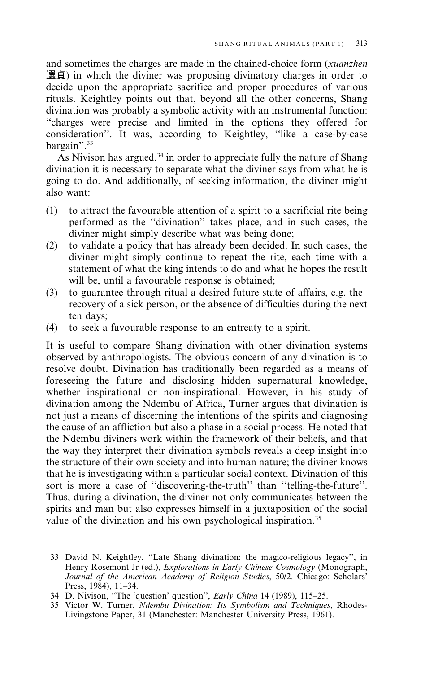and sometimes the charges are made in the chained-choice form (*xuanzhen*) 選貞) in which the diviner was proposing divinatory charges in order to decide upon the appropriate sacrifice and proper procedures of various rituals. Keightley points out that, beyond all the other concerns, Shang divination was probably a symbolic activity with an instrumental function: "charges were precise and limited in the options they offered for consideration". It was, according to Keightley, "like a case-by-case bargain".<sup>33</sup>

As Nivison has argued,<sup>34</sup> in order to appreciate fully the nature of Shang divination it is necessary to separate what the diviner says from what he is going to do. And additionally, of seeking information, the diviner might also want:

- $(1)$ to attract the favourable attention of a spirit to a sacrificial rite being performed as the "divination" takes place, and in such cases, the diviner might simply describe what was being done;
- to validate a policy that has already been decided. In such cases, the  $(2)$ diviner might simply continue to repeat the rite, each time with a statement of what the king intends to do and what he hopes the result will be, until a favourable response is obtained;
- to guarantee through ritual a desired future state of affairs, e.g. the  $(3)$ recovery of a sick person, or the absence of difficulties during the next ten days:
- $(4)$ to seek a favourable response to an entreaty to a spirit.

It is useful to compare Shang divination with other divination systems observed by anthropologists. The obvious concern of any divination is to resolve doubt. Divination has traditionally been regarded as a means of foreseeing the future and disclosing hidden supernatural knowledge, whether inspirational or non-inspirational. However, in his study of divination among the Ndembu of Africa, Turner argues that divination is not just a means of discerning the intentions of the spirits and diagnosing the cause of an affliction but also a phase in a social process. He noted that the Ndembu diviners work within the framework of their beliefs, and that the way they interpret their divination symbols reveals a deep insight into the structure of their own society and into human nature; the diviner knows that he is investigating within a particular social context. Divination of this sort is more a case of "discovering-the-truth" than "telling-the-future". Thus, during a divination, the diviner not only communicates between the spirits and man but also expresses himself in a juxtaposition of the social value of the divination and his own psychological inspiration.<sup>35</sup>

- 33 David N. Keightley, "Late Shang divination: the magico-religious legacy", in Henry Rosemont Jr (ed.), Explorations in Early Chinese Cosmology (Monograph, Journal of the American Academy of Religion Studies, 50/2. Chicago: Scholars' Press, 1984), 11-34.
- 34 D. Nivison, "The 'question' question", Early China 14 (1989), 115-25.
- 35 Victor W. Turner, *Ndembu Divination: Its Symbolism and Techniques*, Rhodes-<br>Livingstone Paper, 31 (Manchester: Manchester University Press, 1961).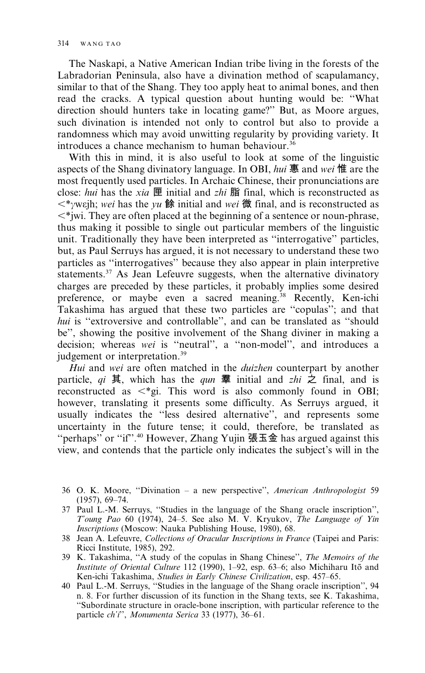The Naskapi, a Native American Indian tribe living in the forests of the Labradorian Peninsula, also have a divination method of scapulamancy, similar to that of the Shang. They too apply heat to animal bones, and then read the cracks. A typical question about hunting would be: "What direction should hunters take in locating game?" But, as Moore argues, such divination is intended not only to control but also to provide a randomness which may avoid unwitting regularity by providing variety. It introduces a chance mechanism to human behaviour.<sup>36</sup>

With this in mind, it is also useful to look at some of the linguistic aspects of the Shang divinatory language. In OBI, hui 惠 and wei 惟 are the most frequently used particles. In Archaic Chinese, their pronunciations are close: hui has the xia  $\mathbb E$  initial and zhi  $\mathbb H$  final, which is reconstructed as  $\langle \mathcal{L}^* \rangle$  weight, wei has the vu 餘 initial and wei 微 final, and is reconstructed as  $\langle \mathbf{r}^*$  wi. They are often placed at the beginning of a sentence or noun-phrase, thus making it possible to single out particular members of the linguistic unit. Traditionally they have been interpreted as "interrogative" particles, but, as Paul Serruys has argued, it is not necessary to understand these two particles as "interrogatives" because they also appear in plain interpretive statements.<sup>37</sup> As Jean Lefeuvre suggests, when the alternative divinatory charges are preceded by these particles, it probably implies some desired preference, or maybe even a sacred meaning.<sup>38</sup> Recently, Ken-ichi Takashima has argued that these two particles are "copulas"; and that hui is "extroversive and controllable", and can be translated as "should be", showing the positive involvement of the Shang diviner in making a decision; whereas wei is "neutral", a "non-model", and introduces a judgement or interpretation.<sup>39</sup>

Hui and wei are often matched in the *duizhen* counterpart by another particle, qi 其, which has the qun 羣 initial and zhi 之 final, and is reconstructed as  $\langle \text{*gi. This word is also commonly found in OBI}\rangle$ however, translating it presents some difficulty. As Serruys argued, it usually indicates the "less desired alternative", and represents some uncertainty in the future tense; it could, therefore, be translated as "perhaps" or "if".<sup>40</sup> However, Zhang Yujin 張玉金 has argued against this view, and contends that the particle only indicates the subject's will in the

- 36 O. K. Moore, "Divination a new perspective", American Anthropologist 59  $(1957), 69-74.$
- 37 Paul L.-M. Serruys, "Studies in the language of the Shang oracle inscription", T'oung Pao 60 (1974), 24–5. See also M. V. Kryukov, The Language of Yin *Inscriptions* (Moscow: Nauka Publishing House, 1980), 68.
- 38 Jean A. Lefeuvre, Collections of Oracular Inscriptions in France (Taipei and Paris: Ricci Institute, 1985), 292.
- 39 K. Takashima, "A study of the copulas in Shang Chinese", The Memoirs of the *Institute of Oriental Culture 112 (1990), 1–92, esp. 63–6; also Michiharu Itō and* Ken-ichi Takashima, Studies in Early Chinese Civilization, esp. 457-65.
- 40 Paul L.-M. Serruys, "Studies in the language of the Shang oracle inscription", 94 n. 8. For further discussion of its function in the Shang texts, see K. Takashima, "Subordinate structure in oracle-bone inscription, with particular reference to the particle ch'i", Monumenta Serica 33 (1977), 36-61.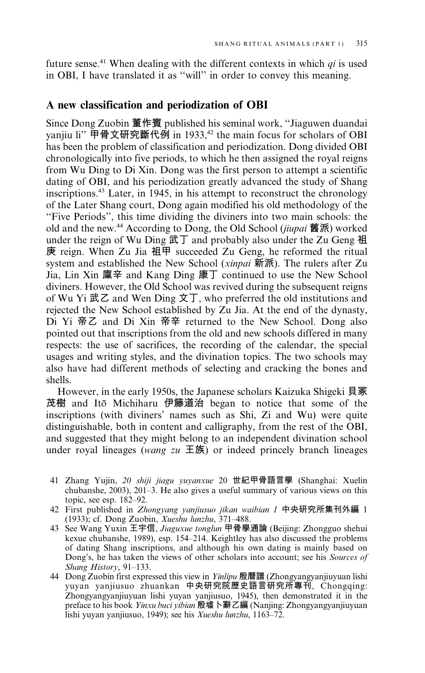future sense.<sup>41</sup> When dealing with the different contexts in which  $qi$  is used in OBI, I have translated it as "will" in order to convey this meaning.

## A new classification and periodization of OBI

Since Dong Zuobin 董作賓 published his seminal work, "Jiaguwen duandai" yanjiu li" 甲骨文研究斷代例 in 1933,<sup>42</sup> the main focus for scholars of OBI has been the problem of classification and periodization. Dong divided OBI chronologically into five periods, to which he then assigned the royal reigns from Wu Ding to Di Xin. Dong was the first person to attempt a scientific dating of OBI, and his periodization greatly advanced the study of Shang inscriptions.<sup>43</sup> Later, in 1945, in his attempt to reconstruct the chronology of the Later Shang court, Dong again modified his old methodology of the "Five Periods", this time dividing the diviners into two main schools: the old and the new.<sup>44</sup> According to Dong, the Old School (*jiupai*  $\mathbf{\tilde{g}}(\tilde{m})$  worked under the reign of Wu Ding 武丁 and probably also under the Zu Geng 祖 庚 reign. When Zu Jia 祖甲 succeeded Zu Geng, he reformed the ritual system and established the New School (xinpai 新派). The rulers after Zu Jia, Lin Xin 廩辛 and Kang Ding 康丁 continued to use the New School diviners. However, the Old School was revived during the subsequent reigns of Wu Yi 武乙 and Wen Ding 文丁, who preferred the old institutions and rejected the New School established by Zu Jia. At the end of the dynasty, Di Yi 帝乙 and Di Xin 帝辛 returned to the New School. Dong also pointed out that inscriptions from the old and new schools differed in many respects: the use of sacrifices, the recording of the calendar, the special usages and writing styles, and the divination topics. The two schools may also have had different methods of selecting and cracking the bones and shells.

However, in the early 1950s, the Japanese scholars Kaizuka Shigeki 貝冢 茂樹 and Itō Michiharu 伊籐道治 began to notice that some of the inscriptions (with diviners' names such as Shi, Zi and Wu) were quite distinguishable, both in content and calligraphy, from the rest of the OBI, and suggested that they might belong to an independent divination school under royal lineages (wang zu  $\pm \frac{1}{\sqrt{2}}$ ) or indeed princely branch lineages

- 41 Zhang Yujin, 20 shiji jiagu yuyanxue 20 世紀甲骨語言學 (Shanghai: Xuelin chubanshe,  $2003$ ),  $201-3$ . He also gives a useful summary of various views on this topic, see esp. 182-92.
- 42 First published in Zhongyang yanjiusuo jikan waibian 1 中央研究所集刊外編 1 (1933); cf. Dong Zuobin, *Xueshu lunzhu*, 371-488.
- 43 See Wang Yuxin 王宇信, Jiaguxue tonglun 甲骨學通論 (Beijing: Zhongguo shehui kexue chubanshe, 1989), esp. 154-214. Keightley has also discussed the problems of dating Shang inscriptions, and although his own dating is mainly based on Dong's, he has taken the views of other scholars into account; see his Sources of Shang History, 91-133.
- 44 Dong Zuobin first expressed this view in *Yinlipu* 殷曆譜 (Zhongyangyanjiuyuan lishi yuyan yanjiusuo zhuankan 中央研究院歷史語言研究所專刊, Chongqing: Zhongyangyanjiuyuan lishi yuyan yanjiusuo, 1945), then demonstrated it in the preface to his book *Yinxu buci yibian* 殷墟卜辭乙編 (Nanjing: Zhongyangyanjiuyuan lishi yuyan yanjiusuo, 1949); see his *Xueshu lunzhu*, 1163–72.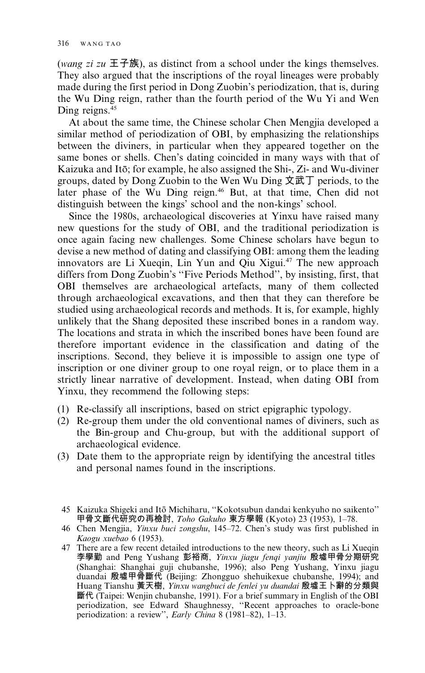(wang zi zu  $\pm \pm \frac{2}{3}$ ), as distinct from a school under the kings themselves. They also argued that the inscriptions of the royal lineages were probably made during the first period in Dong Zuobin's periodization, that is, during the Wu Ding reign, rather than the fourth period of the Wu Yi and Wen Ding reigns.<sup>45</sup>

At about the same time, the Chinese scholar Chen Mengjia developed a similar method of periodization of OBI, by emphasizing the relationships between the diviners, in particular when they appeared together on the same bones or shells. Chen's dating coincided in many ways with that of Kaizuka and Itō; for example, he also assigned the Shi-, Zi- and Wu-diviner groups, dated by Dong Zuobin to the Wen Wu Ding 文武丁 periods, to the later phase of the Wu Ding reign.<sup>46</sup> But, at that time, Chen did not distinguish between the kings' school and the non-kings' school.

Since the 1980s, archaeological discoveries at Yinxu have raised many new questions for the study of OBI, and the traditional periodization is once again facing new challenges. Some Chinese scholars have begun to devise a new method of dating and classifying OBI: among them the leading innovators are Li Xueqin, Lin Yun and Qiu Xigui.<sup>47</sup> The new approach differs from Dong Zuobin's "Five Periods Method", by insisting, first, that OBI themselves are archaeological artefacts, many of them collected through archaeological excavations, and then that they can therefore be studied using archaeological records and methods. It is, for example, highly unlikely that the Shang deposited these inscribed bones in a random way. The locations and strata in which the inscribed bones have been found are therefore important evidence in the classification and dating of the inscriptions. Second, they believe it is impossible to assign one type of inscription or one diviner group to one royal reign, or to place them in a strictly linear narrative of development. Instead, when dating OBI from Yinxu, they recommend the following steps:

- (1) Re-classify all inscriptions, based on strict epigraphic typology.
- (2) Re-group them under the old conventional names of diviners, such as the Bin-group and Chu-group, but with the additional support of archaeological evidence.
- (3) Date them to the appropriate reign by identifying the ancestral titles and personal names found in the inscriptions.
	- 45 Kaizuka Shigeki and Itō Michiharu, "Kokotsubun dandai kenkyuho no saikento" 甲骨文斷代研究の再檢討, Toho Gakuho 東方學報 (Kyoto) 23 (1953), 1–78.
	- 46 Chen Mengjia, Yinxu buci zongshu, 145-72. Chen's study was first published in Kaogu xuebao 6 (1953).
	- 47 There are a few recent detailed introductions to the new theory, such as Li Xueqin 李學勤 and Peng Yushang 彭裕商, Yinxu jiagu fenqi yanjiu 殷墟甲骨分期研究 (Shanghai: Shanghai guji chubanshe, 1996); also Peng Yushang, Yinxu jiagu duandai 殷墟甲骨斷代 (Beijing: Zhongguo shehuikexue chubanshe, 1994); and Huang Tianshu 黃天樹, Yinxu wangbuci de fenlei yu duandai 殷墟王卜辭的分類與 斷代 (Taipei: Wenjin chubanshe, 1991). For a brief summary in English of the OBI periodization, see Edward Shaughnessy, "Recent approaches to oracle-bone periodization: a review", *Early China* 8 (1981–82), 1–13.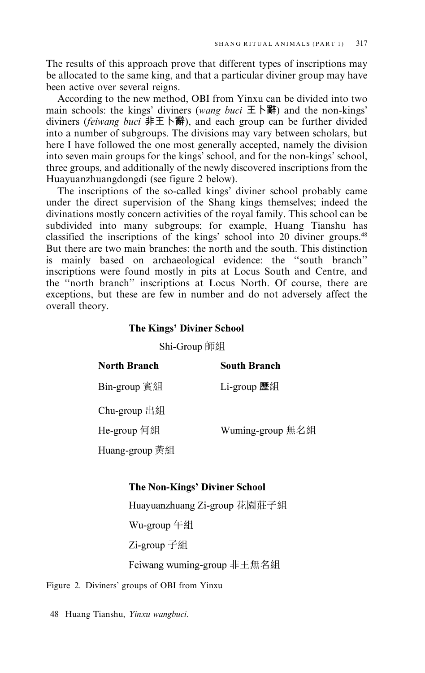The results of this approach prove that different types of inscriptions may be allocated to the same king, and that a particular diviner group may have been active over several reigns.

According to the new method, OBI from Yinxu can be divided into two main schools: the kings' diviners (wang buci  $\pm \rightarrow \mathbb{R}$ ) and the non-kings' diviners (feiwang buci  $#E \upharpoonright H$ ), and each group can be further divided into a number of subgroups. The divisions may vary between scholars, but here I have followed the one most generally accepted, namely the division into seven main groups for the kings' school, and for the non-kings' school, three groups, and additionally of the newly discovered inscriptions from the Huayuanzhuangdongdi (see figure 2 below).

The inscriptions of the so-called kings' diviner school probably came under the direct supervision of the Shang kings themselves; indeed the divinations mostly concern activities of the royal family. This school can be subdivided into many subgroups; for example, Huang Tianshu has classified the inscriptions of the kings' school into 20 diviner groups.<sup>48</sup> But there are two main branches: the north and the south. This distinction is mainly based on archaeological evidence: the "south branch" inscriptions were found mostly in pits at Locus South and Centre, and the "north branch" inscriptions at Locus North. Of course, there are exceptions, but these are few in number and do not adversely affect the overall theory.

### **The Kings' Diviner School**

Shi-Group 師組

| North Branch   | South Branch     |
|----------------|------------------|
| Bin-group 賓組   | Li-group 歷組      |
| Chu-group 出組   |                  |
| He-group 何組    | Wuming-group 無名組 |
| Huang-group 黃組 |                  |

#### **The Non-Kings' Diviner School**

Huayuanzhuang Zi-group 花園莊子組 Wu-group 午組 Zi-group 子組 Feiwang wuming-group 非王無名組

Figure 2. Diviners' groups of OBI from Yinxu

48 Huang Tianshu, Yinxu wangbuci.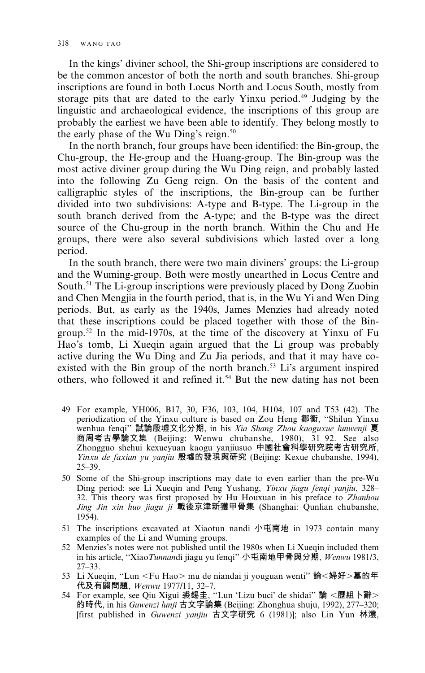In the kings' diviner school, the Shi-group inscriptions are considered to be the common ancestor of both the north and south branches. Shi-group inscriptions are found in both Locus North and Locus South, mostly from storage pits that are dated to the early Yinxu period.<sup>49</sup> Judging by the linguistic and archaeological evidence, the inscriptions of this group are probably the earliest we have been able to identify. They belong mostly to the early phase of the Wu Ding's reign.<sup>50</sup>

In the north branch, four groups have been identified: the Bin-group, the Chu-group, the He-group and the Huang-group. The Bin-group was the most active diviner group during the Wu Ding reign, and probably lasted into the following Zu Geng reign. On the basis of the content and calligraphic styles of the inscriptions, the Bin-group can be further divided into two subdivisions: A-type and B-type. The Li-group in the south branch derived from the A-type; and the B-type was the direct source of the Chu-group in the north branch. Within the Chu and He groups, there were also several subdivisions which lasted over a long period.

In the south branch, there were two main diviners' groups: the Li-group and the Wuming-group. Both were mostly unearthed in Locus Centre and South.<sup>51</sup> The Li-group inscriptions were previously placed by Dong Zuobin and Chen Mengiia in the fourth period, that is, in the Wu Yi and Wen Ding periods. But, as early as the 1940s, James Menzies had already noted that these inscriptions could be placed together with those of the Bingroup.<sup>52</sup> In the mid-1970s, at the time of the discovery at Yinxu of Fu Hao's tomb, Li Xueqin again argued that the Li group was probably active during the Wu Ding and Zu Jia periods, and that it may have coexisted with the Bin group of the north branch.<sup>53</sup> Li's argument inspired others, who followed it and refined it.<sup>54</sup> But the new dating has not been

- 49 For example, YH006, B17, 30, F36, 103, 104, H104, 107 and T53 (42). The periodization of the Yinxu culture is based on Zou Heng 鄒衡, "Shilun Yinxu wenhua fenqi" 試論殷墟文化分期, in his Xia Shang Zhou kaoguxue lunwenji 夏 商周考古學論文集 (Beijing: Wenwu chubanshe, 1980), 31-92. See also Zhongguo shehui kexueyuan kaogu yanjiusuo 中國社會科學研究院考古研究所, Yinxu de faxian yu yanjiu 殷墟的發現與研究 (Beijing: Kexue chubanshe, 1994),  $25 - 39.$
- 50 Some of the Shi-group inscriptions may date to even earlier than the pre-Wu Ding period; see Li Xueqin and Peng Yushang, Yinxu jiagu fenqi yanjiu, 328-32. This theory was first proposed by Hu Houxuan in his preface to Zhanhou Jing Jin xin huo jiagu ji 戰後京津新獲甲骨集 (Shanghai: Qunlian chubanshe, 1954).
- 51 The inscriptions excavated at Xiaotun nandi 小屯南地 in 1973 contain many examples of the Li and Wuming groups.
- 52 Menzies's notes were not published until the 1980s when Li Xueqin included them in his article, "Xiao Tunnandi jiagu yu fenqi" 小屯南地甲骨與分期, Wenwu 1981/3,  $27 - 33.$
- 53 Li Xueqin, "Lun <Fu Hao> mu de niandai ji youguan wenti" 論<婦好>墓的年 代及有關問題, Wenwu 1977/11, 32-7.
- 54 For example, see Qiu Xigui 裘錫圭, "Lun 'Lizu buci' de shidai" 論 <歷組卜辭> 的時代, in his Guwenzi lunji 古文字論集 (Beijing: Zhonghua shuju, 1992), 277-320; [first published in Guwenzi yanjiu 古文字研究 6 (1981)]; also Lin Yun 林澐,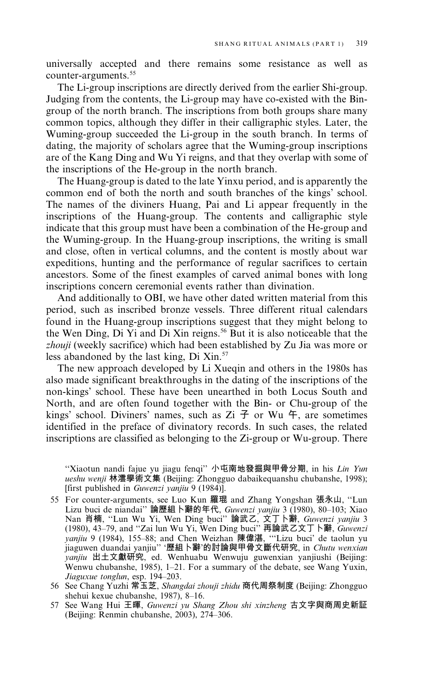universally accepted and there remains some resistance as well as counter-arguments.<sup>55</sup>

The Li-group inscriptions are directly derived from the earlier Shi-group. Judging from the contents, the Li-group may have co-existed with the Bingroup of the north branch. The inscriptions from both groups share many common topics, although they differ in their calligraphic styles. Later, the Wuming-group succeeded the Li-group in the south branch. In terms of dating, the majority of scholars agree that the Wuming-group inscriptions are of the Kang Ding and Wu Yi reigns, and that they overlap with some of the inscriptions of the He-group in the north branch.

The Huang-group is dated to the late Yinxu period, and is apparently the common end of both the north and south branches of the kings' school. The names of the diviners Huang, Pai and Li appear frequently in the inscriptions of the Huang-group. The contents and calligraphic style indicate that this group must have been a combination of the He-group and the Wuming-group. In the Huang-group inscriptions, the writing is small and close, often in vertical columns, and the content is mostly about war expeditions, hunting and the performance of regular sacrifices to certain ancestors. Some of the finest examples of carved animal bones with long inscriptions concern ceremonial events rather than divination.

And additionally to OBI, we have other dated written material from this period, such as inscribed bronze vessels. Three different ritual calendars found in the Huang-group inscriptions suggest that they might belong to the Wen Ding, Di Yi and Di Xin reigns.<sup>56</sup> But it is also noticeable that the zhouji (weekly sacrifice) which had been established by Zu Jia was more or less abandoned by the last king, Di Xin.<sup>57</sup>

The new approach developed by Li Xueqin and others in the 1980s has also made significant breakthroughs in the dating of the inscriptions of the non-kings' school. These have been unearthed in both Locus South and North, and are often found together with the Bin- or Chu-group of the kings' school. Diviners' names, such as  $Zi \nightharpoondown Y$  or Wu  $\uparrow$ , are sometimes identified in the preface of divinatory records. In such cases, the related inscriptions are classified as belonging to the Zi-group or Wu-group. There

"Xiaotun nandi fajue yu jiagu fenqi" 小屯南地發掘與甲骨分期, in his Lin Yun ueshu wenji 林澐學術文集 (Beijing: Zhongguo dabaikequanshu chubanshe, 1998); [first published in *Guwenzi yanjiu* 9 (1984)].

- 55 For counter-arguments, see Luo Kun 羅琨 and Zhang Yongshan 張永山, "Lun Lizu buci de niandai" 論歷組卜辭的年代, Guwenzi yanjiu 3 (1980), 80–103; Xiao Nan 肖楠, "Lun Wu Yi, Wen Ding buci" 論武乙, 文丁卜辭, Guwenzi yanjiu 3 (1980), 43–79, and "Zai lun Wu Yi, Wen Ding buci" 再論武乙文丁卜辭, Guwenzi<br>
yanjiu 9 (1984), 155–88; and Chen Weizhan 陳偉湛, "Lizu buci' de taolun yu jiaguwen duandai yanjiu" '歷組卜辭'的討論與甲骨文斷代研究, in Chutu wenxian yanjiu 出土文獻研究, ed. Wenhuabu Wenwuju guwenxian yanjiushi (Beijing: Wenwu chubanshe, 1985), 1-21. For a summary of the debate, see Wang Yuxin, Jiaguxue tonglun, esp. 194-203.
- 56 See Chang Yuzhi 常玉芝, Shangdai zhouji zhidu 商代周祭制度 (Beijing: Zhongguo shehui kexue chubanshe, 1987), 8-16.
- 57 See Wang Hui 王暉, Guwenzi yu Shang Zhou shi xinzheng 古文字與商周史新証 (Beijing: Renmin chubanshe, 2003), 274–306.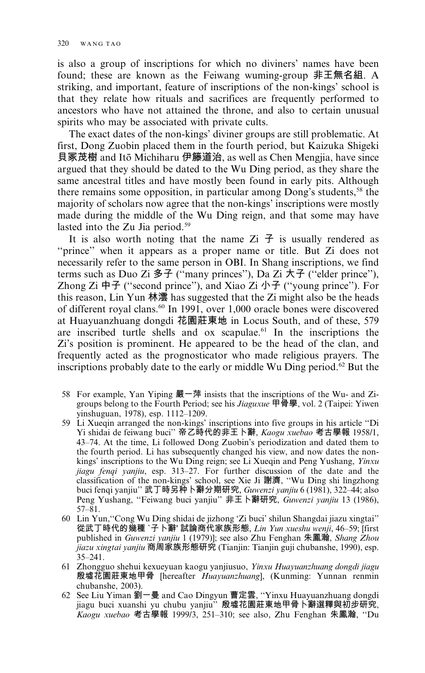is also a group of inscriptions for which no diviners' names have been found; these are known as the Feiwang wuming-group 非王無名組. A striking, and important, feature of inscriptions of the non-kings' school is that they relate how rituals and sacrifices are frequently performed to ancestors who have not attained the throne, and also to certain unusual spirits who may be associated with private cults.

The exact dates of the non-kings' diviner groups are still problematic. At first, Dong Zuobin placed them in the fourth period, but Kaizuka Shigeki 貝冢茂樹 and Itō Michiharu 伊籐道治, as well as Chen Mengjia, have since argued that they should be dated to the Wu Ding period, as they share the same ancestral titles and have mostly been found in early pits. Although there remains some opposition, in particular among Dong's students,<sup>58</sup> the majority of scholars now agree that the non-kings' inscriptions were mostly made during the middle of the Wu Ding reign, and that some may have lasted into the Zu Jia period.<sup>59</sup>

It is also worth noting that the name  $\mathbb{Z}$  is usually rendered as "prince" when it appears as a proper name or title. But Zi does not necessarily refer to the same person in OBI. In Shang inscriptions, we find terms such as Duo Zi 多子 ("many princes"), Da Zi 大子 ("elder prince"), Zhong Zi  $\overline{P}$  ("second prince"), and Xiao Zi  $\overline{P}$  ("young prince"). For this reason, Lin Yun 林澐 has suggested that the Zi might also be the heads of different royal clans.<sup>60</sup> In 1991, over 1,000 oracle bones were discovered at Huayuanzhuang dongdi 花園莊東地 in Locus South, and of these, 579 are inscribed turtle shells and ox scapulae.<sup>61</sup> In the inscriptions the Zi's position is prominent. He appeared to be the head of the clan, and frequently acted as the prognosticator who made religious prayers. The inscriptions probably date to the early or middle Wu Ding period.<sup>62</sup> But the

- 58 For example, Yan Yiping 嚴一萍 insists that the inscriptions of the Wu- and Zigroups belong to the Fourth Period; see his *Jiaguxue* 甲骨學, vol. 2 (Taipei: Yiwen yinshuguan, 1978), esp. 1112-1209.
- 59 Li Xueqin arranged the non-kings' inscriptions into five groups in his article "Di Yi shidai de feiwang buci"帝乙時代的非王卜辭, Kaogu xuebao 考古學報 1958/1, 43-74. At the time, Li followed Dong Zuobin's periodization and dated them to the fourth period. Li has subsequently changed his view, and now dates the nonkings' inscriptions to the Wu Ding reign; see Li Xueqin and Peng Yushang, Yinxu jiagu fenqi yanjiu, esp. 313-27. For further discussion of the date and the classification of the non-kings' school, see Xie Ji 謝濟, "Wu Ding shi lingzhong buci fenqi yanjiu" 武丁時另种卜辭分期研究, Guwenzi yanjiu 6 (1981), 322-44; also Peng Yushang, "Feiwang buci yanjiu" 非王卜辭研究, Guwenzi yanjiu 13 (1986),  $57 - 81$ .
- 60 Lin Yun, "Cong Wu Ding shidai de jizhong 'Zi buci' shilun Shangdai jiazu xingtai" 從武丁時代的幾種 `子卜辭' 試論商代家族形態, Lin Yun xueshu wenji, 46-59; Ifirst published in Guwenzi yanjiu 1 (1979)]; see also Zhu Fenghan 朱鳳瀚, Shang Zhou jiazu xingtai yanjiu 商周家族形態研究 (Tianjin: Tianjin guji chubanshe, 1990), esp.  $35 - 241$ .
- 61 Zhongguo shehui kexueyuan kaogu yanjiusuo, Yinxu Huayuanzhuang dongdi jiagu 殷墟花園莊東地甲骨 [hereafter *Huayuanzhuang*], (Kunming: Yunnan renmin chubanshe, 2003).
- 62 See Liu Yiman 劉一曼 and Cao Dingyun 曹定雲, "Yinxu Huayuanzhuang dongdi jiagu buci xuanshi yu chubu yanjiu" 殷墟花園莊東地甲骨卜辭選釋與初步研究,<br>Kaogu xuebao 考古學報 1999/3, 251–310; see also, Zhu Fenghan 朱鳳瀚, "Du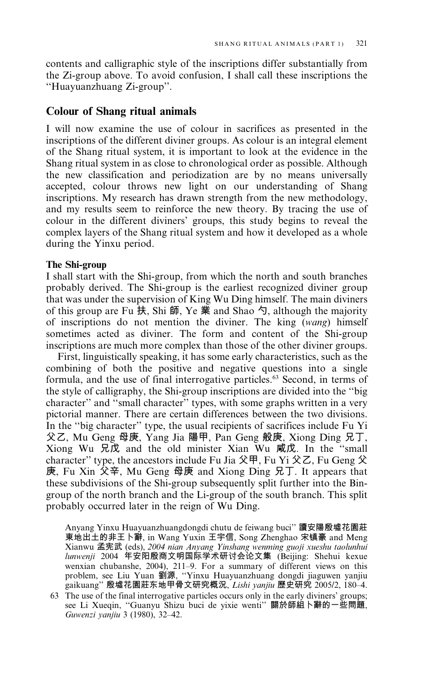contents and calligraphic style of the inscriptions differ substantially from the Zi-group above. To avoid confusion, I shall call these inscriptions the "Huayuanzhuang Zi-group".

# **Colour of Shang ritual animals**

I will now examine the use of colour in sacrifices as presented in the inscriptions of the different diviner groups. As colour is an integral element of the Shang ritual system, it is important to look at the evidence in the Shang ritual system in as close to chronological order as possible. Although the new classification and periodization are by no means universally accepted, colour throws new light on our understanding of Shang inscriptions. My research has drawn strength from the new methodology, and my results seem to reinforce the new theory. By tracing the use of colour in the different diviners' groups, this study begins to reveal the complex layers of the Shang ritual system and how it developed as a whole during the Yinxu period.

## The Shi-group

I shall start with the Shi-group, from which the north and south branches probably derived. The Shi-group is the earliest recognized diviner group that was under the supervision of King Wu Ding himself. The main diviners of this group are Fu  $\overline{R}$ , Shi  $\overline{m}$ , Ye  $\stackrel{\text{def}}{=}$  and Shao  $\overline{Q}$ , although the majority of inscriptions do not mention the diviner. The king (wang) himself sometimes acted as diviner. The form and content of the Shi-group inscriptions are much more complex than those of the other diviner groups.

First, linguistically speaking, it has some early characteristics, such as the combining of both the positive and negative questions into a single formula, and the use of final interrogative particles.<sup>63</sup> Second, in terms of the style of calligraphy, the Shi-group inscriptions are divided into the "big character" and "small character" types, with some graphs written in a very pictorial manner. There are certain differences between the two divisions. In the "big character" type, the usual recipients of sacrifices include Fu Yi 父乙, Mu Geng 母庚, Yang Jia 陽甲, Pan Geng 般庚, Xiong Ding 兄丁, Xiong Wu 兄戊 and the old minister Xian Wu 咸戊. In the "small character" type, the ancestors include Fu Jia  $\mathcal{R}$   $\mathbb{F}$ , Fu Yi  $\mathcal{R}$  Z, Fu Geng  $\mathcal{R}$ 庚, Fu Xin 父辛, Mu Geng 母庚 and Xiong Ding 兄丁. It appears that these subdivisions of the Shi-group subsequently split further into the Bingroup of the north branch and the Li-group of the south branch. This split probably occurred later in the reign of Wu Ding.

Anyang Yinxu Huayuanzhuangdongdi chutu de feiwang buci" 讀安陽殷墟花園莊 東地出土的非王卜辭, in Wang Yuxin 王宇信, Song Zhenghao 宋镇豪 and Meng Xianwu 孟宪武 (eds), 2004 nian Anyang Yinshang wenming guoji xueshu taolunhui<br>lunwenji 2004 年安阳殷商文明国际学术研讨会论文集 (Beijing: Shehui kexue wenxian chubanshe, 2004), 211-9. For a summary of different views on this problem, see Liu Yuan 劉源, "Yinxu Huayuanzhuang dongdi jiaguwen yanjiu gaikuang"殷墟花園莊东地甲骨文研究概況, Lishi yanjiu 歷史研究 2005/2, 180-4.

<sup>63</sup> The use of the final interrogative particles occurs only in the early diviners' groups; see Li Xueqin, "Guanyu Shizu buci de yixie wenti" 關於師組卜辭的一些問題, Guwenzi yanjiu 3 (1980), 32-42.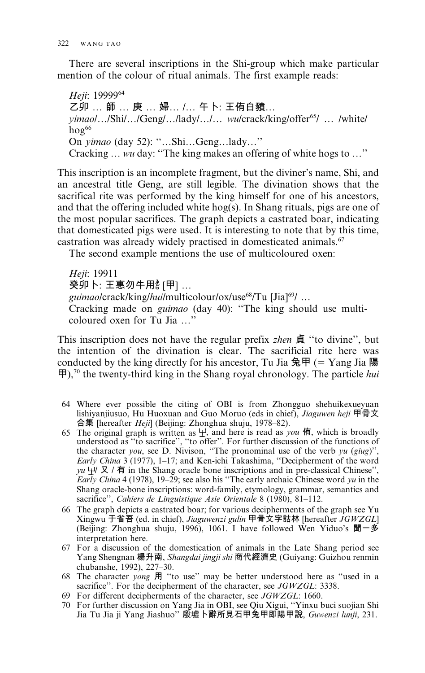There are several inscriptions in the Shi-group which make particular mention of the colour of ritual animals. The first example reads:

Heji: 1999964 乙卯 ... 師 ... 庚 ... 婦... /... 午卜: 王侑白豶... yimaol.../Shi/.../Geng/.../lady/.../... wu/crack/king/offer<sup>65</sup>/ ... /white/  $ho\sigma^{66}$ On *yimao* (day 52): "...Shi...Geng...lady..." Cracking ... wu day: "The king makes an offering of white hogs to ..."

This inscription is an incomplete fragment, but the diviner's name, Shi, and an ancestral title Geng, are still legible. The divination shows that the sacrifical rite was performed by the king himself for one of his ancestors, and that the offering included white hog(s). In Shang rituals, pigs are one of the most popular sacrifices. The graph depicts a castrated boar, indicating that domesticated pigs were used. It is interesting to note that by this time, castration was already widely practised in domesticated animals.<sup>67</sup>

The second example mentions the use of multicoloured oxen:

Heji: 19911 癸卯卜: 王惠勿牛用。[甲] ... guimao/crack/king/hui/multicolour/ox/use<sup>68</sup>/Tu [Jia]<sup>69</sup>/ ... Cracking made on *guimao* (day 40): "The king should use multicoloured oxen for Tu Jia ..."

This inscription does not have the regular prefix *zhen* 貞 "to divine", but the intention of the divination is clear. The sacrificial rite here was conducted by the king directly for his ancestor, Tu Jia  $\frac{4}{5}$  = Yang Jia  $\frac{12}{5}$  $\mathbf{\bar{H}}$ ),<sup>70</sup> the twenty-third king in the Shang royal chronology. The particle *hui* 

- 64 Where ever possible the citing of OBI is from Zhongguo shehuikexueyuan lishiyanjiusuo, Hu Huoxuan and Guo Moruo (eds in chief), Jiaguwen heji 甲骨文 合集 [hereafter *Heji*] (Beijing: Zhonghua shuju, 1978–82).
- 65 The original graph is written as  $\pm$ , and here is read as you  $\overline{A}$ , which is broadly understood as "to sacrifice", "to offer". For further discussion of the functions of the character you, see D. Nivison, "The pronominal use of the verb yu (giug)", Early China 3 (1977), 1-17; and Ken-ichi Takashima, "Decipherment of the word yu  $\dot{\mathcal{H}} \times$  / 有 in the Shang oracle bone inscriptions and in pre-classical Chinese", Early China 4 (1978), 19–29; see also his "The early archaic Chinese word yu in the Shang oracle-bone inscriptions: word-family, etymology, grammar, semantics and sacrifice", Cahiers de Linguistique Asie Orientale 8 (1980), 81-112.
- 66 The graph depicts a castrated boar; for various decipherments of the graph see Yu Xingwu 于省吾 (ed. in chief), Jiaguwenzi gulin 甲骨文字詁林 [hereafter JGWZGL] (Beijing: Zhonghua shuju, 1996), 1061. I have followed Wen Yiduo's 聞一多 interpretation here.
- 67 For a discussion of the domestication of animals in the Late Shang period see Yang Shengnan 楊升南, Shangdai jingji shi 商代經濟史 (Guiyang: Guizhou renmin chubanshe, 1992), 227-30.
- 68 The character *yong* 用 "to use" may be better understood here as "used in a sacrifice". For the decipherment of the character, see JGWZGL: 3338.
- 69 For different decipherments of the character, see JGWZGL: 1660.
- 70 For further discussion on Yang Jia in OBI, see Qiu Xigui, "Yinxu buci suojian Shi Jia Tu Jia ji Yang Jiashuo" 殷墟卜辭所見石甲兔甲即陽甲說, Guwenzi lunji, 231.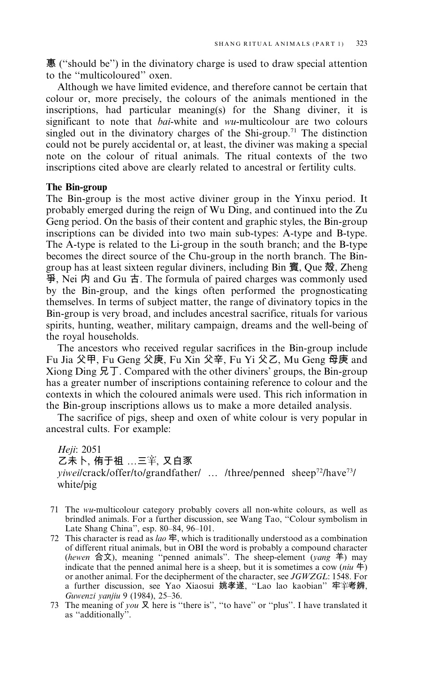惠 ("should be") in the divinatory charge is used to draw special attention to the "multicoloured" oxen.

Although we have limited evidence, and therefore cannot be certain that colour or, more precisely, the colours of the animals mentioned in the inscriptions, had particular meaning(s) for the Shang diviner, it is significant to note that *bai*-white and *wu*-multicolour are two colours singled out in the divinatory charges of the Shi-group.<sup>71</sup> The distinction could not be purely accidental or, at least, the diviner was making a special note on the colour of ritual animals. The ritual contexts of the two inscriptions cited above are clearly related to ancestral or fertility cults.

#### The Bin-group

The Bin-group is the most active diviner group in the Yinxu period. It probably emerged during the reign of Wu Ding, and continued into the Zu Geng period. On the basis of their content and graphic styles, the Bin-group inscriptions can be divided into two main sub-types: A-type and B-type. The A-type is related to the Li-group in the south branch; and the B-type becomes the direct source of the Chu-group in the north branch. The Bingroup has at least sixteen regular diviners, including Bin 賓, Que 殻, Zheng  $\overline{\mathcal{F}}$ , Nei  $\overline{P}$  and Gu  $\overline{\overline{P}}$ . The formula of paired charges was commonly used by the Bin-group, and the kings often performed the prognosticating themselves. In terms of subject matter, the range of divinatory topics in the Bin-group is very broad, and includes ancestral sacrifice, rituals for various spirits, hunting, weather, military campaign, dreams and the well-being of the royal households.

The ancestors who received regular sacrifices in the Bin-group include Fu Jia 父甲, Fu Geng 父庚, Fu Xin 父辛, Fu Yi 父乙, Mu Geng 母庚 and Xiong Ding  $\overline{R}$ . Compared with the other diviners' groups, the Bin-group has a greater number of inscriptions containing reference to colour and the contexts in which the coloured animals were used. This rich information in the Bin-group inscriptions allows us to make a more detailed analysis.

The sacrifice of pigs, sheep and oxen of white colour is very popular in ancestral cults. For example:

Heji: 2051 乙未卜, 侑于祖 ...三竿, 又白豕 *yiweilcrack/offer/to/grandfather/ ...* /three/penned sheep<sup>72</sup>/have<sup>73</sup>/ white/pig

- 71 The wu-multicolour category probably covers all non-white colours, as well as brindled animals. For a further discussion, see Wang Tao, "Colour symbolism in Late Shang China", esp. 80-84, 96-101.
- 72 This character is read as *lao*  $\mathbf{\hat{F}}$ , which is traditionally understood as a combination of different ritual animals, but in OBI the word is probably a compound character (hewen 合文), meaning "penned animals". The sheep-element (yang  $\hat{\pm}$ ) may indicate that the penned animal here is a sheep, but it is sometimes a cow (niu  $\uparrow$ ) or another animal. For the decipherment of the character, see JGWZGL: 1548. For a further discussion, see Yao Xiaosui 姚孝遂, "Lao lao kaobian" 牢筆考辨, Guwenzi yanjiu 9 (1984), 25-36.
- 73 The meaning of you  $\Sigma$  here is "there is", "to have" or "plus". I have translated it as "additionally".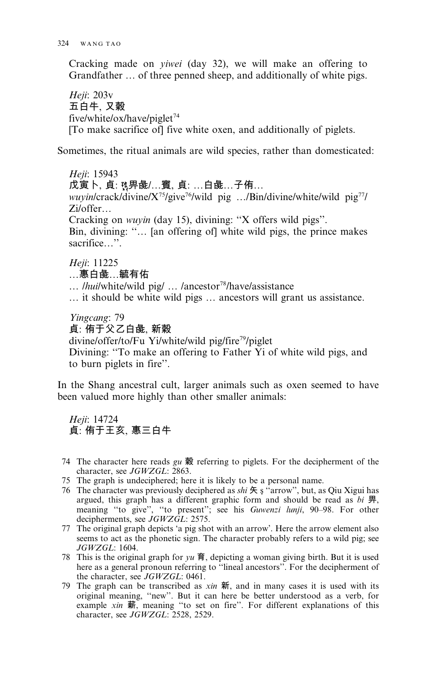Cracking made on *viwei* (day 32), we will make an offering to Grandfather ... of three penned sheep, and additionally of white pigs.

Heji: 203v 五白牛, 又穀 five/white/ox/have/piglet<sup>74</sup> [To make sacrifice of] five white oxen, and additionally of piglets.

Sometimes, the ritual animals are wild species, rather than domesticated:

Heii: 15943 戊寅卜、貞: 豫畀彘/...賓、貞: ...白彘...子侑... *wuvin*/crack/divine/ $X^{75}/$ give<sup>76</sup>/wild pig .../Bin/divine/white/wild pig<sup>77</sup>/  $Zi/offer...$ Cracking on *wuyin* (day 15), divining: "X offers wild pigs". Bin, divining: "... [an offering of] white wild pigs, the prince makes sacrifice...". Heji: 11225

…惠白彘…毓有佑

... *lhuil* white/wild pig/ ... /ancestor<sup>78</sup>/have/assistance

... it should be white wild pigs ... ancestors will grant us assistance.

Yingcang: 79 貞: 侑于父乙白彘, 新穀 divine/offer/to/Fu Yi/white/wild pig/fire<sup>79</sup>/piglet Divining: "To make an offering to Father Yi of white wild pigs, and to burn piglets in fire".

In the Shang ancestral cult, larger animals such as oxen seemed to have been valued more highly than other smaller animals:

Heji: 14724 貞: 侑于王亥, 惠三白牛

- 74 The character here reads  $gu \R$  referring to piglets. For the decipherment of the character, see JGWZGL: 2863.
- 75 The graph is undeciphered; here it is likely to be a personal name.
- 76 The character was previously deciphered as shi  $\#$  s "arrow", but, as Qiu Xigui has argued, this graph has a different graphic form and should be read as  $bi \, \overline{\mathbb{H}}$ , meaning "to give", "to present"; see his Guwenzi lunji, 90-98. For other decipherments, see JGWZGL: 2575.
- 77 The original graph depicts 'a pig shot with an arrow'. Here the arrow element also seems to act as the phonetic sign. The character probably refers to a wild pig; see JGWZGL: 1604.
- 78 This is the original graph for  $yu \nvert \nvert \nvert$ , depicting a woman giving birth. But it is used here as a general pronoun referring to "lineal ancestors". For the decipherment of the character, see JGWZGL: 0461.
- 79 The graph can be transcribed as  $x \in \mathfrak{m}$ , and in many cases it is used with its original meaning, "new". But it can here be better understood as a verb, for example xin 薪, meaning "to set on fire". For different explanations of this character, see JGWZGL: 2528, 2529.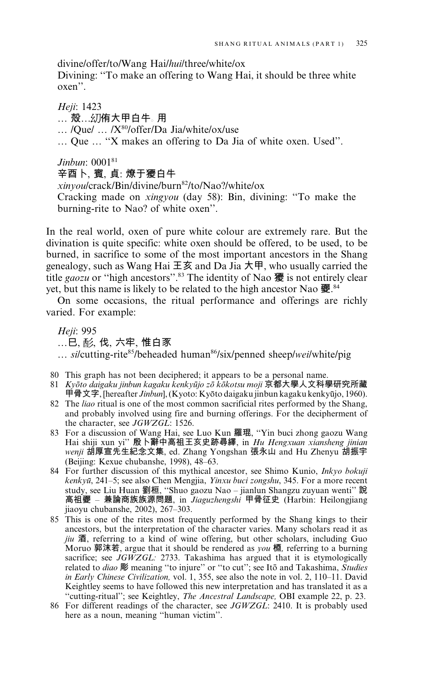divine/offer/to/Wang Hai/hui/three/white/ox

Divining: "To make an offering to Wang Hai, it should be three white  $oxen$ ".

Heji: 1423 … 殻…糿侑大甲白牛。用 ... /Oue/ ... /X<sup>80</sup>/offer/Da Jia/white/ox/use ... Que ... "X makes an offering to Da Jia of white oxen. Used".

# Jinbun: 000181

# 辛酉卜、賓、貞:燎于獿白牛

xinvou/crack/Bin/divine/burn<sup>82</sup>/to/Nao?/white/ox Cracking made on *xingyou* (day 58): Bin, divining: "To make the burning-rite to Nao? of white oxen".

In the real world, oxen of pure white colour are extremely rare. But the divination is quite specific: white oxen should be offered, to be used, to be burned, in sacrifice to some of the most important ancestors in the Shang genealogy, such as Wang Hai 王亥 and Da Jia 大甲, who usually carried the title gaozu or "high ancestors".<sup>83</sup> The identity of Nao 獿 is not entirely clear yet, but this name is likely to be related to the high ancestor Nao 夒.84

On some occasions, the ritual performance and offerings are richly varied. For example:

Heii: 995 ... 已、 耏 , 伐 , 六牢 , 惟 白豕 ... si/cutting-rite85/beheaded human86/six/penned sheep/wei/white/pig

- 80 This graph has not been deciphered; it appears to be a personal name.
- 81 Kyōto daigaku jinbun kagaku kenkyūjo zō kōkotsu moji 京都大學人文科學研究所藏 甲骨文字, [hereafter Jinbun], (Kyoto: Kyōto daigaku jinbun kagaku kenkyūjo, 1960).
- 82 The *liao* ritual is one of the most common sacrificial rites performed by the Shang, and probably involved using fire and burning offerings. For the decipherment of the character, see JGWZGL: 1526.
- 83 For a discussion of Wang Hai, see Luo Kun 羅琨, "Yin buci zhong gaozu Wang Hai shiji xun yi" 殷卜辭中高祖王亥史跡尋繹, in Hu Hengxuan xiansheng jinian wenji 胡厚宣先生紀念文集, ed. Zhang Yongshan 張永山 and Hu Zhenyu 胡振宇 (Beijing: Kexue chubanshe, 1998), 48-63.
- 84 For further discussion of this mythical ancestor, see Shimo Kunio, Inkyo bokuji kenkyū, 241-5; see also Chen Mengjia, Yinxu buci zongshu, 345. For a more recent study, see Liu Huan 劉桓, "Shuo gaozu Nao - jianlun Shangzu zuyuan wenti" 說 高祖夒 - 兼論商族族源問題, in Jiaguzhengshi 甲骨征史 (Harbin: Heilongjiang jiaoyu chubanshe, 2002), 267–303.
- 85 This is one of the rites most frequently performed by the Shang kings to their ancestors, but the interpretation of the character varies. Many scholars read it as jiu 酒, referring to a kind of wine offering, but other scholars, including Guo Moruo 郭沫若, argue that it should be rendered as you 槱, referring to a burning sacrifice; see  $JGWZGL$ : 2733. Takashima has argued that it is etymologically related to *diao* 彫 meaning "to injure" or "to cut"; see Itō and Takashima, Studies in Early Chinese Civilization, vol. 1, 355, see also the note in vol. 2, 110-11. David Keightley seems to have followed this new interpretation and has translated it as a "cutting-ritual"; see Keightley, *The Ancestral Landscape*, OBI example 22, p. 23.
- 86 For different readings of the character, see JGWZGL: 2410. It is probably used here as a noun, meaning "human victim".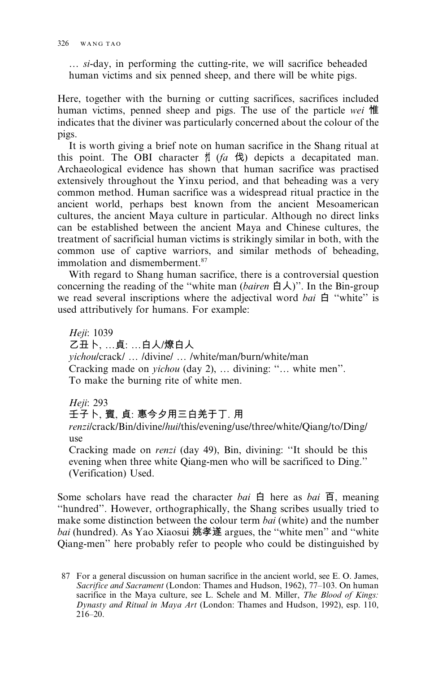... si-day, in performing the cutting-rite, we will sacrifice beheaded human victims and six penned sheep, and there will be white pigs.

Here, together with the burning or cutting sacrifices, sacrifices included human victims, penned sheep and pigs. The use of the particle wei 惟 indicates that the diviner was particularly concerned about the colour of the pigs.

It is worth giving a brief note on human sacrifice in the Shang ritual at this point. The OBI character  $\sharp$  (*fa*  $\sharp$ ) depicts a decapitated man. Archaeological evidence has shown that human sacrifice was practised extensively throughout the Yinxu period, and that beheading was a very common method. Human sacrifice was a widespread ritual practice in the ancient world, perhaps best known from the ancient Mesoamerican cultures, the ancient Maya culture in particular. Although no direct links can be established between the ancient Maya and Chinese cultures, the treatment of sacrificial human victims is strikingly similar in both, with the common use of captive warriors, and similar methods of beheading, immolation and dismemberment.<sup>87</sup>

With regard to Shang human sacrifice, there is a controversial question concerning the reading of the "white man (bairen 白人)". In the Bin-group we read several inscriptions where the adjectival word bai  $\oplus$  "white" is used attributively for humans. For example:

Heji: 1039 乙丑卜, …貞: …白人/燎白人 yichou/crack/ ... /divine/ ... /white/man/burn/white/man Cracking made on *yichou* (day 2), ... divining: "... white men". To make the burning rite of white men.

Heji: 293

壬子卜、賓、貞: 惠今夕用三白羌于丁. 用

renzilcrack/Bin/divine/hui/this/evening/use/three/white/Qiang/to/Ding/ use

Cracking made on *renzi* (day 49), Bin, divining: "It should be this evening when three white Qiang-men who will be sacrificed to Ding." (Verification) Used.

Some scholars have read the character bai  $\oplus$  here as bai  $\overline{\oplus}$ , meaning "hundred". However, orthographically, the Shang scribes usually tried to make some distinction between the colour term bai (white) and the number *bai* (hundred). As Yao Xiaosui 姚孝遂 argues, the "white men" and "white Qiang-men" here probably refer to people who could be distinguished by

<sup>87</sup> For a general discussion on human sacrifice in the ancient world, see E. O. James, Sacrifice and Sacrament (London: Thames and Hudson, 1962), 77-103. On human sacrifice in the Maya culture, see L. Schele and M. Miller, The Blood of Kings: Dynasty and Ritual in Maya Art (London: Thames and Hudson, 1992), esp. 110,  $216 - 20$ .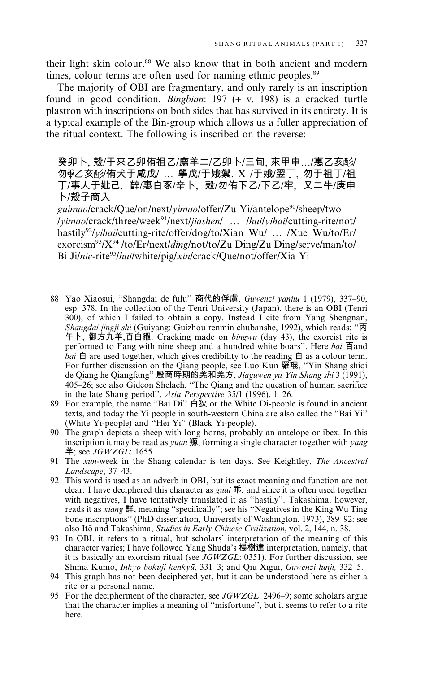their light skin colour.<sup>88</sup> We also know that in both ancient and modern times, colour terms are often used for naming ethnic peoples.<sup>89</sup>

The majority of OBI are fragmentary, and only rarely is an inscription found in good condition. Bingbian:  $197 (+ v. 198)$  is a cracked turtle plastron with inscriptions on both sides that has survived in its entirety. It is a typical example of the Bin-group which allows us a fuller appreciation of the ritual context. The following is inscribed on the reverse:

癸卯卜、殻/于來乙卯侑祖乙/廌羊二/乙卯卜/三旬、來甲申…/惠乙亥酚/ 勿※乙亥酌/侑犬于咸戊/ ... 學戊/于娥禦. X /于娥/翌丁, 勿于祖丁/祖 丁/事人于妣己、辥/惠白豕/辛卜、殻/勿侑下乙/下乙/牢、又二牛/庚申 卜/殻子商入

guimao/crack/Que/on/next/yimao/offer/Zu Yi/antelope<sup>90</sup>/sheep/two /yimao/crack/three/week<sup>91</sup>/next/jiashen/ ... /hui/yihai/cutting-rite/not/ hastily<sup>92</sup>/yihai/cutting-rite/offer/dog/to/Xian Wu/ ... /Xue Wu/to/Er/ exorcism<sup>93</sup>/X<sup>94</sup>/to/Er/next/*ding*/not/to/Zu Ding/Zu Ding/serve/man/to/ Bi Ji/nie-rite<sup>95</sup>/hui/white/pig/xin/crack/Oue/not/offer/Xia Yi

- 88 Yao Xiaosui, "Shangdai de fulu" 商代的俘虜, Guwenzi yanjiu 1 (1979), 337-90, esp. 378. In the collection of the Tenri University (Japan), there is an OBI (Tenri 300), of which I failed to obtain a copy. Instead I cite from Yang Shengnan, Shangdai jingji shi (Guiyang: Guizhou renmin chubanshe, 1992), which reads: "丙 午卜, 御方九羊,百白豭. Cracking made on bingwu (day 43), the exorcist rite is performed to Fang with nine sheep and a hundred white boars". Here bai 百and *bai*  $\oplus$  are used together, which gives credibility to the reading  $\oplus$  as a colour term. For further discussion on the Qiang people, see Luo Kun 羅琨, "Yin Shang shiqi de Qiang he Qiangfang" 殷商時期的羌和羌方, Jiaguwen yu Yin Shang shi 3 (1991), 405–26; see also Gideon Shelach, "The Qiang and the question of human sacrifice<br>in the late Shang period", Asia Perspective 35/1 (1996), 1–26.
- 89 For example, the name "Bai Di" 白狄 or the White Di-people is found in ancient texts, and today the Yi people in south-western China are also called the "Bai Yi" (White Yi-people) and "Hei Yi" (Black Yi-people).
- 90 The graph depicts a sheep with long horns, probably an antelope or ibex. In this inscription it may be read as *yuan* 羱, forming a single character together with *yang*  $\ddot{=}$ ; see JGWZGL: 1655.
- 91 The xun-week in the Shang calendar is ten days. See Keightley, The Ancestral Landscape, 37-43.
- 92 This word is used as an adverb in OBI, but its exact meaning and function are not clear. I have deciphered this character as *guai*  $\overline{\mathfrak{m}}$ , and since it is often used together with negatives, I have tentatively translated it as "hastily". Takashima, however, reads it as xiang 詳, meaning "specifically"; see his "Negatives in the King Wu Ting bone inscriptions" (PhD dissertation, University of Washington, 1973), 389-92: see also Itō and Takashima, Studies in Early Chinese Civilization, vol. 2, 144, n. 38.
- 93 In OBI, it refers to a ritual, but scholars' interpretation of the meaning of this character varies; I have followed Yang Shuda's 楊樹達 interpretation, namely, that it is basically an exorcism ritual (see JGWZGL: 0351). For further discussion, see Shima Kunio, *Inkyo bokuji kenkyū*, 331–3; and Qiu Xigui, *Guwenzi lunji*, 332–5.
- 94 This graph has not been deciphered yet, but it can be understood here as either a rite or a personal name.
- 95 For the decipherment of the character, see JGWZGL: 2496–9; some scholars argue that the character implies a meaning of "misfortune", but it seems to refer to a rite here.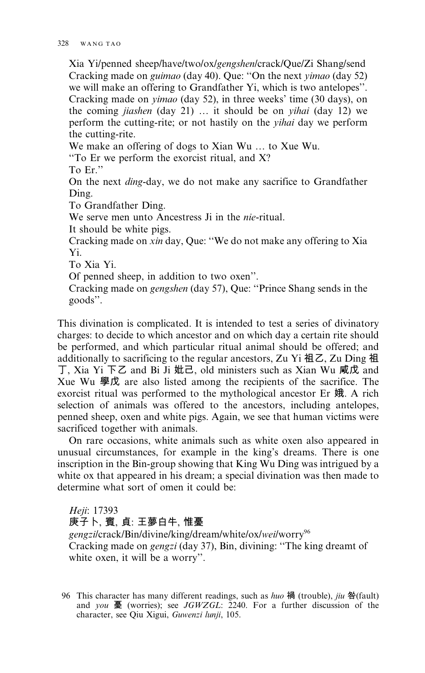Xia Yi/penned sheep/have/two/ox/gengshen/crack/Oue/Zi Shang/send Cracking made on *guimao* (day 40). Que: "On the next *yimao* (day 52) we will make an offering to Grandfather Yi, which is two antelopes". Cracking made on *yimao* (day 52), in three weeks' time (30 days), on the coming jiashen (day 21) ... it should be on *yihai* (day 12) we perform the cutting-rite; or not hastily on the *vihai* day we perform the cutting-rite.

We make an offering of dogs to Xian Wu ... to Xue Wu.

"To Er we perform the exorcist ritual, and X?"

To Er."

On the next *ding*-day, we do not make any sacrifice to Grandfather Ding.

To Grandfather Ding.

We serve men unto Ancestress Ji in the *nie*-ritual.

It should be white pigs.

Cracking made on xin day, Oue: "We do not make any offering to Xia Yi

To Xia Yi.

Of penned sheep, in addition to two oxen".

Cracking made on *gengshen* (day 57), Que: "Prince Shang sends in the goods".

This divination is complicated. It is intended to test a series of divinatory charges: to decide to which ancestor and on which day a certain rite should be performed, and which particular ritual animal should be offered; and additionally to sacrificing to the regular ancestors, Zu Yi 祖乙, Zu Ding 祖 丁, Xia Yi 下乙 and Bi Ji 妣己, old ministers such as Xian Wu 咸戊 and Xue Wu 學戊 are also listed among the recipients of the sacrifice. The exorcist ritual was performed to the mythological ancestor Er 娥. A rich selection of animals was offered to the ancestors, including antelopes, penned sheep, oxen and white pigs. Again, we see that human victims were sacrificed together with animals.

On rare occasions, white animals such as white oxen also appeared in unusual circumstances, for example in the king's dreams. There is one inscription in the Bin-group showing that King Wu Ding was intrigued by a white ox that appeared in his dream; a special divination was then made to determine what sort of omen it could be:

Heji: 17393

庚子卜, 賓, 貞: 王夢白牛, 惟憂

gengzilcrack/Bin/divine/king/dream/white/ox/wei/worry<sup>96</sup> Cracking made on gengzi (day 37), Bin, divining: "The king dreamt of white oxen, it will be a worry".

<sup>96</sup> This character has many different readings, such as *huo* 禍 (trouble), *jiu* 咎(fault) and you 憂 (worries); see JGWZGL: 2240. For a further discussion of the character, see Qiu Xigui, Guwenzi lunji, 105.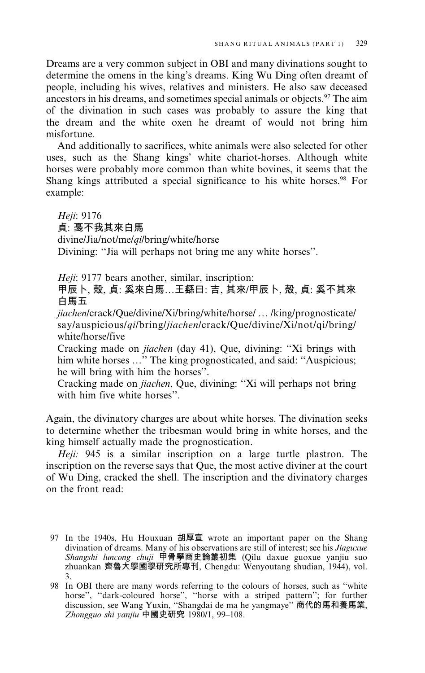Dreams are a very common subject in OBI and many divinations sought to determine the omens in the king's dreams. King Wu Ding often dreamt of people, including his wives, relatives and ministers. He also saw deceased ancestors in his dreams, and sometimes special animals or objects.<sup>97</sup> The aim of the divination in such cases was probably to assure the king that the dream and the white oxen he dreamt of would not bring him misfortune.

And additionally to sacrifices, white animals were also selected for other uses, such as the Shang kings' white chariot-horses. Although white horses were probably more common than white bovines, it seems that the Shang kings attributed a special significance to his white horses.<sup>98</sup> For example:

Heji: 9176 貞: 戞不我其來白馬 divine/Jia/not/me/qi/bring/white/horse Divining: "Jia will perhaps not bring me any white horses".

Heji: 9177 bears another, similar, inscription:

甲辰卜、殻、貞:奚來白馬...王繇曰: 吉、其來/甲辰卜、殻、貞: 奚不其來 白馬五

jiachen/crack/Que/divine/Xi/bring/white/horse/ ... /king/prognosticate/ say/auspicious/qi/bring/jiachen/crack/Que/divine/Xi/not/qi/bring/ white/horse/five

Cracking made on *jiachen* (day 41), Que, divining: "Xi brings with him white horses ..." The king prognosticated, and said: "Auspicious; he will bring with him the horses".

Cracking made on jiachen, Que, divining: "Xi will perhaps not bring with him five white horses"

Again, the divinatory charges are about white horses. The divination seeks to determine whether the tribesman would bring in white horses, and the king himself actually made the prognostication.

Heji: 945 is a similar inscription on a large turtle plastron. The inscription on the reverse says that Que, the most active diviner at the court of Wu Ding, cracked the shell. The inscription and the divinatory charges on the front read:

<sup>97</sup> In the 1940s, Hu Houxuan 胡厚宣 wrote an important paper on the Shang divination of dreams. Many of his observations are still of interest; see his Jiaguxue Shangshi luncong chuji 甲骨學商史論叢初集 (Qilu daxue guoxue yanjiu suo zhuankan 齊魯大學國學研究所專刊, Chengdu: Wenyoutang shudian, 1944), vol.  $3<sub>1</sub>$ 

<sup>98</sup> In OBI there are many words referring to the colours of horses, such as "white horse", "dark-coloured horse", "horse with a striped pattern"; for further discussion, see Wang Yuxin, "Shangdai de ma he yangmaye" 商代的馬和養馬業, Zhongguo shi yanjiu 中國史研究 1980/1, 99-108.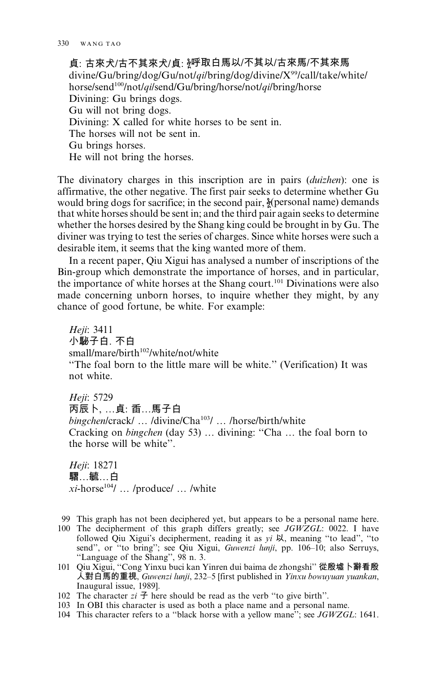貞: 古來犬/古不其來犬/貞: 《呼取白馬以/不其以/古來馬/不其來馬  $divine/Gu/bring/dog/Gu/not/gilbring/dog/divine/X<sup>99</sup>/call/take/white/$ horse/send<sup>100</sup>/not/*qilsend/Gu/bring/horse/not/qi/bring/horse* Divining: Gu brings dogs. Gu will not bring dogs. Divining: X called for white horses to be sent in. The horses will not be sent in. Gu brings horses. He will not bring the horses.

The divinatory charges in this inscription are in pairs *(duizhen)*: one is affirmative, the other negative. The first pair seeks to determine whether Gu would bring dogs for sacrifice; in the second pair, {participate personal name} demands that white horses should be sent in; and the third pair again seeks to determine whether the horses desired by the Shang king could be brought in by Gu. The diviner was trying to test the series of charges. Since white horses were such a desirable item, it seems that the king wanted more of them.

In a recent paper, Qiu Xigui has analysed a number of inscriptions of the Bin-group which demonstrate the importance of horses, and in particular, the importance of white horses at the Shang court.<sup>101</sup> Divinations were also made concerning unborn horses, to inquire whether they might, by any chance of good fortune, be white. For example:

Heii: 3411 小駜子白. 不白 small/mare/birth<sup>102</sup>/white/not/white "The foal born to the little mare will be white." (Verification) It was not white.

Heji: 5729 丙辰卜, ...貞: 臿...馬子白 bingchen/crack/ ... /divine/Cha<sup>103</sup>/ ... /horse/birth/white Cracking on bingchen (day 53) ... divining: "Cha ... the foal born to the horse will be white".

Heji: 18271 騽…毓…白  $xi$ -horse<sup>104</sup>/ ... /produce/ ... /white

- 99 This graph has not been deciphered yet, but appears to be a personal name here.
- 100 The decipherment of this graph differs greatly; see JGWZGL: 0022. I have followed Qiu Xigui's decipherment, reading it as yi 以, meaning "to lead", "to send", or "to bring"; see Qiu Xigui, Guwenzi lunji, pp. 106-10; also Serruys, "Language of the Shang", 98 n. 3.
- 101 Qiu Xigui, "Cong Yinxu buci kan Yinren dui baima de zhongshi" 從殷墟卜辭看殷 入對白馬的重視, Guwenzi lunji, 232–5 [first published in Yinxu bowuyuan yuankan, Inaugural issue, 1989].
- 102 The character  $zi \nightharpoondown f$  here should be read as the verb "to give birth".
- 103 In OBI this character is used as both a place name and a personal name.
- 104 This character refers to a "black horse with a yellow mane"; see JGWZGL: 1641.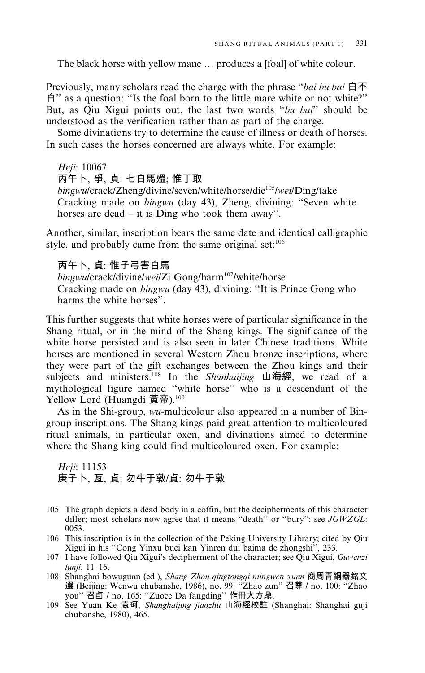The black horse with yellow mane ... produces a [foal] of white colour.

Previously, many scholars read the charge with the phrase "bai bu bai 白不 film as a question: "Is the foal born to the little mare white or not white?" But, as Qiu Xigui points out, the last two words "bu bai" should be understood as the verification rather than as part of the charge.

Some divinations try to determine the cause of illness or death of horses. In such cases the horses concerned are always white. For example:

# Heji: 10067 丙午卜, 爭, 貞: 七白馬殟; 惟丁取

bingwulcrack/Zheng/divine/seven/white/horse/die<sup>105</sup>/wei/Ding/take Cracking made on *bingwu* (day 43), Zheng, divining: "Seven white horses are dead – it is  $\overrightarrow{D}$ ing who took them away".

Another, similar, inscription bears the same date and identical calligraphic style, and probably came from the same original set:106

# 丙午卜、貞:惟子弓害白馬

bingwulcrack/divine/wei/Zi Gong/harm<sup>107</sup>/white/horse Cracking made on *bingwu* (day 43), divining: "It is Prince Gong who harms the white horses".

This further suggests that white horses were of particular significance in the Shang ritual, or in the mind of the Shang kings. The significance of the white horse persisted and is also seen in later Chinese traditions. White horses are mentioned in several Western Zhou bronze inscriptions, where they were part of the gift exchanges between the Zhou kings and their subjects and ministers.<sup>108</sup> In the Shanhaijing 山海經, we read of a mythological figure named "white horse" who is a descendant of the Yellow Lord (Huangdi 黃帝).<sup>109</sup>

As in the Shi-group, wu-multicolour also appeared in a number of Bingroup inscriptions. The Shang kings paid great attention to multicoloured ritual animals, in particular oxen, and divinations aimed to determine where the Shang king could find multicoloured oxen. For example:

Heji: 11153 庚子卜、亙、貞:勿牛于敦/貞:勿牛于敦

- 105 The graph depicts a dead body in a coffin, but the decipherments of this character differ; most scholars now agree that it means "death" or "bury"; see JGWZGL: 0053.
- 106 This inscription is in the collection of the Peking University Library; cited by Qiu Xigui in his "Cong Yinxu buci kan Yinren dui baima de zhongshi", 233.
- 107 I have followed Qiu Xigui's decipherment of the character; see Qiu Xigui, Guwenzi lunji, 11-16.
- 108 Shanghai bowuguan (ed.), Shang Zhou qingtongqi mingwen xuan 商周青銅器銘文 選 (Beijing: Wenwu chubanshe, 1986), no. 99: "Zhao zun" 召尊 / no. 100: "Zhao you" 召卣 / no. 165: "Zuoce Da fangding" 作冊大方鼎.<br>109 See Yuan Ke 袁珂, Shanghaijing jiaozhu 山海經校註 (Shanghai: Shanghai guji
- chubanshe, 1980), 465.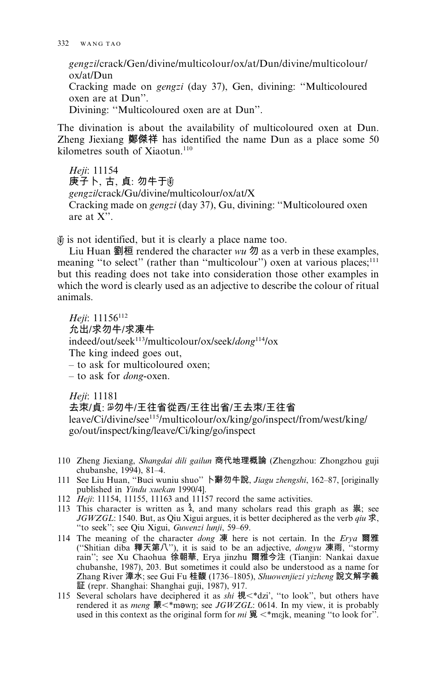gengzilcrack/Gen/divine/multicolour/ox/at/Dun/divine/multicolour/  $ox/at/Dun$ Cracking made on *gengzi* (day 37), Gen, divining: "Multicoloured oxen are at Dun". Divining: "Multicoloured oxen are at Dun".

The divination is about the availability of multicoloured oxen at Dun. Zheng Jiexiang 鄭傑祥 has identified the name Dun as a place some 50 kilometres south of Xiaotun.<sup>110</sup>

Heji: 11154 庚子卜,古,貞:勿牛于 gengzi/crack/Gu/divine/multicolour/ox/at/X Cracking made on *gengzi* (day 37), Gu, divining: "Multicoloured oxen are at  $X$ ".

 $\hat{\mathcal{E}}$  is not identified, but it is clearly a place name too.

Liu Huan 劉桓 rendered the character  $wu$  勿 as a verb in these examples, meaning "to select" (rather than "multicolour") oxen at various places;<sup>111</sup> but this reading does not take into consideration those other examples in which the word is clearly used as an adjective to describe the colour of ritual animals.

Heii: 11156<sup>112</sup> 允出/求勿牛/求凍牛 indeed/out/seek<sup>113</sup>/multicolour/ox/seek/dong<sup>114</sup>/ox The king indeed goes out, - to ask for multicoloured oxen;  $-$  to ask for *dong*-oxen.

Heji: 11181 去束/貞: 28勿牛/王往省從西/王往出省/王去束/王往省 leave/Ci/divine/see<sup>115</sup>/multicolour/ox/king/go/inspect/from/west/king/ go/out/inspect/king/leave/Ci/king/go/inspect

- 110 Zheng Jiexiang, Shangdai dili gailun 商代地理概論 (Zhengzhou: Zhongzhou guji chubanshe, 1994), 81-4.
- 111 See Liu Huan, "Buci wuniu shuo" 卜辭勿牛說, Jiagu zhengshi, 162-87, [originally published in Yindu xuekan 1990/4].
- 112 Heji: 11154, 11155, 11163 and 11157 record the same activities.
- 113 This character is written as  $\lambda$ , and many scholars read this graph as  $\frac{113}{15}$ ; see JGWZGL: 1540. But, as Qiu Xigui argues, it is better deciphered as the verb qiu 求, "to seek"; see Qiu Xigui, Guwenzi lunji, 59-69.
- 114 The meaning of the character dong 凍 here is not certain. In the Erya 爾雅 ("Shitian diba 釋天第八"), it is said to be an adjective, *dongyu* 凍雨, "stormy rain"; see Xu Chaohua 徐朝華, Erya jinzhu 爾雅今注 (Tianjin: Nankai daxue chubanshe, 1987), 203. But sometimes it could also be understood as a name for Zhang River 漳水; see Gui Fu 桂馥 (1736–1805), Shuowenjiezi yizheng 說文解字義 証 (repr. Shanghai: Shanghai guji, 1987), 917.
- 115 Several scholars have deciphered it as shi 視 <\* dzi', "to look", but others have rendered it as *meng* 蒙<\*mown; see JGWZGL: 0614. In my view, it is probably used in this context as the original form for  $mi \mathfrak{F} \leq^*$ meik, meaning "to look for".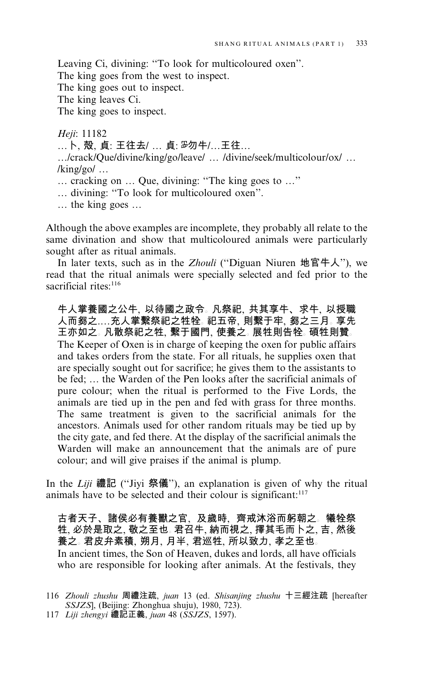Leaving Ci, divining: "To look for multicoloured oxen".

The king goes from the west to inspect.

The king goes out to inspect.

The king leaves Ci.

The king goes to inspect.

Heji: 11182 ... 卜, 殻, 貞: 王往去/ ... 貞: 品勿牛/...王往... .../crack/Que/divine/king/go/leave/ .../divine/seek/multicolour/ox/ ...  $\frac{\text{king}}{\text{go}}$ ... ... cracking on ... Que, divining: "The king goes to ..." ... divining: "To look for multicoloured oxen".  $\ldots$  the king goes  $\ldots$ 

Although the above examples are incomplete, they probably all relate to the same divination and show that multicoloured animals were particularly sought after as ritual animals.

In later texts, such as in the *Zhouli* ("Diguan Niuren  $\hat{\mathfrak{m}}$  **E** $\hat{\mathfrak{m}}$  A"), we read that the ritual animals were specially selected and fed prior to the sacrificial rites:<sup>116</sup>

牛人掌養國之公牛, 以待國之政令。凡祭祀, 共其享牛、求牛, 以授職 人而芻之....充人掌繫祭祀之牲牷。祀五帝, 則繫于牢, 芻之三月。 享先 王亦如之。凡散祭祀之牲、繫于國門、使養之。展牲則告牷。碩牲則贊。 The Keeper of Oxen is in charge of keeping the oxen for public affairs and takes orders from the state. For all rituals, he supplies oxen that are specially sought out for sacrifice; he gives them to the assistants to be fed; ... the Warden of the Pen looks after the sacrificial animals of pure colour; when the ritual is performed to the Five Lords, the animals are tied up in the pen and fed with grass for three months. The same treatment is given to the sacrificial animals for the ancestors. Animals used for other random rituals may be tied up by the city gate, and fed there. At the display of the sacrificial animals the Warden will make an announcement that the animals are of pure colour; and will give praises if the animal is plump.

In the Liji 禮記 ("Jiyi 祭儀"), an explanation is given of why the ritual animals have to be selected and their colour is significant:<sup>117</sup>

古者天子、諸侯必有養獸之官,及歲時,齊戒沐浴而躬朝之。犧牷祭 牲、必於是取之、敬之至也。君召牛、納而視之、擇其毛而卜之、吉、然後 養之。君皮弁素積, 朔月, 月半, 君巡牲, 所以致力, 孝之至也。

In ancient times, the Son of Heaven, dukes and lords, all have officials who are responsible for looking after animals. At the festivals, they

<sup>116</sup> Zhouli zhushu 周禮注疏, juan 13 (ed. Shisanjing zhushu 十三經注疏 [hereafter SSJZS, (Beijing: Zhonghua shuju), 1980, 723).

<sup>117</sup> Liji zhengyi 禮記正義, juan 48 (SSJZS, 1597).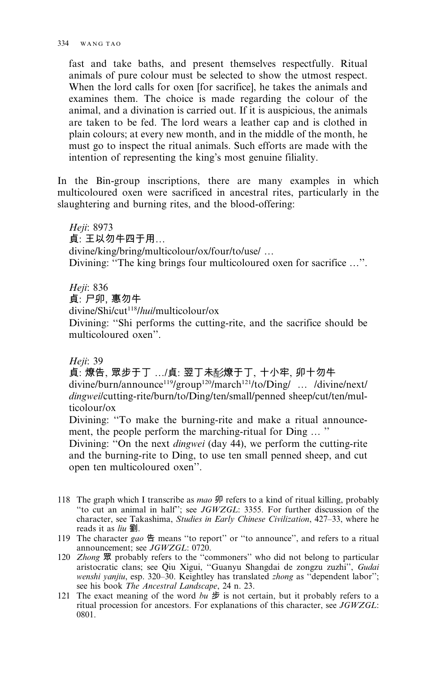fast and take baths, and present themselves respectfully. Ritual animals of pure colour must be selected to show the utmost respect. When the lord calls for oxen [for sacrifice], he takes the animals and examines them. The choice is made regarding the colour of the animal, and a divination is carried out. If it is auspicious, the animals are taken to be fed. The lord wears a leather cap and is clothed in plain colours; at every new month, and in the middle of the month, he must go to inspect the ritual animals. Such efforts are made with the intention of representing the king's most genuine filiality.

In the Bin-group inscriptions, there are many examples in which multicoloured oxen were sacrificed in ancestral rites, particularly in the slaughtering and burning rites, and the blood-offering:

Heji: 8973 貞: 王以勿牛四于用... divine/king/bring/multicolour/ox/four/to/use/ ... Divining: "The king brings four multicoloured oxen for sacrifice ...".

Heji: 836

貞: 尸卯. 惠勿牛

divine/Shi/cut<sup>118</sup>/hui/multicolour/ox

Divining: "Shi performs the cutting-rite, and the sacrifice should be multicoloured oxen"

Heji: 39

貞: 燎告, 眾步于丁 .../貞: 翌丁未彭燎于丁, 十小牢, 卯十勿牛 divine/burn/announce<sup>119</sup>/group<sup>120</sup>/march<sup>121</sup>/to/Ding/ ... /divine/next/ dingweilcutting-rite/burn/to/Ding/ten/small/penned sheep/cut/ten/multicolour/ox

Divining: "To make the burning-rite and make a ritual announcement, the people perform the marching-ritual for Ding ... "

Divining: "On the next *dingwei* (day 44), we perform the cutting-rite and the burning-rite to Ding, to use ten small penned sheep, and cut open ten multicoloured oxen".

- 118 The graph which I transcribe as *mao* 卯 refers to a kind of ritual killing, probably "to cut an animal in half"; see JGWZGL: 3355. For further discussion of the character, see Takashima, Studies in Early Chinese Civilization, 427-33, where he reads it as liu 劉.
- 119 The character gao 告 means "to report" or "to announce", and refers to a ritual announcement; see JGWZGL: 0720.
- 120 Zhong 眾 probably refers to the "commoners" who did not belong to particular aristocratic clans; see Qiu Xigui, "Guanyu Shangdai de zongzu zuzhi", Gudai wenshi yanjiu, esp. 320-30. Keightley has translated zhong as "dependent labor"; see his book The Ancestral Landscape, 24 n. 23.
- 121 The exact meaning of the word bu  $\#$  is not certain, but it probably refers to a ritual procession for ancestors. For explanations of this character, see JGWZGL: 0801.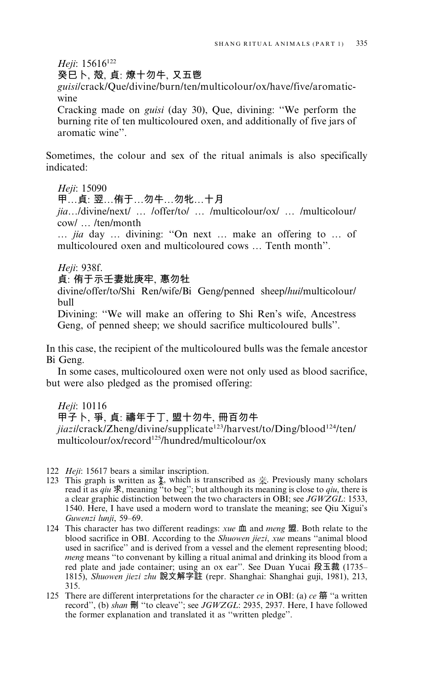Heji: 15616<sup>122</sup>

癸巳卜、殻、貞:燎十勿牛、又五鬯

guisi/crack/Oue/divine/burn/ten/multicolour/ox/have/five/aromaticwine

Cracking made on *guisi* (day 30), Que, divining: "We perform the burning rite of ten multicoloured oxen, and additionally of five jars of aromatic wine"

Sometimes, the colour and sex of the ritual animals is also specifically indicated:

Heji: 15090

甲...貞: 翌...侑于...勿牛...勿牝...十月

jia.../divine/next/ ... /offer/to/ ... /multicolour/ox/ ... /multicolour/ cow/ ... /ten/month

... jia day ... divining: "On next ... make an offering to ... of multicoloured oxen and multicoloured cows ... Tenth month".

Heji: 938f.

貞: 侑于示壬妻妣庚牢, 惠勿牡

divine/offer/to/Shi Ren/wife/Bi Geng/penned sheep/hui/multicolour/  $h$ ull

Divining: "We will make an offering to Shi Ren's wife, Ancestress Geng, of penned sheep; we should sacrifice multicoloured bulls".

In this case, the recipient of the multicoloured bulls was the female ancestor Bi Geng.

In some cases, multicoloured oxen were not only used as blood sacrifice, but were also pledged as the promised offering:

Heii: 10116 甲子卜, 爭, 貞: 禱年于丁, 盟十勿牛, 冊百勿牛 jiazilcrack/Zheng/divine/supplicate<sup>123</sup>/harvest/to/Ding/blood<sup>124</sup>/ten/ multicolour/ox/record<sup>125</sup>/hundred/multicolour/ox

122 Heji: 15617 bears a similar inscription.

- 123 This graph is written as  $\frac{1}{2}$ , which is transcribed as  $\frac{1}{2}$ . Previously many scholars read it as qiu  $\frac{1}{2}$ , meaning "to beg"; but although its meaning is close to qiu, there is a clear graphic distinction between the two characters in OBI; see JGWZGL: 1533, 1540. Here, I have used a modern word to translate the meaning; see Qiu Xigui's Guwenzi lunji, 59-69.
- 124 This character has two different readings: xue 血 and meng 盟. Both relate to the blood sacrifice in OBI. According to the Shuowen jiezi, xue means "animal blood used in sacrifice" and is derived from a vessel and the element representing blood; meng means "to convenant by killing a ritual animal and drinking its blood from a red plate and jade container; using an ox ear". See Duan Yucai 段玉裁 (1735-1815), Shuowen jiezi zhu 說文解字註 (repr. Shanghai: Shanghai guji, 1981), 213, 315.
- 125 There are different interpretations for the character  $ce$  in OBI: (a)  $ce$   $\hat{m}$  "a written record", (b) shan 刪 "to cleave"; see JGWZGL: 2935, 2937. Here, I have followed the former explanation and translated it as "written pledge".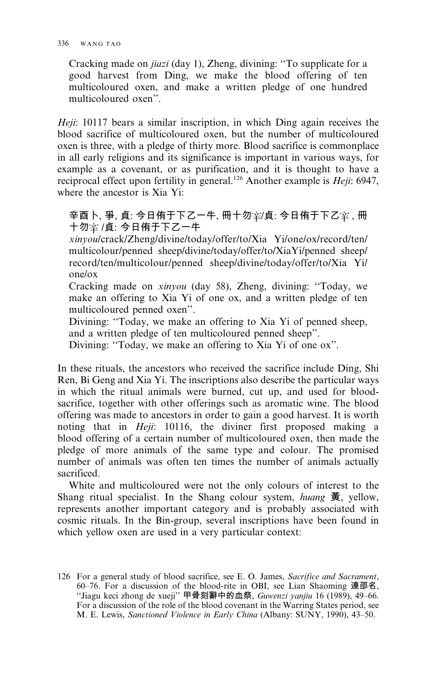Cracking made on *jiazi* (day 1). Zheng, divining: "To supplicate for a good harvest from Ding, we make the blood offering of ten multicoloured oxen, and make a written pledge of one hundred multicoloured oxen"

*Heii*: 10117 bears a similar inscription, in which Ding again receives the blood sacrifice of multicoloured oxen, but the number of multicoloured oxen is three, with a pledge of thirty more. Blood sacrifice is commonplace in all early religions and its significance is important in various ways, for example as a covenant, or as purification, and it is thought to have a reciprocal effect upon fertility in general.<sup>126</sup> Another example is *Heii*: 6947. where the ancestor is Xia Yi:

# 辛酉卜、爭、貞:今日侑于下乙一牛, 冊十勿窜/貞: 今日侑于下乙宰, 冊 十勿室 /貞: 今日侑于下乙一牛

xinyoulcrack/Zheng/divine/today/offer/to/Xia Yi/one/ox/record/ten/ multicolour/penned sheep/divine/today/offer/to/XiaYi/penned sheep/ record/ten/multicolour/penned sheep/divine/today/offer/to/Xia Yi/  $one/ox$ 

Cracking made on xinyou (day 58), Zheng, divining: "Today, we make an offering to Xia Yi of one ox, and a written pledge of ten multicoloured penned oxen".

Divining: "Today, we make an offering to Xia Yi of penned sheep, and a written pledge of ten multicoloured penned sheep".

Divining: "Today, we make an offering to Xia Yi of one ox".

In these rituals, the ancestors who received the sacrifice include Ding, Shi Ren, Bi Geng and Xia Yi. The inscriptions also describe the particular ways in which the ritual animals were burned, cut up, and used for bloodsacrifice, together with other offerings such as aromatic wine. The blood offering was made to ancestors in order to gain a good harvest. It is worth noting that in *Heji*: 10116, the diviner first proposed making a blood offering of a certain number of multicoloured oxen, then made the pledge of more animals of the same type and colour. The promised number of animals was often ten times the number of animals actually sacrificed.

White and multicoloured were not the only colours of interest to the Shang ritual specialist. In the Shang colour system, *huang*  $\ddot{\mathbf{\overline{g}}}$ , yellow, represents another important category and is probably associated with cosmic rituals. In the Bin-group, several inscriptions have been found in which yellow oxen are used in a very particular context:

<sup>126</sup> For a general study of blood sacrifice, see E. O. James, Sacrifice and Sacrament, 60-76. For a discussion of the blood-rite in OBI, see Lian Shaoming 連邵名, "Jiagu keci zhong de xueji" 甲骨刻辭中的血祭, Guwenzi yanjiu 16 (1989), 49-66. For a discussion of the role of the blood covenant in the Warring States period, see M. E. Lewis, Sanctioned Violence in Early China (Albany: SUNY, 1990), 43-50.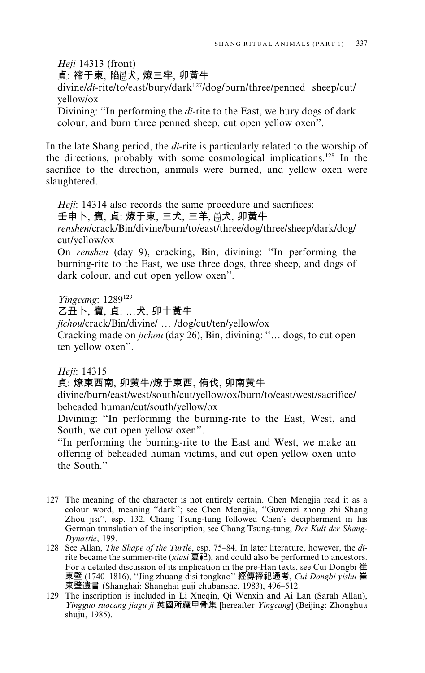Heii 14313 (front)

貞: 褅干東, 陷恩犬, 燎三牢, 卯黃牛

divine/di-rite/to/east/bury/dark<sup>127</sup>/dog/burn/three/penned sheep/cut/ vellow/ox

Divining: "In performing the *di*-rite to the East, we bury dogs of dark colour, and burn three penned sheep, cut open yellow oxen".

In the late Shang period, the di-rite is particularly related to the worship of the directions, probably with some cosmological implications.<sup>128</sup> In the sacrifice to the direction, animals were burned, and yellow oxen were slaughtered.

Heji: 14314 also records the same procedure and sacrifices:

壬申卜、賓、貞: 燎于東、三犬、三羊、恩犬、卯黃牛

renshen/crack/Bin/divine/burn/to/east/three/dog/three/sheep/dark/dog/ cut/yellow/ox

On renshen (day 9), cracking, Bin, divining: "In performing the burning-rite to the East, we use three dogs, three sheep, and dogs of dark colour, and cut open yellow oxen".

Yingcang: 1289<sup>129</sup>

乙丑卜, 賓, 貞: ...犬, 卯十黃牛

jichou/crack/Bin/divine/ ... /dog/cut/ten/yellow/ox

Cracking made on *jichou* (day 26), Bin, divining: "... dogs, to cut open ten yellow oxen".

Heji: 14315

# 貞: 燎東西南, 卯黃牛/燎于東西, 侑伐, 卯南黃牛

divine/burn/east/west/south/cut/yellow/ox/burn/to/east/west/sacrifice/ beheaded human/cut/south/yellow/ox

Divining: "In performing the burning-rite to the East, West, and South, we cut open yellow oxen".

"In performing the burning-rite to the East and West, we make an offering of beheaded human victims, and cut open yellow oxen unto the South."

- 127 The meaning of the character is not entirely certain. Chen Mengjia read it as a colour word, meaning "dark"; see Chen Mengjia, "Guwenzi zhong zhi Shang Zhou jisi", esp. 132. Chang Tsung-tung followed Chen's decipherment in his German translation of the inscription; see Chang Tsung-tung, Der Kult der Shang-Dynastie, 199.
- 128 See Allan, The Shape of the Turtle, esp. 75-84. In later literature, however, the dirite became the summer-rite (*xiasi* 夏祀), and could also be performed to ancestors. For a detailed discussion of its implication in the pre-Han texts, see Cui Dongbi 崔 東壁 (1740-1816), "Jing zhuang disi tongkao" 經傳禘祀通考, Cui Dongbi yishu 崔 東壁遺書 (Shanghai: Shanghai guji chubanshe, 1983), 496-512.
- 129 The inscription is included in Li Xueqin, Qi Wenxin and Ai Lan (Sarah Allan), Yingguo suocang jiagu ji 英國所藏甲骨集 [hereafter Yingcang] (Beijing: Zhonghua shuju, 1985).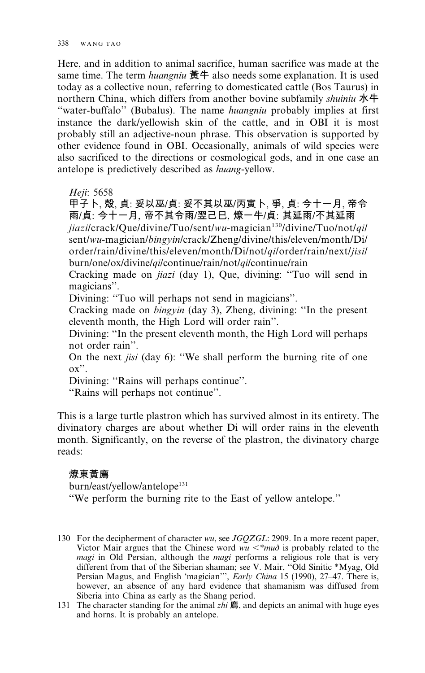Here, and in addition to animal sacrifice, human sacrifice was made at the same time. The term *huangniu* 黃牛 also needs some explanation. It is used today as a collective noun, referring to domesticated cattle (Bos Taurus) in northern China, which differs from another bovine subfamily shuiniu 水牛 "water-buffalo" (Bubalus). The name *huangniu* probably implies at first instance the dark/vellowish skin of the cattle, and in OBI it is most probably still an adjective-noun phrase. This observation is supported by other evidence found in OBI. Occasionally, animals of wild species were also sacrificed to the directions or cosmological gods, and in one case an antelope is predictively described as *huang-yellow*.

Heji: 5658

甲子卜, 殻, 貞: 妥以巫/貞: 妥不其以巫/丙寅卜, 爭, 貞: 今十一月, 帝令 雨/貞:今十一月、帝不其令雨/翌己巳、燎一牛/貞:其延雨/不其延雨 jiazilcrack/Que/divine/Tuo/sent/wu-magician<sup>130</sup>/divine/Tuo/not/qil sent/wu-magician/bingyin/crack/Zheng/divine/this/eleven/month/Di/ order/rain/divine/this/eleven/month/Di/not/qi/order/rain/next/jisi/ burn/one/ox/divine/qi/continue/rain/not/qi/continue/rain

Cracking made on *jiazi* (day 1), Oue, divining: "Tuo will send in magicians".

Divining: "Tuo will perhaps not send in magicians".

Cracking made on *bingyin* (day 3), Zheng, divining: "In the present eleventh month, the High Lord will order rain".

Divining: "In the present eleventh month, the High Lord will perhaps not order rain".

On the next *jisi* (day 6): "We shall perform the burning rite of one  $\alpha$ <sup>".</sup>

Divining: "Rains will perhaps continue".

"Rains will perhaps not continue".

This is a large turtle plastron which has survived almost in its entirety. The divinatory charges are about whether Di will order rains in the eleventh month. Significantly, on the reverse of the plastron, the divinatory charge reads:

#### 燎東黃廌

burn/east/yellow/antelope<sup>131</sup> "We perform the burning rite to the East of yellow antelope."

<sup>130</sup> For the decipherment of character wu, see JGQZGL: 2909. In a more recent paper, Victor Mair argues that the Chinese word  $wu \lt^* m u \delta$  is probably related to the *magi* in Old Persian, although the *magi* performs a religious role that is very different from that of the Siberian shaman; see V. Mair, "Old Sinitic \*Myag, Old<br>Persian Magus, and English 'magician'", *Early China* 15 (1990), 27–47. There is, however, an absence of any hard evidence that shamanism was diffused from Siberia into China as early as the Shang period.

<sup>131</sup> The character standing for the animal  $zhi$   $\bf \bar{m}$ , and depicts an animal with huge eyes and horns. It is probably an antelope.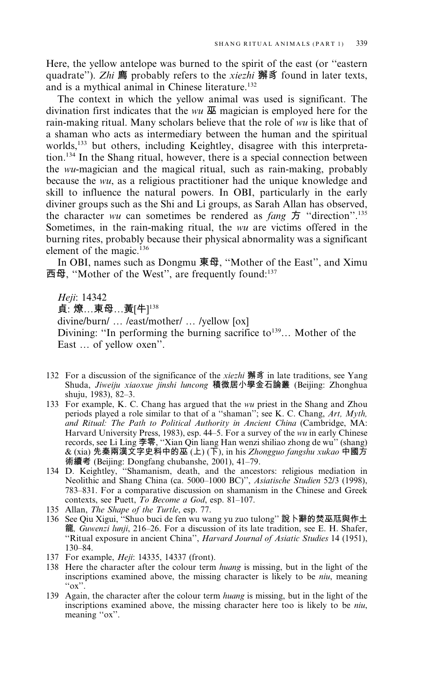Here, the vellow antelope was burned to the spirit of the east (or "eastern" quadrate"). Zhi 廌 probably refers to the *xiezhi* 獬豸 found in later texts. and is a mythical animal in Chinese literature.<sup>132</sup>

The context in which the yellow animal was used is significant. The divination first indicates that the wu  $\overline{\mathbf{\Psi}}$  magician is employed here for the rain-making ritual. Many scholars believe that the role of wu is like that of a shaman who acts as intermediary between the human and the spiritual worlds,<sup>133</sup> but others, including Keightley, disagree with this interpretation.<sup>134</sup> In the Shang ritual, however, there is a special connection between the wu-magician and the magical ritual, such as rain-making, probably because the *wu*, as a religious practitioner had the unique knowledge and skill to influence the natural powers. In OBI, particularly in the early diviner groups such as the Shi and Li groups, as Sarah Allan has observed, the character wu can sometimes be rendered as  $fang \, \mathcal{F}$  "direction".<sup>135</sup> Sometimes, in the rain-making ritual, the wu are victims offered in the burning rites, probably because their physical abnormality was a significant element of the magic.<sup>136</sup>

In OBI, names such as Dongmu 東母, "Mother of the East", and Ximu 西母, "Mother of the West", are frequently found:<sup>137</sup>

Heii: 14342 貞: 燎…東母…黃[牛]<sup>138</sup> divine/burn/ ... /east/mother/ ... /yellow [ox] Divining: "In performing the burning sacrifice to<sup>139</sup>... Mother of the East ... of yellow oxen".

- 132 For a discussion of the significance of the *xiezhi* 獬豸 in late traditions, see Yang Shuda, Jiweiju xiaoxue jinshi luncong 積微居小學金石論叢 (Beijing: Zhonghua shuju, 1983), 82-3.
- 133 For example, K. C. Chang has argued that the wu priest in the Shang and Zhou periods played a role similar to that of a "shaman"; see K. C. Chang, Art, Myth, and Ritual: The Path to Political Authority in Ancient China (Cambridge, MA: Harvard University Press, 1983), esp. 44–5. For a survey of the wu in early Chinese records, see Li Ling 李零, "Xian Qin liang Han wenzi shiliao zhong de wu" (shang) & (xia) 先秦兩漢文字史料中的巫(上) (下), in his Zhongguo fangshu xukao 中國方 術續考 (Beijing: Dongfang chubanshe, 2001), 41-79.
- 134 D. Keightley, "Shamanism, death, and the ancestors: religious mediation in Neolithic and Shang China (ca. 5000-1000 BC)", Asiatische Studien 52/3 (1998), 783–831. For a comparative discussion on shamanism in the Chinese and Greek contexts, see Puett, To Become a God, esp. 81-107.
- 135 Allan, The Shape of the Turtle, esp. 77.
- 136 See Qiu Xigui, "Shuo buci de fen wu wang yu zuo tulong" 說卜辭的焚巫尫與作土 龍, Guwenzi lunji, 216–26. For a discussion of its late tradition, see E. H. Shafer, "Ritual exposure in ancient China", Harvard Journal of Asiatic Studies 14 (1951),  $130 - 84$ .
- 137 For example, *Heji*: 14335, 14337 (front).
- 138 Here the character after the colour term huang is missing, but in the light of the inscriptions examined above, the missing character is likely to be *niu*, meaning  $\alpha$  ox".
- 139 Again, the character after the colour term *huang* is missing, but in the light of the inscriptions examined above, the missing character here too is likely to be niu, meaning "ox".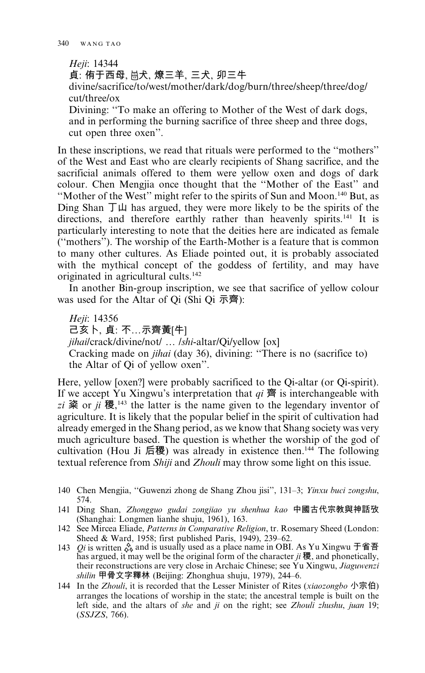Heji: 14344 貞: 侑于西母、恩犬、燎三羊、三犬、卯三牛 divine/sacrifice/to/west/mother/dark/dog/burn/three/sheep/three/dog/ cut/three/ox Divining: "To make an offering to Mother of the West of dark dogs, and in performing the burning sacrifice of three sheep and three dogs, cut open three oxen".

In these inscriptions, we read that rituals were performed to the "mothers" of the West and East who are clearly recipients of Shang sacrifice, and the sacrificial animals offered to them were vellow oxen and dogs of dark colour. Chen Mengjia once thought that the "Mother of the East" and "Mother of the West" might refer to the spirits of Sun and Moon.<sup>140</sup> But, as Ding Shan  $\top \mathbf{\mu}$  has argued, they were more likely to be the spirits of the directions, and therefore earthly rather than heavenly spirits.<sup>141</sup> It is particularly interesting to note that the deities here are indicated as female ("mothers"). The worship of the Earth-Mother is a feature that is common to many other cultures. As Eliade pointed out, it is probably associated with the mythical concept of the goddess of fertility, and may have originated in agricultural cults.<sup>142</sup>

In another Bin-group inscription, we see that sacrifice of yellow colour was used for the Altar of  $\overline{O}$  (Shi  $\overline{O}$   $\overline{\pi}$ ):

Heji: 14356 己亥卜、貞:不…示齊黃[牛] jihailcrack/divine/not/ ... /shi-altar/Qi/yellow [ox] Cracking made on *jihai* (day 36), divining: "There is no (sacrifice to) the Altar of Oi of yellow oxen".

Here, yellow [oxen?] were probably sacrificed to the Qi-altar (or Qi-spirit). If we accept Yu Xingwu's interpretation that  $qi \nightharpoonup qi$  is interchangeable with  $zi$  粢 or  $ji$  稷,<sup>143</sup> the latter is the name given to the legendary inventor of agriculture. It is likely that the popular belief in the spirit of cultivation had already emerged in the Shang period, as we know that Shang society was very much agriculture based. The question is whether the worship of the god of cultivation (Hou Ji 后稷) was already in existence then.<sup>144</sup> The following textual reference from Shiji and Zhouli may throw some light on this issue.

- 140 Chen Mengjia, "Guwenzi zhong de Shang Zhou jisi", 131–3; Yinxu buci zongshu, 574.
- 141 Ding Shan, Zhongguo gudai zongjiao yu shenhua kao 中國古代宗教與神話攷 (Shanghai: Longmen lianhe shuju, 1961), 163.
- 142 See Mircea Eliade, Patterns in Comparative Religion, tr. Rosemary Sheed (London: sheed & Ward, 1958; first published Paris, 1949), 239–62.<br>143 *Qi* is written  $\frac{5}{6}$  and is usually used as a place name in OBI. As Yu Xingwu  $\pm$  and  $\frac{2}{3}$
- has argued, it may well be the original form of the character  $ji$  稷, and phonetically, their reconstructions are very close in Archaic Chinese; see Yu Xingwu, Jiaguwenzi shilin 甲骨文字釋林 (Beijing: Zhonghua shuju, 1979), 244-6.
- 144 In the Zhouli, it is recorded that the Lesser Minister of Rites (xiaozongbo 小宗伯) arranges the locations of worship in the state; the ancestral temple is built on the left side, and the altars of she and ji on the right; see Zhouli zhushu, juan 19;  $(SSJZS, 766)$ .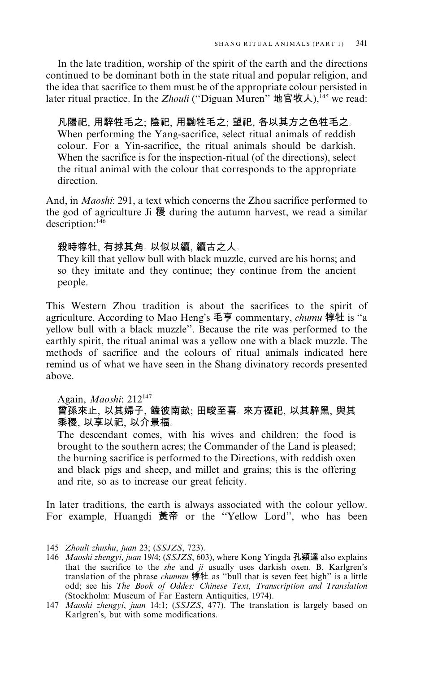In the late tradition, worship of the spirit of the earth and the directions continued to be dominant both in the state ritual and popular religion, and the idea that sacrifice to them must be of the appropriate colour persisted in later ritual practice. In the *Zhouli* ("Diguan Muren" 地官牧人).<sup>[45</sup> we read:

凡陽祀, 用騂牲毛之; 陰祀, 用黝牲毛之; 望祀, 各以其方之色牲毛之。 When performing the Yang-sacrifice, select ritual animals of reddish colour. For a Yin-sacrifice, the ritual animals should be darkish. When the sacrifice is for the inspection-ritual (of the directions), select the ritual animal with the colour that corresponds to the appropriate direction.

And, in *Maoshi*: 291, a text which concerns the Zhou sacrifice performed to the god of agriculture Ji 稷 during the autumn harvest, we read a similar description:<sup>146</sup>

# 殺時犉牡、有捄其角。以似以續、續古之人。

They kill that yellow bull with black muzzle, curved are his horns; and so they imitate and they continue; they continue from the ancient people.

This Western Zhou tradition is about the sacrifices to the spirit of agriculture. According to Mao Heng's 毛亨 commentary, *chumu* 犉牡 is "a yellow bull with a black muzzle". Because the rite was performed to the earthly spirit, the ritual animal was a yellow one with a black muzzle. The methods of sacrifice and the colours of ritual animals indicated here remind us of what we have seen in the Shang divinatory records presented above

# Again, Maoshi:  $212^{147}$ 曾孫來止、以其婦子、饁彼南畝;田畯至喜。來方禋祀、以其騂黑、與其 黍稷,以享以祀,以介景福。

The descendant comes, with his wives and children; the food is brought to the southern acres; the Commander of the Land is pleased; the burning sacrifice is performed to the Directions, with reddish oxen and black pigs and sheep, and millet and grains; this is the offering and rite, so as to increase our great felicity.

In later traditions, the earth is always associated with the colour vellow. For example, Huangdi 黃帝 or the "Yellow Lord", who has been

<sup>145</sup> Zhouli zhushu, juan 23; (SSJZS, 723).

<sup>146</sup> *Maoshi zhengyi, juan* 19/4; (*SSJZS*, 603), where Kong Yingda 孔穎達 also explains that the sacrifice to the she and ji usually uses darkish oxen. B. Karlgren's translation of the phrase *chunmu* 惇牡 as "bull that is seven feet high" is a little odd; see his The Book of Oddes: Chinese Text, Transcription and Translation (Stockholm: Museum of Far Eastern Antiquities, 1974).

<sup>147</sup> Maoshi zhengyi, juan 14:1; (SSJZS, 477). The translation is largely based on Karlgren's, but with some modifications.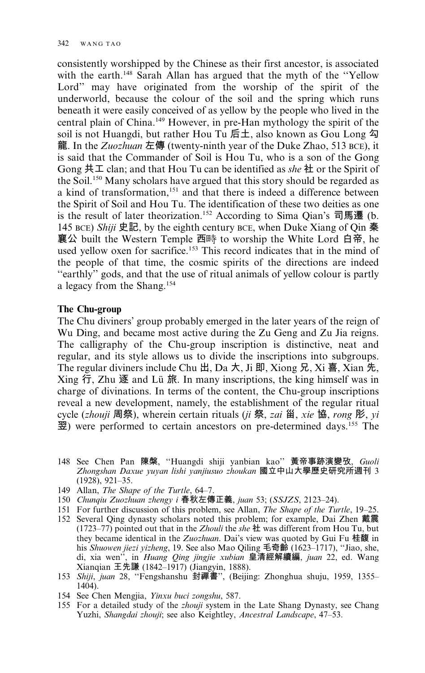consistently worshipped by the Chinese as their first ancestor, is associated with the earth.<sup>148</sup> Sarah Allan has argued that the myth of the "Yellow Lord" may have originated from the worship of the spirit of the underworld, because the colour of the soil and the spring which runs beneath it were easily conceived of as yellow by the people who lived in the central plain of China.<sup>149</sup> However, in pre-Han mythology the spirit of the soil is not Huangdi, but rather Hou Tu 后土, also known as Gou Long 勾 龍. In the Zuozhuan 左傳 (twenty-ninth year of the Duke Zhao, 513 BCE), it is said that the Commander of Soil is Hou Tu, who is a son of the Gong Gong  $\sharp\bot$  clan; and that Hou Tu can be identified as she  $\sharp\bot$  or the Spirit of the Soil.<sup>150</sup> Many scholars have argued that this story should be regarded as a kind of transformation,<sup>151</sup> and that there is indeed a difference between the Spirit of Soil and Hou Tu. The identification of these two deities as one is the result of later theorization.<sup>152</sup> According to Sima Qian's 司馬遷 (b. 145 BCE) Shiji 史記, by the eighth century BCE, when Duke Xiang of Qin 秦 襄公 built the Western Temple 西時 to worship the White Lord 白帝, he used yellow oxen for sacrifice.<sup>153</sup> This record indicates that in the mind of the people of that time, the cosmic spirits of the directions are indeed "earthly" gods, and that the use of ritual animals of yellow colour is partly a legacy from the Shang.<sup>154</sup>

#### The Chu-group

The Chu diviners' group probably emerged in the later years of the reign of Wu Ding, and became most active during the Zu Geng and Zu Jia reigns. The calligraphy of the Chu-group inscription is distinctive, neat and regular, and its style allows us to divide the inscriptions into subgroups. The regular diviners include Chu  $H$ , Da  $\pi$ , Ji  $H$ , Xiong  $H$ , Xi  $\bar{H}$ , Xian  $\bar{\pi}$ , Xing 行, Zhu 逐 and Lü 旅. In many inscriptions, the king himself was in charge of divinations. In terms of the content, the Chu-group inscriptions reveal a new development, namely, the establishment of the regular ritual cycle (zhouji 周祭), wherein certain rituals (ji 祭, zai 甾, xie 協, rong 肜, yi 翌) were performed to certain ancestors on pre-determined days.<sup>155</sup> The

- 148 See Chen Pan 陳槃, "Huangdi shiji yanbian kao" 黃帝事跡演變攷, Guoli Zhongshan Daxue yuyan lishi yanjiusuo zhoukan 國立中山大學歷史研究所週刊 3  $(1928), 921-35.$
- 149 Allan, The Shape of the Turtle, 64-7.
- 150 Chungiu Zuozhuan zhengy i 春秋左傳正義, juan 53; (SSJZS, 2123–24).
- 151 For further discussion of this problem, see Allan, The Shape of the Turtle, 19-25.
- 152 Several Qing dynasty scholars noted this problem; for example, Dai Zhen 戴震 (1723–77) pointed out that in the Zhouli the she  $\#$  was different from Hou Tu, but they became identical in the Zuozhuan. Dai's view was quoted by Gui Fu 桂馥 in his Shuowen jiezi yizheng, 19. See also Mao Qiling 毛奇齡 (1623–1717), "Jiao, she, di, xia wen", in *Huang Qing jingjie xubian* 皇清經解續編, *juan* 22, ed. Wang Xianqian 王先謙 (1842-1917) (Jiangyin, 1888).
- 153 Shiji, juan 28, "Fengshanshu 封禪書", (Beijing: Zhonghua shuju, 1959, 1355–  $1404$ ).
- 154 See Chen Mengjia, Yinxu buci zongshu, 587.
- 155 For a detailed study of the zhouji system in the Late Shang Dynasty, see Chang Yuzhi, Shangdai zhouji; see also Keightley, Ancestral Landscape, 47-53.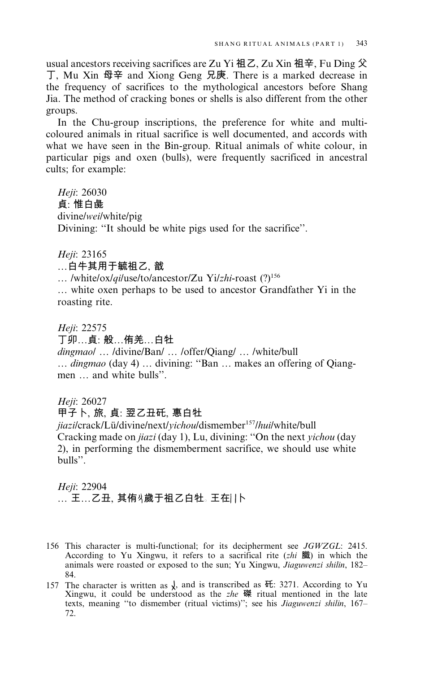usual ancestors receiving sacrifices are Zu Yi 祖乙, Zu Xin 祖辛, Fu Ding 父 丁, Mu Xin 母辛 and Xiong Geng 兄庚. There is a marked decrease in the frequency of sacrifices to the mythological ancestors before Shang Jia. The method of cracking bones or shells is also different from the other groups.

In the Chu-group inscriptions, the preference for white and multicoloured animals in ritual sacrifice is well documented, and accords with what we have seen in the Bin-group. Ritual animals of white colour, in particular pigs and oxen (bulls), were frequently sacrificed in ancestral cults; for example:

Heji: 26030 貞:惟白彘 divine/wei/white/pig Divining: "It should be white pigs used for the sacrifice".

Heji: 23165

…白牛其用于毓祖乙, 戠

... /white/ox/qi/use/to/ancestor/Zu Yi/zhi-roast (?)<sup>156</sup>

... white oxen perhaps to be used to ancestor Grandfather Yi in the roasting rite.

Heji: 22575

丁卯…貞: 般…侑羌…白牡

dingmaol ... /divine/Ban/ ... /offer/Qiang/ ... /white/bull ... dingmao (day 4) ... divining: "Ban ... makes an offering of Qiangmen ... and white bulls".

Heji: 26027

甲子卜,旅,貞:翌乙丑矺,惠白牡

jiazilcrack/Lü/divine/next/vichou/dismember<sup>157</sup>/hui/white/bull Cracking made on *jiazi* (day 1), Lu, divining: "On the next *yichou* (day 2), in performing the dismemberment sacrifice, we should use white bulls".

Heji: 22904 … 王…乙丑, 其侑∛歲于祖乙白牡。王在| |卜

- 156 This character is multi-functional; for its decipherment see JGWZGL: 2415. According to Yu Xingwu, it refers to a sacrifical rite  $(zhi \mathbb{R})$  in which the animals were roasted or exposed to the sun; Yu Xingwu, Jiaguwenzi shilin, 182– 84.
- 157 The character is written as  $\chi$ , and is transcribed as  $\overline{m}$ : 3271. According to Yu Xingwu, it could be understood as the zhe  $\ddot{\mathcal{R}}$  ritual mentioned in the late texts, meaning "to dismember (ritual victims)"; see his Jiaguwenzi shilin, 167-72.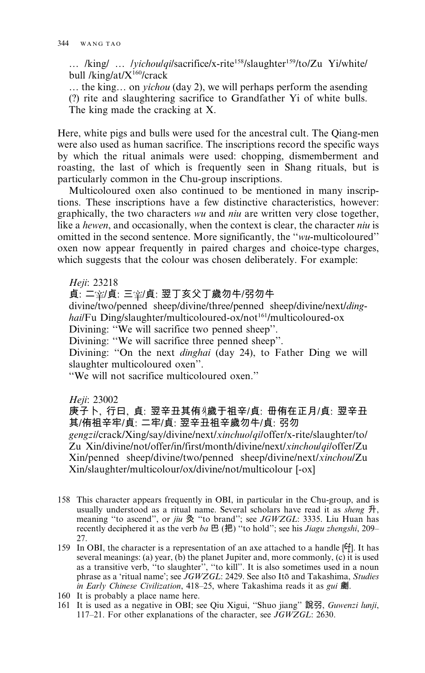... /king/ ... /*yichoulqilsacrifice/x-rite<sup>158</sup>/slaughter<sup>159</sup>/to/Zu Yi/white/* bull / $\text{king/at}/X^{160}/\text{crack}$ 

... the king... on *vichou* (day 2), we will perhaps perform the asending (?) rite and slaughtering sacrifice to Grandfather Yi of white bulls. The king made the cracking at X.

Here, white pigs and bulls were used for the ancestral cult. The Oiang-men were also used as human sacrifice. The inscriptions record the specific ways by which the ritual animals were used: chopping, dismemberment and roasting, the last of which is frequently seen in Shang rituals, but is particularly common in the Chu-group inscriptions.

Multicoloured oxen also continued to be mentioned in many inscriptions. These inscriptions have a few distinctive characteristics, however: graphically, the two characters wu and *niu* are written very close together, like a hewen, and occasionally, when the context is clear, the character niu is omitted in the second sentence. More significantly, the "wu-multicoloured" oxen now appear frequently in paired charges and choice-type charges, which suggests that the colour was chosen deliberately. For example:

Heji: 23218

貞: 二室/貞: 三室/貞: 翌丁亥父丁歲勿牛/弜勿牛

divine/two/penned sheep/divine/three/penned sheep/divine/next/dinghai/Fu Ding/slaughter/multicoloured-ox/not<sup>161</sup>/multicoloured-ox

Divining: "We will sacrifice two penned sheep".

Divining: "We will sacrifice three penned sheep".

Divining: "On the next *dinghai* (day 24), to Father Ding we will slaughter multicoloured oxen".

"We will not sacrifice multicoloured oxen."

Heji: 23002

庚子卜、行曰、貞: 翌辛丑其侑∛歲于祖辛/貞: 毌侑在正月/貞: 翌辛丑 其/侑祖辛牢/貞: 二牢/貞: 翌辛丑祖辛歲勿牛/貞: 弜勿

gengzilcrack/Xing/say/divine/next/xinchuolqiloffer/x-rite/slaughter/to/ Zu Xin/divine/not/offer/in/first/month/divine/next/xinchoulqiloffer/Zu Xin/penned sheep/divine/two/penned sheep/divine/next/xinchou/Zu Xin/slaughter/multicolour/ox/divine/not/multicolour [-ox]

- 158 This character appears frequently in OBI, in particular in the Chu-group, and is usually understood as a ritual name. Several scholars have read it as *sheng*  $H$ , meaning "to ascend", or jiu 灸 "to brand"; see JGWZGL: 3335. Liu Huan has recently deciphered it as the verb ba  $\mathbb B$  ( $\mathbb B$ ) "to hold"; see his Jiagu zhengshi, 209-27.
- 159 In OBI, the character is a representation of an axe attached to a handle [ $f$ ]. It has several meanings: (a) year, (b) the planet Jupiter and, more commonly, (c) it is used as a transitive verb, "to slaughter", "to kill". It is also sometimes used in a noun phrase as a 'ritual name'; see JGWZGL: 2429. See also Itō and Takashima, Studies in Early Chinese Civilization, 418-25, where Takashima reads it as gui 劌.
- 160 It is probably a place name here.
- 161 It is used as a negative in OBI; see Qiu Xigui, "Shuo jiang" 說引, Guwenzi lunji, 117-21. For other explanations of the character, see JGWZGL: 2630.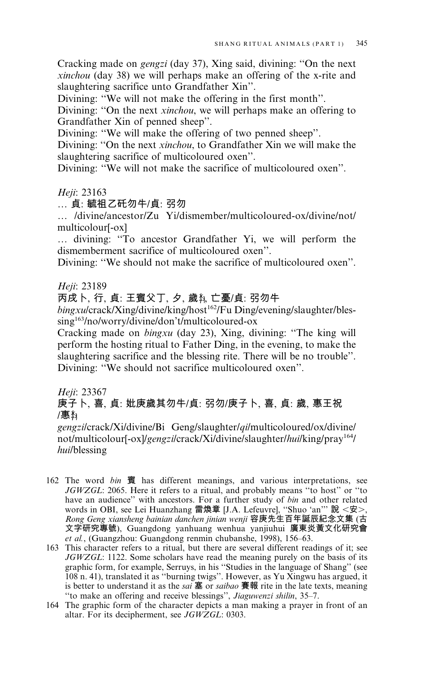Cracking made on *gengzi* (day 37), Xing said, divining: "On the next *xinchou* (day 38) we will perhaps make an offering of the x-rite and slaughtering sacrifice unto Grandfather Xin".

Divining: "We will not make the offering in the first month".

Divining: "On the next xinchou, we will perhaps make an offering to Grandfather Xin of penned sheep".

Divining: "We will make the offering of two penned sheep".

Divining: "On the next *xinchou*, to Grandfather Xin we will make the slaughtering sacrifice of multicoloured oxen".

Divining: "We will not make the sacrifice of multicoloured oxen".

Heji: 23163

... 貞: 毓祖乙矺勿牛/貞: 弜勿

... /divine/ancestor/Zu Yi/dismember/multicoloured-ox/divine/not/ multicolour<sup>[-ox]</sup>

... divining: "To ancestor Grandfather Yi, we will perform the dismemberment sacrifice of multicoloured oxen".

Divining: "We should not make the sacrifice of multicoloured oxen".

#### Heji: 23189

# 丙戌卜, 行, 貞: 王賓父丁, 夕, 歲執 亡憂/貞: 弜勿牛

bingxulcrack/Xing/divine/king/host<sup>162</sup>/Fu Ding/evening/slaughter/bles- $\frac{\sin g^{163}}{\cosh^2}$  o/worry/divine/don't/multicoloured-ox

Cracking made on *bingxu* (day 23), Xing, divining: "The king will perform the hosting ritual to Father Ding, in the evening, to make the slaughtering sacrifice and the blessing rite. There will be no trouble". Divining: "We should not sacrifice multicoloured oxen".

Heji: 23367

# 庚子卜, 喜, 貞: 妣庚歲其勿牛/貞: 弜勿/庚子卜, 喜, 貞: 歲, 惠王祝 /惠,

gengzilcrack/Xi/divine/Bi Geng/slaughter/qi/multicoloured/ox/divine/ not/multicolour[-ox]/gengzi/crack/Xi/divine/slaughter/hui/king/pray<sup>164</sup>/ hui/blessing

- 162 The word bin 賓 has different meanings, and various interpretations, see JGWZGL: 2065. Here it refers to a ritual, and probably means "to host" or "to have an audience" with ancestors. For a further study of bin and other related words in OBI, see Lei Huanzhang 雷煥章 [J.A. Lefeuvre], "Shuo 'an'" 說 <安>, Rong Geng xiansheng bainian danchen jinian wenji 容庚先生百年誕辰紀念文集(古 文字研究專號), Guangdong yanhuang wenhua yanjiuhui 廣東炎黃文化研究會 et al., (Guangzhou: Guangdong renmin chubanshe, 1998), 156–63.
- 163 This character refers to a ritual, but there are several different readings of it; see JGWZGL: 1122. Some scholars have read the meaning purely on the basis of its graphic form, for example, Serruys, in his "Studies in the language of Shang" (see 108 n. 41), translated it as "burning twigs". However, as Yu Xingwu has argued, it is better to understand it as the *sai* 塞 or *saibao* 賽報 rite in the late texts, meaning "to make an offering and receive blessings", Jiaguwenzi shilin, 35-7.
- 164 The graphic form of the character depicts a man making a prayer in front of an altar. For its decipherment, see JGWZGL: 0303.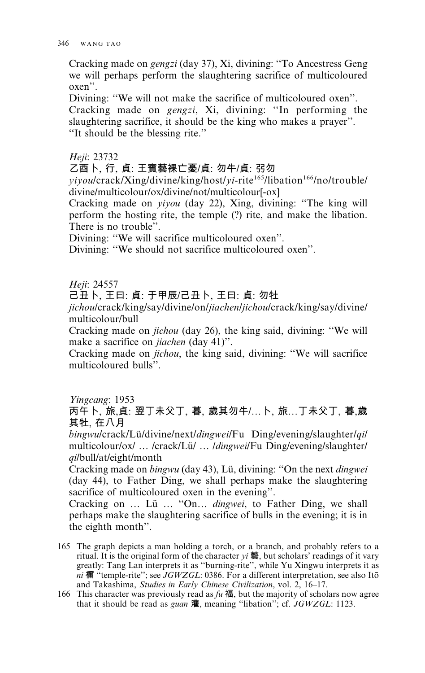Cracking made on *gengzi* (day 37), Xi, divining: "To Ancestress Geng we will perhaps perform the slaughtering sacrifice of multicoloured  $oxen$ ".

Divining: "We will not make the sacrifice of multicoloured oxen". Cracking made on *gengzi*, Xi, divining: "In performing the slaughtering sacrifice, it should be the king who makes a prayer". "It should be the blessing rite."

Heji: 23732

乙酉卜, 行, 貞: 王賓藝裸亡憂/貞: 勿牛/貞: 弜勿

*vivoulcrack/Xing/divine/king/host/vi-rite<sup>165</sup>/libation<sup>166</sup>/no/trouble/* divine/multicolour/ox/divine/not/multicolour[-ox]

Cracking made on *yiyou* (day 22), Xing, divining: "The king will perform the hosting rite, the temple (?) rite, and make the libation. There is no trouble".

Divining: "We will sacrifice multicoloured oxen".

Divining: "We should not sacrifice multicoloured oxen".

Heji: 24557

己丑卜,王曰:貞:于甲辰/己丑卜,王曰:貞:勿牡

*jichoulcrack/king/say/divine/on/jiachen/jichoulcrack/king/say/divine/* multicolour/bull

Cracking made on *jichou* (day 26), the king said, divining: "We will make a sacrifice on *jiachen* (day 41)".

Cracking made on *jichou*, the king said, divining: "We will sacrifice multicoloured bulls".

Yingcang: 1953

丙午卜、旅、貞:翌丁未父丁、暮、歲其勿牛/...卜、旅...丁未父丁、暮、歲 其牡, 在八月

bingwulcrack/Lü/divine/next/*dingwei*/Fu Ding/evening/slaughter/*qil* multicolour/ox/ ... /crack/Lü/ ... /*dingwei*/Fu Ding/evening/slaughter/ qi/bull/at/eight/month

Cracking made on bingwu (day 43), Lü, divining: "On the next dingwei (day 44), to Father Ding, we shall perhaps make the slaughtering sacrifice of multicoloured oxen in the evening".

Cracking on ... Lü ... "On... *dingwei*, to Father Ding, we shall perhaps make the slaughtering sacrifice of bulls in the evening; it is in the eighth month".

- 165 The graph depicts a man holding a torch, or a branch, and probably refers to a ritual. It is the original form of the character  $yi \equiv$ , but scholars' readings of it vary greatly: Tang Lan interprets it as "burning-rite", while Yu Xingwu interprets it as ni 禰 "temple-rite"; see  $JGWZGL$ : 0386. For a different interpretation, see also Itō and Takashima, Studies in Early Chinese Civilization, vol. 2, 16-17.
- 166 This character was previously read as  $fu$  福, but the majority of scholars now agree that it should be read as *guan* 灌, meaning "libation"; cf. *JGWZGL*: 1123.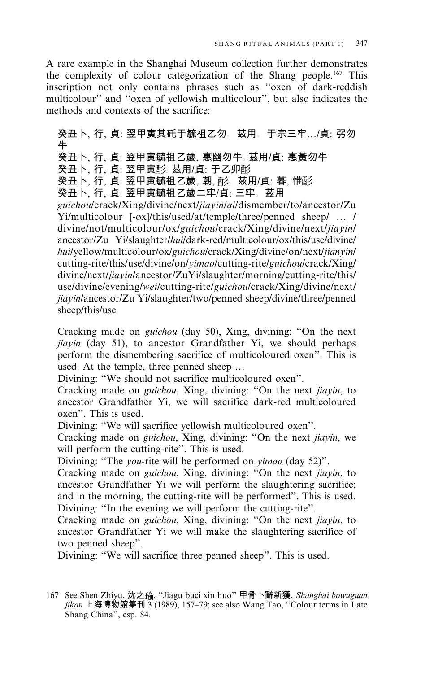A rare example in the Shanghai Museum collection further demonstrates the complexity of colour categorization of the Shang people.<sup>167</sup> This inscription not only contains phrases such as "oxen of dark-reddish multicolour" and "oxen of yellowish multicolour", but also indicates the methods and contexts of the sacrifice:

癸丑卜, 行, 貞: 翌甲寅其矺于毓祖乙勿。茲用。于宗三牢…/貞: 弜勿 牛 癸丑卜、行、貞: 翌甲寅毓祖乙歲、惠幽勿牛。茲用/貞: 惠黃勿牛 癸丑卜、行、貞:翌甲寅耏。 茲用/貞:于乙卯耏 癸丑卜、行、貞:翌甲寅毓祖乙歲、朝、耏。 茲用/貞: 暮、惟耏 癸丑卜, 行, 貞: 翌甲寅毓祖乙歲二牢/貞: 三牢。茲用 guichoulcrack/Xing/divine/next/jiayin/qi/dismember/to/ancestor/Zu Yi/multicolour [-ox]/this/used/at/temple/three/penned sheep/ ... / divine/not/multicolour/ox/guichou/crack/Xing/divine/next/jiayin/ ancestor/Zu Yi/slaughter/hui/dark-red/multicolour/ox/this/use/divine/ huilyellow/multicolour/ox/guichoulcrack/Xing/divine/on/next/jianyin/ cutting-rite/this/use/divine/on/vimao/cutting-rite/guichou/crack/Xing/ divine/next/jiayin/ancestor/ZuYi/slaughter/morning/cutting-rite/this/ use/divine/evening/wei/cutting-rite/guichou/crack/Xing/divine/next/ jiayin/ancestor/Zu Yi/slaughter/two/penned sheep/divine/three/penned sheep/this/use

Cracking made on *guichou* (day 50), Xing, divining: "On the next *jiayin* (day 51), to ancestor Grandfather Yi, we should perhaps perform the dismembering sacrifice of multicoloured oxen". This is used. At the temple, three penned sheep ...

Divining: "We should not sacrifice multicoloured oxen".

Cracking made on guichou, Xing, divining: "On the next jiayin, to ancestor Grandfather Yi, we will sacrifice dark-red multicoloured oxen". This is used.

Divining: "We will sacrifice yellowish multicoloured oxen".

Cracking made on *guichou*, Xing, divining: "On the next jiayin, we will perform the cutting-rite". This is used.

Divining: "The *you*-rite will be performed on *yimao* (day 52)".

Cracking made on *guichou*, Xing, divining: "On the next *jiayin*, to ancestor Grandfather Yi we will perform the slaughtering sacrifice; and in the morning, the cutting-rite will be performed". This is used. Divining: "In the evening we will perform the cutting-rite".

Cracking made on *guichou*, Xing, divining: "On the next *jiayin*, to ancestor Grandfather Yi we will make the slaughtering sacrifice of two penned sheep".

Divining: "We will sacrifice three penned sheep". This is used.

<sup>167</sup> See Shen Zhiyu, 沈之瑜, "Jiagu buci xin huo" 甲骨卜辭新獲, Shanghai bowuguan jikan 上海博物館集刊 3 (1989), 157-79; see also Wang Tao, "Colour terms in Late Shang China", esp. 84.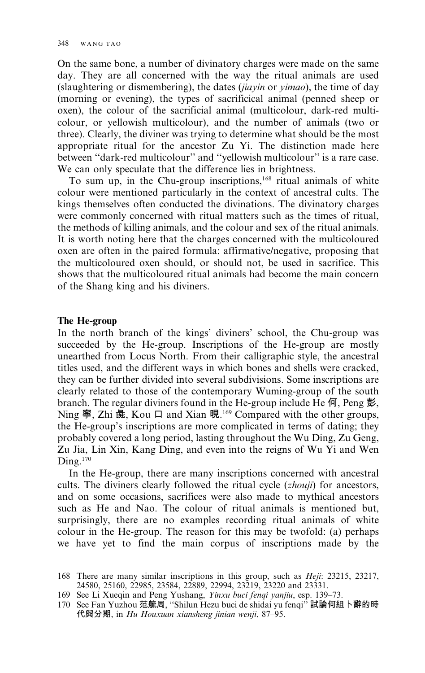On the same bone, a number of divinatory charges were made on the same day. They are all concerned with the way the ritual animals are used (slaughtering or dismembering), the dates *(jiayin* or *yimao)*, the time of day (morning or evening), the types of sacrificical animal (penned sheep or oxen), the colour of the sacrificial animal (multicolour, dark-red multicolour, or yellowish multicolour), and the number of animals (two or three). Clearly, the diviner was trying to determine what should be the most appropriate ritual for the ancestor Zu Yi. The distinction made here between "dark-red multicolour" and "yellowish multicolour" is a rare case. We can only speculate that the difference lies in brightness.

To sum up, in the Chu-group inscriptions,<sup>168</sup> ritual animals of white colour were mentioned particularly in the context of ancestral cults. The kings themselves often conducted the divinations. The divinatory charges were commonly concerned with ritual matters such as the times of ritual, the methods of killing animals, and the colour and sex of the ritual animals. It is worth noting here that the charges concerned with the multicoloured oxen are often in the paired formula: affirmative/negative, proposing that the multicoloured oxen should, or should not, be used in sacrifice. This shows that the multicoloured ritual animals had become the main concern of the Shang king and his diviners.

#### The He-group

In the north branch of the kings' diviners' school, the Chu-group was succeeded by the He-group. Inscriptions of the He-group are mostly unearthed from Locus North. From their calligraphic style, the ancestral titles used, and the different ways in which bones and shells were cracked, they can be further divided into several subdivisions. Some inscriptions are clearly related to those of the contemporary Wuming-group of the south branch. The regular diviners found in the He-group include He  $\overline{q}$ , Peng 彭, Ning 寧, Zhi 彘, Kou 口 and Xian 晛.<sup>169</sup> Compared with the other groups, the He-group's inscriptions are more complicated in terms of dating; they probably covered a long period, lasting throughout the Wu Ding, Zu Geng, Zu Jia, Lin Xin, Kang Ding, and even into the reigns of Wu Yi and Wen  $\text{D}$ ing.<sup>170</sup>

In the He-group, there are many inscriptions concerned with ancestral cults. The diviners clearly followed the ritual cycle (*zhouji*) for ancestors, and on some occasions, sacrifices were also made to mythical ancestors such as He and Nao. The colour of ritual animals is mentioned but, surprisingly, there are no examples recording ritual animals of white colour in the He-group. The reason for this may be twofold: (a) perhaps we have yet to find the main corpus of inscriptions made by the

<sup>168</sup> There are many similar inscriptions in this group, such as *Heji*: 23215, 23217, 24580, 25160, 22985, 23584, 22889, 22994, 23219, 23220 and 23331.

<sup>169</sup> See Li Xueqin and Peng Yushang, *Yinxu buci fenqi yanjiu*, esp. 139-73.<br>170 See Fan Yuzhou 范艈周, "Shilun Hezu buci de shidai yu fenqi" 試論何組卜辭的時 代與分期, in *Hu Houxuan xiansheng jinian wenji*, 87–95.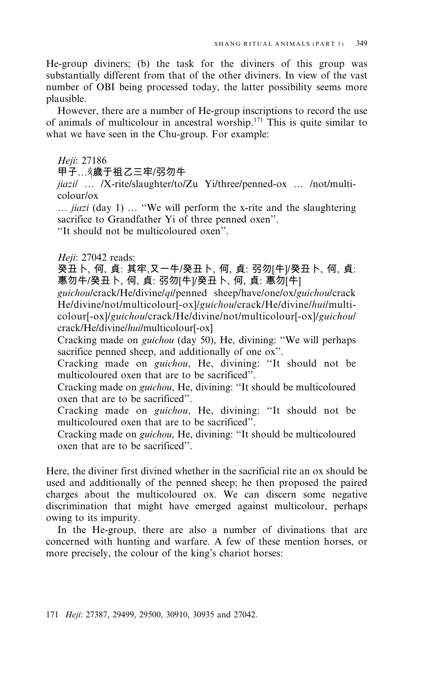He-group diviners: (b) the task for the diviners of this group was substantially different from that of the other diviners. In view of the vast number of OBI being processed today, the latter possibility seems more plausible.

However, there are a number of He-group inscriptions to record the use of animals of multicolour in ancestral worship.<sup>171</sup> This is quite similar to what we have seen in the Chu-group. For example:

Heji: 27186

甲子… 《歲于祖乙三牢/弜勿牛

jiazil ... /X-rite/slaughter/to/Zu Yi/three/penned-ox ... /not/multi- $\frac{1}{2}$ 

... *jiazi* (day 1) ... "We will perform the x-rite and the slaughtering sacrifice to Grandfather Yi of three penned oxen".

"It should not be multicoloured oxen".

Heji: 27042 reads:

癸丑卜, 何, 貞: 其牢,又一牛/癸丑卜, 何, 貞: 弜勿[牛]/癸丑卜, 何, 貞: 惠勿牛/癸丑卜, 何, 貞: 弜勿[牛]/癸丑卜, 何, 貞: 惠勿[牛]

guichoulcrack/Heldivinelqilpenned sheep/haveloneloxlguichoulcrack He/divine/not/multicolour[-ox]/guichou/crack/He/divine/hui/multicolour[-ox]/guichou/crack/He/divine/not/multicolour[-ox]/guichou/ crack/He/divine/hui/multicolour[-ox]

Cracking made on *guichou* (day 50), He, divining: "We will perhaps sacrifice penned sheep, and additionally of one ox".

Cracking made on *guichou*, He, divining: "It should not be multicoloured oxen that are to be sacrificed".

Cracking made on *guichou*, He, divining: "It should be multicoloured oxen that are to be sacrificed".

Cracking made on guichou, He, divining: "It should not be multicoloured oxen that are to be sacrificed".

Cracking made on *guichou*, He, divining: "It should be multicoloured oxen that are to be sacrificed"

Here, the diviner first divined whether in the sacrificial rite an ox should be used and additionally of the penned sheep; he then proposed the paired charges about the multicoloured ox. We can discern some negative discrimination that might have emerged against multicolour, perhaps owing to its impurity.

In the He-group, there are also a number of divinations that are concerned with hunting and warfare. A few of these mention horses, or more precisely, the colour of the king's chariot horses: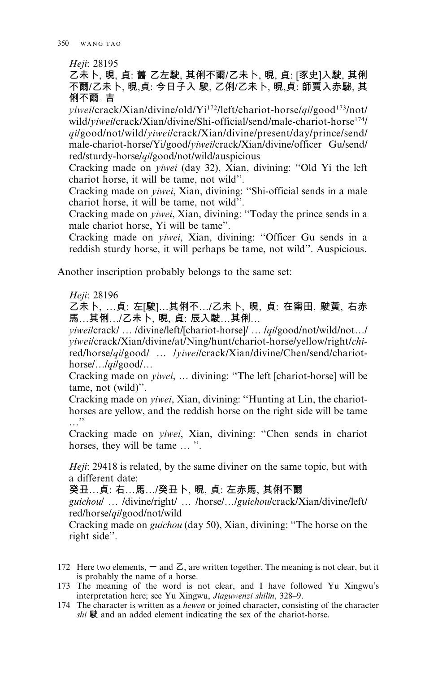Heji: 28195

乙未卜, 晛, 貞; 舊 乙左駛, 其俐不爾/乙未卜, 晛, 貞; [豕史]入駛, 其俐 不爾/乙未卜, 晛,貞; 今日子入 駛, 乙俐/乙未卜, 晛,貞; 師賈入赤駜, 其 俐不爾。吉

 $vieweilcrack/Xian/divine/old/Yi<sup>172</sup>/left/chariot-horse/ailgood<sup>173</sup>/not/$ wild/viwei/crack/Xian/divine/Shi-official/send/male-chariot-horse<sup>174</sup>/ *ailgood/not/wild/viwei/crack/Xian/divine/present/day/prince/send/* male-chariot-horse/Yi/good/viwei/crack/Xian/divine/officer Gu/send/ red/sturdy-horse/*qi*/good/not/wild/auspicious

Cracking made on *viwei* (day 32), Xian, divining: "Old Yi the left chariot horse, it will be tame, not wild".

Cracking made on *viwei*, Xian, divining: "Shi-official sends in a male chariot horse, it will be tame, not wild".

Cracking made on *yiwei*, Xian, divining: "Today the prince sends in a male chariot horse, Yi will be tame".

Cracking made on *yiwei*, Xian, divining: "Officer Gu sends in a reddish sturdy horse, it will perhaps be tame, not wild". Auspicious.

Another inscription probably belongs to the same set:

Heji: 28196

乙未卜、…貞: 左[駛]…其俐不…/乙未卜、晛、貞: 在甯田、駛黃、右赤 馬…其俐…/乙未卜, 晛, 貞: 辰入駛…其俐…

*viweilcrack/.../divine/left/[chariot-horse]/.../qilgood/not/wild/not.../* yiweilcrack/Xian/divine/at/Ning/hunt/chariot-horse/yellow/right/chired/horse/qilgood/ ... /viweilcrack/Xian/divine/Chen/send/chariot $horse/$ ... $\frac{qilgood}{q}$ ...

Cracking made on *yiwei*, ... divining: "The left [chariot-horse] will be tame, not (wild)".

Cracking made on *yiwei*, Xian, divining: "Hunting at Lin, the chariothorses are yellow, and the reddish horse on the right side will be tame  $\ldots$ .

Cracking made on *yiwei*, Xian, divining: "Chen sends in chariot horses, they will be tame ... ".

*Heji*: 29418 is related, by the same diviner on the same topic, but with a different date:

癸丑…貞: 右…馬…/癸丑卜, 晛, 貞: 左赤馬, 其俐不爾

guichoul ... /divine/right/ ... /horse/.../guichou/crack/Xian/divine/left/ red/horse/*qil* good/not/wild

Cracking made on *guichou* (day 50), Xian, divining: "The horse on the right side".

- 172 Here two elements,  $-$  and  $Z$ , are written together. The meaning is not clear, but it is probably the name of a horse.
- 173 The meaning of the word is not clear, and I have followed Yu Xingwu's interpretation here; see Yu Xingwu, Jiaguwenzi shilin, 328-9.
- 174 The character is written as a hewen or joined character, consisting of the character shi 駛 and an added element indicating the sex of the chariot-horse.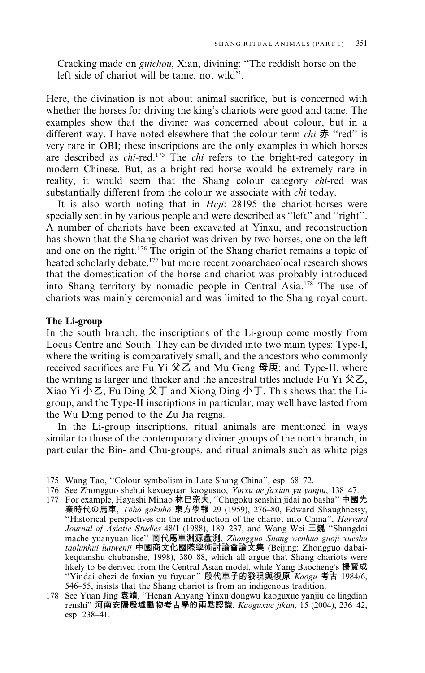Cracking made on *guichou*, Xian, divining: "The reddish horse on the left side of chariot will be tame, not wild".

Here, the divination is not about animal sacrifice, but is concerned with whether the horses for driving the king's chariots were good and tame. The examples show that the diviner was concerned about colour, but in a different way. I have noted elsewhere that the colour term *chi* 赤 "red" is very rare in OBI; these inscriptions are the only examples in which horses are described as *chi*-red.<sup>175</sup> The *chi* refers to the bright-red category in modern Chinese. But, as a bright-red horse would be extremely rare in reality, it would seem that the Shang colour category *chi-red* was substantially different from the colour we associate with *chi* today.

It is also worth noting that in *Heji*: 28195 the chariot-horses were specially sent in by various people and were described as "left" and "right". A number of chariots have been excavated at Yinxu, and reconstruction has shown that the Shang chariot was driven by two horses, one on the left and one on the right.<sup>176</sup> The origin of the Shang chariot remains a topic of heated scholarly debate,<sup>177</sup> but more recent zooarchaeolocal research shows that the domestication of the horse and chariot was probably introduced into Shang territory by nomadic people in Central Asia.<sup>178</sup> The use of chariots was mainly ceremonial and was limited to the Shang royal court.

#### The Li-group

In the south branch, the inscriptions of the Li-group come mostly from Locus Centre and South. They can be divided into two main types: Type-I, where the writing is comparatively small, and the ancestors who commonly received sacrifices are Fu Yi 父乙 and Mu Geng 母庚; and Type-II, where the writing is larger and thicker and the ancestral titles include Fu Yi  $\&Z$ , Xiao Yi  $\forall$  Z, Fu Ding  $\&$  T and Xiong Ding  $\oint$  T. This shows that the Ligroup, and the Type-II inscriptions in particular, may well have lasted from the Wu Ding period to the Zu Jia reigns.

In the Li-group inscriptions, ritual animals are mentioned in ways similar to those of the contemporary diviner groups of the north branch, in particular the Bin- and Chu-groups, and ritual animals such as white pigs

- 176 See Zhongguo shehui kexueyuan kaogusuo, Yinxu de faxian yu yanjiu, 138-47.
- 177 For example, Hayashi Minao 林巳奈夫, "Chugoku senshin jidai no basha" 中國先 秦時代の馬車, Toho gakuho 東方學報 29 (1959), 276-80, Edward Shaughnessy, "Historical perspectives on the introduction of the chariot into China", *Harvard* Journal of Asiatic Studies 48/1 (1988), 189-237, and Wang Wei 王巍 "Shangdai mache yuanyuan lice" 商代馬車淵源蠡測, Zhongguo Shang wenhua guoji xueshu taolunhui lunwenji 中國商文化國際學術討論會論文集 (Beijing: Zhongguo dabaikequanshu chubanshe, 1998), 380-88, which all argue that Shang chariots were likely to be derived from the Central Asian model, while Yang Baocheng's 楊寶成 "Yindai chezi de faxian yu fuyuan" 殷代車子的發現與復原 Kaogu 考古 1984/6, 546–55, insists that the Shang chariot is from an indigenous tradition.
- 178 See Yuan Jing 袁靖, "Henan Anyang Yinxu dongwu kaoguxue yanjiu de lingdian renshi"河南安陽殷墟動物考古學的兩點認識, Kaoguxue jikan, 15 (2004), 236-42, esp. 238-41.

<sup>175</sup> Wang Tao, "Colour symbolism in Late Shang China", esp. 68-72.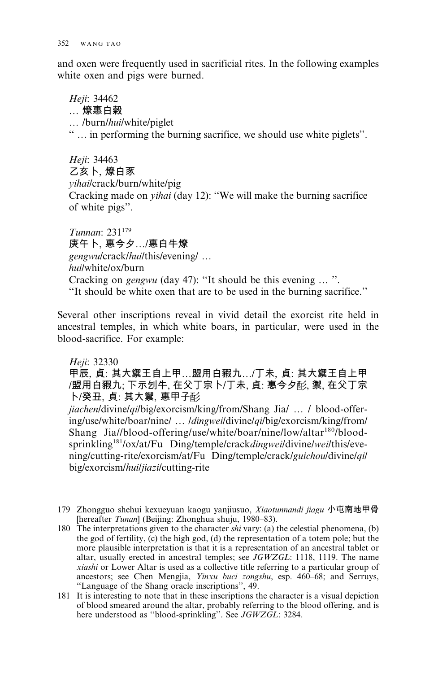and oxen were frequently used in sacrificial rites. In the following examples white oxen and pigs were burned.

Heji: 34462 .... 燎惠白穀 ... /burn/hui/white/piglet "... in performing the burning sacrifice, we should use white piglets".

Heii: 34463 乙亥卜,燎白豕 vihai/crack/burn/white/pig Cracking made on *vihai* (day 12): "We will make the burning sacrifice of white pigs".

Tunnan: 231<sup>179</sup> 庚午卜. 惠今夕…/惠白牛燎 *gengwulcrack/hui/this/evening/...* hui/white/ox/burn Cracking on *gengwu* (day 47): "It should be this evening ...". "It should be white oxen that are to be used in the burning sacrifice."

Several other inscriptions reveal in vivid detail the exorcist rite held in ancestral temples, in which white boars, in particular, were used in the blood-sacrifice. For example:

Heji: 32330

甲辰、貞:其大禦王自上甲...盟用白豭九.../丁未、貞:其大禦王自上甲 /盟用白豭九;下示刉牛,在父丁宗卜/丁未,貞:惠今夕耏,禦,在父丁宗 卜/癸丑、貞:其大禦、惠甲子酌

jiachen/divine/qi/big/exorcism/king/from/Shang Jia/ ... / blood-offering/use/white/boar/nine/ ... /dingwei/divine/qi/big/exorcism/king/from/ Shang Jia//blood-offering/use/white/boar/nine/low/altar<sup>180</sup>/bloodsprinkling<sup>181</sup>/ox/at/Fu Ding/temple/crackdingwei/divine/wei/this/evening/cutting-rite/exorcism/at/Fu Ding/temple/crack/guichou/divine/qi/ big/exorcism/huiljiazilcutting-rite

- 179 Zhongguo shehui kexueyuan kaogu yanjiusuo, *Xiaotunnandi jiagu* 小屯南地甲骨 [hereafter *Tunan*] (Beijing: Zhonghua shuju, 1980–83).
- 180 The interpretations given to the character  $\sin$  vary: (a) the celestial phenomena, (b) the god of fertility, (c) the high god, (d) the representation of a totem pole; but the more plausible interpretation is that it is a representation of an ancestral tablet or altar, usually erected in ancestral temples; see JGWZGL: 1118, 1119. The name xiashi or Lower Altar is used as a collective title referring to a particular group of ancestors; see Chen Mengjia, Yinxu buci zongshu, esp. 460-68; and Serruys, "Language of the Shang oracle inscriptions", 49.
- 181 It is interesting to note that in these inscriptions the character is a visual depiction of blood smeared around the altar, probably referring to the blood offering, and is here understood as "blood-sprinkling". See JGWZGL: 3284.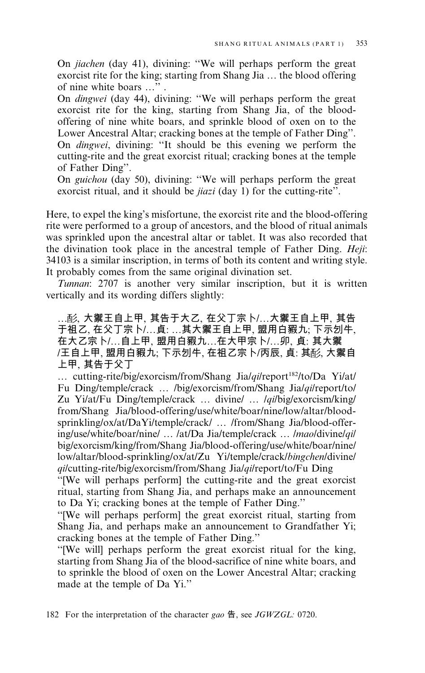On *jiachen* (day 41), divining: "We will perhaps perform the great exorcist rite for the king; starting from Shang Jia ... the blood offering of nine white boars ...".

On *dingwei* (day 44), divining: "We will perhaps perform the great exorcist rite for the king, starting from Shang Jia, of the bloodoffering of nine white boars, and sprinkle blood of oxen on to the Lower Ancestral Altar; cracking bones at the temple of Father Ding". On *dingwei*, divining: "It should be this evening we perform the cutting-rite and the great exorcist ritual; cracking bones at the temple of Father Ding".

On guichou (day 50), divining: "We will perhaps perform the great exorcist ritual, and it should be *jiazi* (day 1) for the cutting-rite".

Here, to expel the king's misfortune, the exorcist rite and the blood-offering rite were performed to a group of ancestors, and the blood of ritual animals was sprinkled upon the ancestral altar or tablet. It was also recorded that the divination took place in the ancestral temple of Father Ding. Heji: 34103 is a similar inscription, in terms of both its content and writing style. It probably comes from the same original divination set.

Tunnan: 2707 is another very similar inscription, but it is written vertically and its wording differs slightly:

…耏, 大禦王自上甲, 其告于大乙, 在父丁宗卜/…大禦王自上甲, 其告 于祖乙、在父丁宗卜/…貞:…其大禦王自上甲、盟用白豭九;下示刉牛, 在大乙宗卜/...自上甲,盟用白豭九...在大甲宗卜/...卯, 貞: 其大禦 /王自上甲、盟用白豭九; 下示刉牛, 在祖乙宗卜/丙辰, 貞: 其耏, 大禦自 上甲、其告于父丁

... cutting-rite/big/exorcism/from/Shang Jia/qi/report<sup>182</sup>/to/Da Yi/at/ Fu Ding/temple/crack ... /big/exorcism/from/Shang Jia/qi/report/to/ Zu Yi/at/Fu Ding/temple/crack ... divine/ ... *lqilbig/exorcism/king/* from/Shang Jia/blood-offering/use/white/boar/nine/low/altar/bloodsprinkling/ox/at/DaYi/temple/crack/ ... /from/Shang Jia/blood-offering/use/white/boar/nine/ ... /at/Da Jia/temple/crack ... /mao/divine/qi/ big/exorcism/king/from/Shang Jia/blood-offering/use/white/boar/nine/ low/altar/blood-sprinkling/ox/at/Zu Yi/temple/crack/bingchen/divine/ qilcutting-rite/big/exorcism/from/Shang Jialqilreport/to/Fu Ding

"[We will perhaps perform] the cutting-rite and the great exorcist ritual, starting from Shang Jia, and perhaps make an announcement to Da Yi; cracking bones at the temple of Father Ding."

"[We will perhaps perform] the great exorcist ritual, starting from Shang Jia, and perhaps make an announcement to Grandfather Yi; cracking bones at the temple of Father Ding."

"[We will] perhaps perform the great exorcist ritual for the king, starting from Shang Jia of the blood-sacrifice of nine white boars, and to sprinkle the blood of oxen on the Lower Ancestral Altar; cracking made at the temple of Da Yi."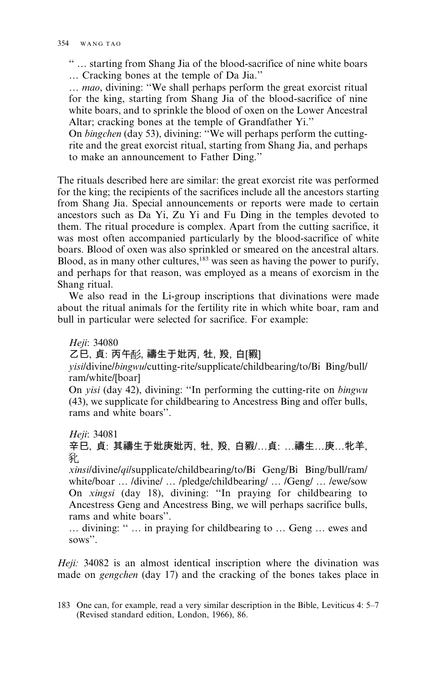"... starting from Shang Jia of the blood-sacrifice of nine white boars ... Cracking bones at the temple of Da Jia."

... mao, divining: "We shall perhaps perform the great exorcist ritual for the king, starting from Shang Jia of the blood-sacrifice of nine white boars, and to sprinkle the blood of oxen on the Lower Ancestral Altar; cracking bones at the temple of Grandfather Yi."

On bingchen (day 53), divining: "We will perhaps perform the cuttingrite and the great exorcist ritual, starting from Shang Jia, and perhaps to make an announcement to Father Ding."

The rituals described here are similar: the great exorcist rite was performed for the king; the recipients of the sacrifices include all the ancestors starting from Shang Jia. Special announcements or reports were made to certain ancestors such as Da Yi, Zu Yi and Fu Ding in the temples devoted to them. The ritual procedure is complex. Apart from the cutting sacrifice, it was most often accompanied particularly by the blood-sacrifice of white boars. Blood of oxen was also sprinkled or smeared on the ancestral altars. Blood, as in many other cultures,  $183$  was seen as having the power to purify, and perhaps for that reason, was employed as a means of exorcism in the Shang ritual.

We also read in the Li-group inscriptions that divinations were made about the ritual animals for the fertility rite in which white boar, ram and bull in particular were selected for sacrifice. For example:

Heji: 34080

乙巳、貞:丙午酚,禱生于妣丙,牡,羖,白[豭]

*visil*divine/bingwu/cutting-rite/supplicate/childbearing/to/Bi Bing/bull/ ram/white/[boar]

On *visi* (day 42), divining: "In performing the cutting-rite on *bingwu* (43), we supplicate for childbearing to Ancestress Bing and offer bulls, rams and white boars".

Heji: 34081

辛巳、貞:其禱生于妣庚妣丙、牡、羖、白豭/...貞:...禱生...庚...牝羊、 豾

xinsi/divine/qi/supplicate/childbearing/to/Bi Geng/Bi Bing/bull/ram/ white/boar ... /divine/ ... /pledge/childbearing/ ... /Geng/ ... /ewe/sow On xingsi (day 18), divining: "In praying for childbearing to Ancestress Geng and Ancestress Bing, we will perhaps sacrifice bulls, rams and white boars".

... divining: " ... in praying for childbearing to ... Geng ... ewes and sows".

Heji: 34082 is an almost identical inscription where the divination was made on *gengchen* (day 17) and the cracking of the bones takes place in

<sup>183</sup> One can, for example, read a very similar description in the Bible, Leviticus 4: 5–7 (Revised standard edition, London, 1966), 86.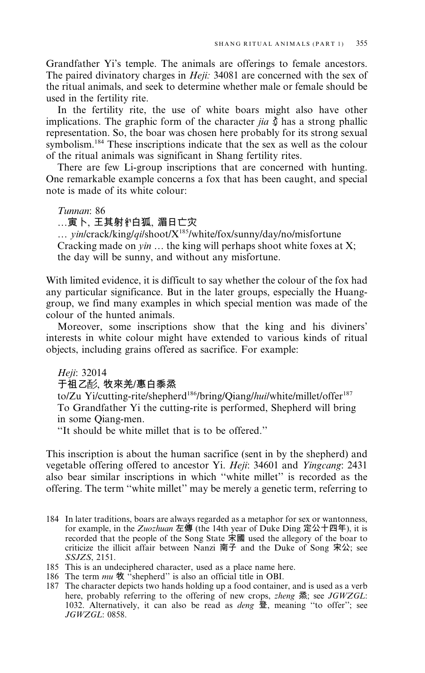Grandfather Yi's temple. The animals are offerings to female ancestors. The paired divinatory charges in *Heji*: 34081 are concerned with the sex of the ritual animals, and seek to determine whether male or female should be used in the fertility rite.

In the fertility rite, the use of white boars might also have other implications. The graphic form of the character *jia*  $\check{\S}$  has a strong phallic representation. So, the boar was chosen here probably for its strong sexual symbolism.<sup>184</sup> These inscriptions indicate that the sex as well as the colour of the ritual animals was significant in Shang fertility rites.

There are few Li-group inscriptions that are concerned with hunting. One remarkable example concerns a fox that has been caught, and special note is made of its white colour:

Tunnan: 86

…寅卜、王其射》白狐、湄日亡灾

... yin/crack/king/qi/shoot/X<sup>185</sup>/white/fox/sunny/day/no/misfortune Cracking made on  $y$ *in* ... the king will perhaps shoot white foxes at X; the day will be sunny, and without any misfortune.

With limited evidence, it is difficult to say whether the colour of the fox had any particular significance. But in the later groups, especially the Huanggroup, we find many examples in which special mention was made of the colour of the hunted animals.

Moreover, some inscriptions show that the king and his diviners' interests in white colour might have extended to various kinds of ritual objects, including grains offered as sacrifice. For example:

Heji: 32014

于祖乙酚、牧來羌/惠白黍烝

to/Zu Yi/cutting-rite/shepherd<sup>186</sup>/bring/Qiang/hui/white/millet/offer<sup>187</sup> To Grandfather Yi the cutting-rite is performed, Shepherd will bring in some Oiang-men.

"It should be white millet that is to be offered"

This inscription is about the human sacrifice (sent in by the shepherd) and vegetable offering offered to ancestor Yi. Heji: 34601 and Yingcang: 2431 also bear similar inscriptions in which "white millet" is recorded as the offering. The term "white millet" may be merely a genetic term, referring to

- 184 In later traditions, boars are always regarded as a metaphor for sex or wantonness, for example, in the Zuozhuan 左傳 (the 14th year of Duke Ding 定公十四年), it is recorded that the people of the Song State  $\overline{x}$  and the Ding Andre boar to criticize the illicit affair between Nanzi  $\overline{p}$  and the Duke of Song  $\overline{x}$   $\Delta$ ; see SSJZS, 2151.
- 185 This is an undeciphered character, used as a place name here.
- 
- 186 The term  $mu \, \mathfrak{R}$  "shepherd" is also an official title in OBI.<br>187 The character depicts two hands holding up a food container, and is used as a verb here, probably referring to the offering of new crops, *zheng* 烝; see *JGWZGL*: 1032. Alternatively, it can also be read as *deng* 登, meaning "to offer"; see  $JGWZGL: 0858.$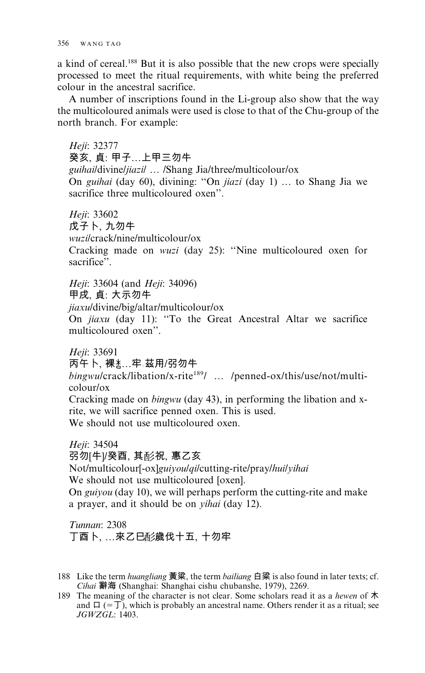a kind of cereal.<sup>188</sup> But it is also possible that the new crops were specially processed to meet the ritual requirements, with white being the preferred colour in the ancestral sacrifice.

A number of inscriptions found in the Li-group also show that the way the multicoloured animals were used is close to that of the Chu-group of the north branch. For example:

Heji: 32377 癸亥、貞: 甲子…上甲三勿牛 guihaildivine/jiazil ... /Shang Jia/three/multicolour/ox On guihai (day 60), divining: "On jiazi (day 1) ... to Shang Jia we sacrifice three multicoloured oxen".

Heji: 33602 戊子卜,九勿牛 wuzilcrack/nine/multicolour/ox Cracking made on *wuzi* (day 25): "Nine multicoloured oxen for sacrifice".

Heji: 33604 (and Heji: 34096) 甲戌 貞: 大示勿牛 *jiaxul* divine/big/altar/multicolour/ox On jiaxu (day 11): "To the Great Ancestral Altar we sacrifice multicoloured oxen".

Heji: 33691 丙午卜,裸 、平。茲用/弜勿牛 bingwulcrack/libation/x-rite<sup>189</sup>/ ... /penned-ox/this/use/not/multicolour/ox Cracking made on *bingwu* (day 43), in performing the libation and xrite, we will sacrifice penned oxen. This is used.

We should not use multicoloured oxen.

Heii: 34504 弜勿[牛]/癸酉、其耏祝、惠乙亥 Not/multicolour[-ox]guiyoulqilcutting-rite/pray/huilyihai We should not use multicoloured [oxen]. On *guiyou* (day 10), we will perhaps perform the cutting-rite and make a prayer, and it should be on *yihai* (day 12).

Tunnan: 2308 丁酉卜, …來乙巳彭歲伐十五, 十勿牢

- 188 Like the term *huangliang* 黃粱, the term *bailiang* 白粱 is also found in later texts; cf. Cihai 辭海 (Shanghai: Shanghai cishu chubanshe, 1979), 2269.
- 189 The meaning of the character is not clear. Some scholars read it as a hewen of  $\dot{\mathcal{R}}$ and  $\Box$  (=  $\Box$ ), which is probably an ancestral name. Others render it as a ritual; see  $JGWZGL: 1403.$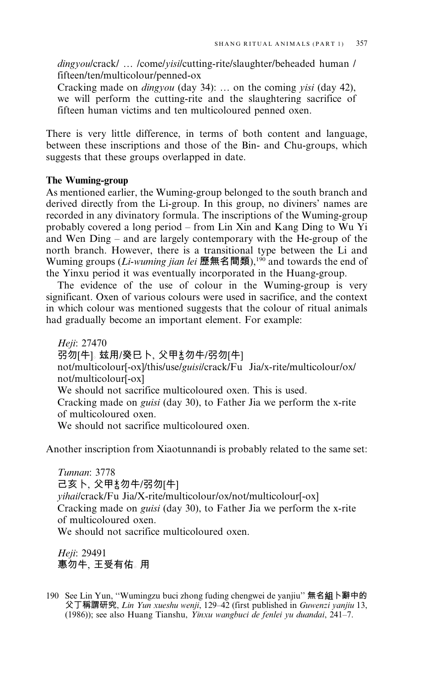*dingvoulcrack/ ... /come/visi/cutting-rite/slaughter/beheaded human /* fifteen/ten/multicolour/penned-ox

Cracking made on *dingyou* (day 34): ... on the coming *yisi* (day 42), we will perform the cutting-rite and the slaughtering sacrifice of fifteen human victims and ten multicoloured penned oxen.

There is very little difference, in terms of both content and language, between these inscriptions and those of the Bin- and Chu-groups, which suggests that these groups overlapped in date.

## The Wuming-group

As mentioned earlier, the Wuming-group belonged to the south branch and derived directly from the Li-group. In this group, no diviners' names are recorded in any divinatory formula. The inscriptions of the Wuming-group probably covered a long period – from Lin Xin and Kang Ding to Wu Yi and Wen Ding – and are largely contemporary with the He-group of the north branch. However, there is a transitional type between the Li and Wuming groups (*Li-wuming jian lei* 歷無名間類),<sup>190</sup> and towards the end of the Yinxu period it was eventually incorporated in the Huang-group.

The evidence of the use of colour in the Wuming-group is very significant. Oxen of various colours were used in sacrifice, and the context in which colour was mentioned suggests that the colour of ritual animals had gradually become an important element. For example:

Heji: 27470 弜勿[牛]。玆用/癸巳卜、父甲\*\*勿牛/弜勿[牛] not/multicolour[-ox]/this/use/guisi/crack/Fu Jia/x-rite/multicolour/ox/ not/multicolour[-ox] We should not sacrifice multicoloured oxen. This is used. Cracking made on *guisi* (day 30), to Father Jia we perform the x-rite of multicoloured oxen. We should not sacrifice multicoloured oxen.

Another inscription from Xiaotunnandi is probably related to the same set:

Tunnan: 3778 己亥卜,父甲\*\*勿牛/弜勿[牛] yihai/crack/Fu Jia/X-rite/multicolour/ox/not/multicolour[-ox] Cracking made on *guisi* (day 30), to Father Jia we perform the x-rite of multicoloured oxen. We should not sacrifice multicoloured oxen.

Heji: 29491 惠勿牛、王受有佑。用

190 See Lin Yun, "Wumingzu buci zhong fuding chengwei de yanjiu" 無名組卜辭中的 父丁稱謂研究, Lin Yun xueshu wenji, 129-42 (first published in Guwenzi yanjiu 13, (1986)); see also Huang Tianshu, Yinxu wangbuci de fenlei yu duandai, 241-7.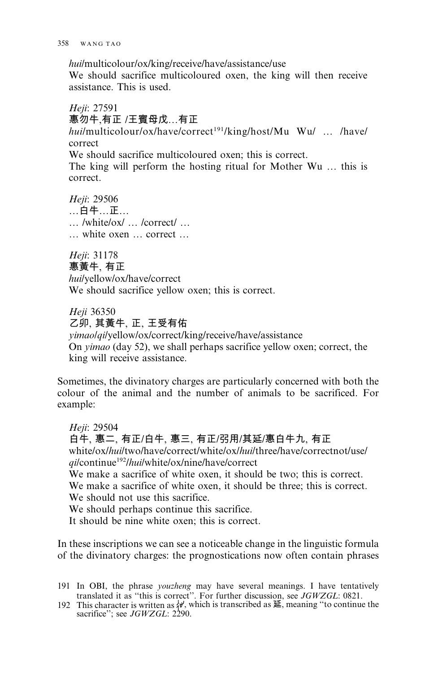hui/multicolour/ox/king/receive/have/assistance/use

We should sacrifice multicoloured oxen, the king will then receive assistance. This is used.

Heji: 27591 惠勿牛,有正 /王賓母戊…有正 hui/multicolour/ox/have/correct<sup>191</sup>/king/host/Mu Wu/ ... /have/ correct We should sacrifice multicoloured oxen: this is correct.

The king will perform the hosting ritual for Mother Wu ... this is correct.

Heji: 29506 …白牛…正…  $\ldots$ /white/ox/ $\ldots$ /correct/ $\ldots$ ... white oxen ... correct ...

Heji: 31178 惠黃牛, 有正 hui/yellow/ox/have/correct We should sacrifice yellow oxen; this is correct.

Heji 36350 乙卯, 其黃牛, 正, 王受有佑 *vimaolqilyellow/ox/correct/king/receive/have/assistance* On *yimao* (day 52), we shall perhaps sacrifice yellow oxen; correct, the king will receive assistance.

Sometimes, the divinatory charges are particularly concerned with both the colour of the animal and the number of animals to be sacrificed. For example:

Heji: 29504 白牛、惠二、有正/白牛、惠三、有正/弜用/其延/惠白牛九、有正 white/ox/hui/two/have/correct/white/ox/hui/three/have/correctnot/use/ *ail*continue<sup>192</sup>/hui/white/ox/nine/have/correct We make a sacrifice of white oxen, it should be two; this is correct. We make a sacrifice of white oxen, it should be three; this is correct. We should not use this sacrifice. We should perhaps continue this sacrifice. It should be nine white oxen; this is correct.

In these inscriptions we can see a noticeable change in the linguistic formula of the divinatory charges: the prognostications now often contain phrases

191 In OBI, the phrase *youzheng* may have several meanings. I have tentatively translated it as "this is correct". For further discussion, see  $JGWZGL$ : 0821.<br>192 This character is written as  $\{\psi\}$ , which is transcribed as  $E$ , meaning "to continue the

sacrifice"; see JGWZGL: 2290.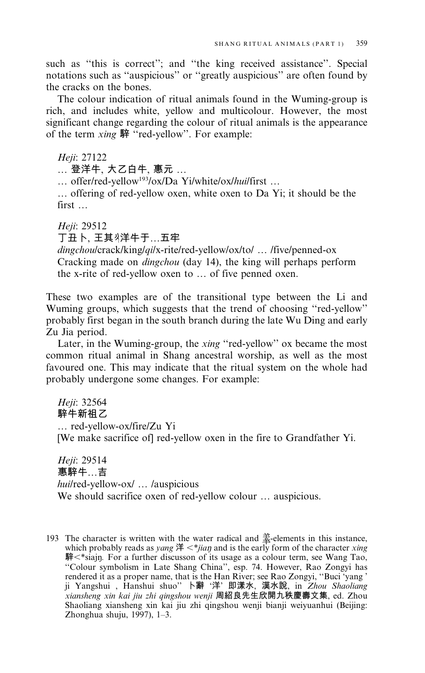such as "this is correct"; and "the king received assistance". Special notations such as "auspicious" or "greatly auspicious" are often found by the cracks on the bones.

The colour indication of ritual animals found in the Wuming-group is rich, and includes white, yellow and multicolour. However, the most significant change regarding the colour of ritual animals is the appearance of the term *xing* 騂 "red-yellow". For example:

Heji: 27122

... 登洋牛, 大乙白牛, 惠元 ...

... offer/red-yellow<sup>193</sup>/ox/Da Yi/white/ox/hui/first ...

... offering of red-yellow oxen, white oxen to Da Yi; it should be the  $first...$ 

Heji: 29512 丁丑卜,王其《洋牛于…五牢

dingchoulcrack/king/qilx-rite/red-yellow/ox/to/ ... /five/penned-ox Cracking made on *dingchou* (day 14), the king will perhaps perform the x-rite of red-yellow oxen to ... of five penned oxen.

These two examples are of the transitional type between the Li and Wuming groups, which suggests that the trend of choosing "red-yellow" probably first began in the south branch during the late Wu Ding and early Zu Jia period.

Later, in the Wuming-group, the xing "red-yellow" ox became the most common ritual animal in Shang ancestral worship, as well as the most favoured one. This may indicate that the ritual system on the whole had probably undergone some changes. For example:

Heji: 32564 騂牛新祖乙 ... red-yellow-ox/fire/Zu Yi [We make sacrifice of] red-yellow oxen in the fire to Grandfather Yi.

Heji: 29514 惠騂牛…吉 hui/red-yellow-ox/ ... /auspicious We should sacrifice oxen of red-yellow colour ... auspicious.

193 The character is written with the water radical and  $\frac{4}{3}$ -elements in this instance, which probably reads as *yang*  $\sharp \langle *jia\eta \rangle$  and is the early form of the character *xing* 騂<\*siajn. For a further discusson of its usage as a colour term, see Wang Tao, "Colour symbolism in Late Shang China", esp. 74. However, Rao Zongyi has rendered it as a proper name, that is the Han River; see Rao Zongyi, "Buci 'yang' ji Yangshui, Hanshui shuo" 卜辭 '洋' 即漾水, 漢水說, in Zhou Shaoliang xiansheng xin kai jiu zhi qingshou wenji 周紹良先生欣開九秩慶壽文集, ed. Zhou Shaoliang xiansheng xin kai jiu zhi qingshou wenji bianji weiyuanhui (Beijing: Zhonghua shuju, 1997), 1-3.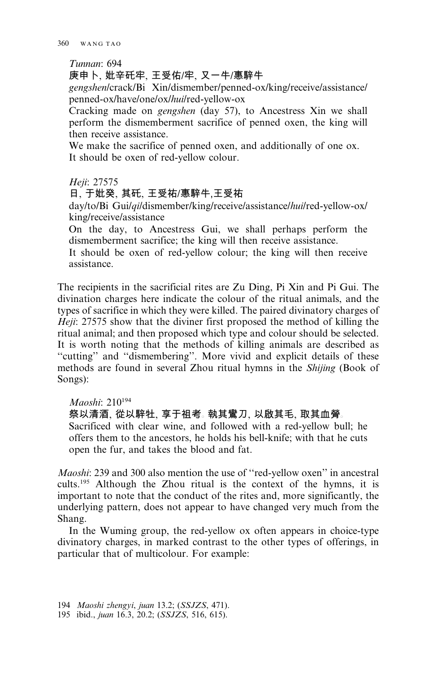## Tunnan: 694

庚申卜, 妣辛矺牢, 王受佑/牢, 又一牛/惠騂牛

gengshen/crack/Bi Xin/dismember/penned-ox/king/receive/assistance/ penned-ox/have/one/ox/hui/red-yellow-ox

Cracking made on *gengshen* (day 57), to Ancestress Xin we shall perform the dismemberment sacrifice of penned oxen, the king will then receive assistance.

We make the sacrifice of penned oxen, and additionally of one ox. It should be oxen of red-vellow colour.

#### Heji: 27575

#### 日, 于妣癸, 其矺, 王受祐/惠騂牛,王受祐

day/to/Bi Gui/*qi*/dismember/king/receive/assistance/hui/red-yellow-ox/ king/receive/assistance

On the day, to Ancestress Gui, we shall perhaps perform the dismemberment sacrifice; the king will then receive assistance.

It should be oxen of red-yellow colour; the king will then receive assistance.

The recipients in the sacrificial rites are Zu Ding, Pi Xin and Pi Gui. The divination charges here indicate the colour of the ritual animals, and the types of sacrifice in which they were killed. The paired divinatory charges of *Heji*: 27575 show that the diviner first proposed the method of killing the ritual animal; and then proposed which type and colour should be selected. It is worth noting that the methods of killing animals are described as "cutting" and "dismembering". More vivid and explicit details of these methods are found in several Zhou ritual hymns in the Shijing (Book of Songs):

#### *Maoshi* 210<sup>194</sup>

#### 祭以清酒、從以騂牡、享于祖考。執其鸞刀、以啟其毛、取其血膋。

Sacrificed with clear wine, and followed with a red-yellow bull; he offers them to the ancestors, he holds his bell-knife; with that he cuts open the fur, and takes the blood and fat.

*Maoshi*: 239 and 300 also mention the use of "red-yellow oxen" in ancestral cults.<sup>195</sup> Although the Zhou ritual is the context of the hymns, it is important to note that the conduct of the rites and, more significantly, the underlying pattern, does not appear to have changed very much from the Shang.

In the Wuming group, the red-yellow ox often appears in choice-type divinatory charges, in marked contrast to the other types of offerings, in particular that of multicolour. For example:

194 Maoshi zhengyi, juan 13.2; (SSJZS, 471).

<sup>195</sup> ibid., juan 16.3, 20.2; (SSJZS, 516, 615).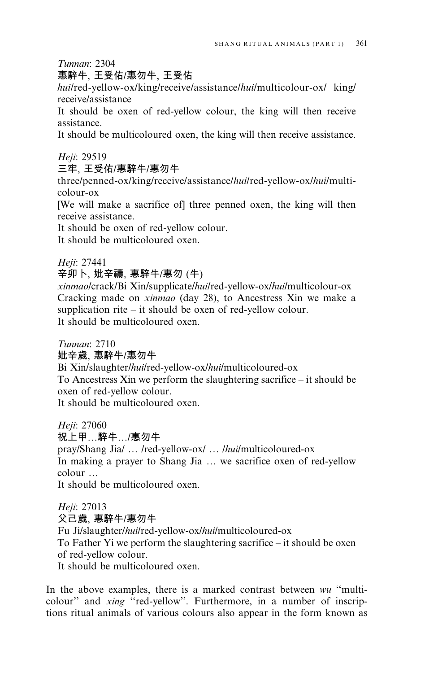Tunnan: 2304

# 惠騂牛, 王受佑/惠勿牛, 王受佑

huilred-yellow-ox/king/receive/assistance/huilmulticolour-ox/ king/ receive/assistance

It should be oxen of red-yellow colour, the king will then receive assistance.

It should be multicoloured oxen, the king will then receive assistance.

Heji: 29519

三牢、王受佑/惠騂牛/惠勿牛

three/penned-ox/king/receive/assistance/hui/red-yellow-ox/hui/multicolour-ox

[We will make a sacrifice of] three penned oxen, the king will then receive assistance.

It should be oxen of red-yellow colour.

It should be multicoloured oxen.

# Heji: 27441

辛卯卜、妣辛禱、惠騂牛/惠勿(牛)

xinmaolcrack/Bi Xin/supplicate/huilred-yellow-ox/huilmulticolour-ox Cracking made on xinmao (day 28), to Ancestress Xin we make a supplication rite  $-$  it should be oxen of red-vellow colour. It should be multicoloured oxen.

Tunnan: 2710

# 妣辛歳, 惠騂牛/惠勿牛

Bi Xin/slaughter/hui/red-yellow-ox/hui/multicoloured-ox To Ancestress Xin we perform the slaughtering sacrifice  $-$  it should be oxen of red-vellow colour.

It should be multicoloured oxen.

Heji: 27060 祝上甲…騂牛…/惠勿牛 pray/Shang Jia/ ... /red-yellow-ox/ ... /hui/multicoloured-ox In making a prayer to Shang Jia ... we sacrifice oxen of red-yellow  $\text{colour}$ ... It should be multicoloured oxen.

Heji: 27013

父己歲、惠騂牛/惠勿牛

Fu Ji/slaughter/hui/red-yellow-ox/hui/multicoloured-ox

To Father Yi we perform the slaughtering sacrifice  $-$  it should be oxen of red-yellow colour.

It should be multicoloured oxen.

In the above examples, there is a marked contrast between wu "multicolour" and xing "red-yellow". Furthermore, in a number of inscriptions ritual animals of various colours also appear in the form known as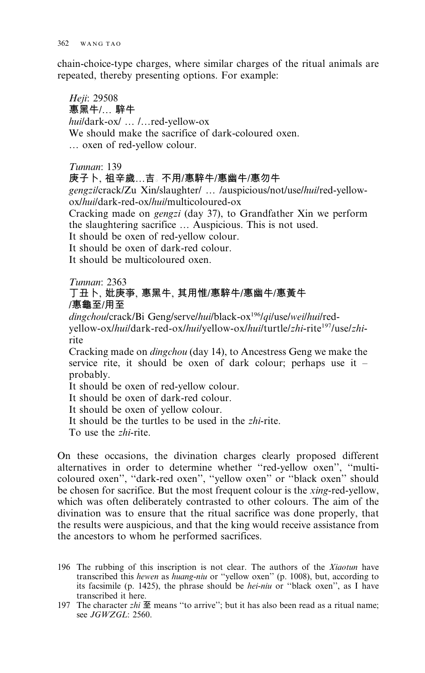chain-choice-type charges, where similar charges of the ritual animals are repeated, thereby presenting options. For example:

Heji: 29508 惠黑牛/... 騂牛 huildark-oxl ... l...red-yellow-ox We should make the sacrifice of dark-coloured oxen. ... oxen of red-yellow colour.

Tunnan: 139

庚子卜, 祖辛歲…吉。 不用/惠騂牛/惠幽牛/惠勿牛 gengzilcrack/Zu Xin/slaughter/ ... /auspicious/not/use/hui/red-yellowox/hui/dark-red-ox/hui/multicoloured-ox

Cracking made on *gengzi* (day 37), to Grandfather Xin we perform the slaughtering sacrifice ... Auspicious. This is not used.

It should be oxen of red-yellow colour.

It should be oxen of dark-red colour.

It should be multicoloured oxen

## Tunnan: 2363 丁丑卜, 妣庚亊, 惠黑牛, 其用惟/惠騂牛/惠幽牛/惠黃牛 /惠龜至/用至

dingchou/crack/Bi Geng/serve/hui/black-ox<sup>196</sup>/qi/use/wei/hui/redyellow-ox/hui/dark-red-ox/hui/yellow-ox/hui/turtle/zhi-rite<sup>197</sup>/use/zhirite

Cracking made on *dingchou* (day 14), to Ancestress Geng we make the service rite, it should be oxen of dark colour; perhaps use it – probably.

It should be oxen of red-yellow colour.

It should be oxen of dark-red colour.

It should be oxen of yellow colour.

It should be the turtles to be used in the *zhi-rite*.

To use the *zhi*-rite

On these occasions, the divination charges clearly proposed different alternatives in order to determine whether "red-yellow oxen", "multicoloured oxen", "dark-red oxen", "yellow oxen" or "black oxen" should be chosen for sacrifice. But the most frequent colour is the *xing-red-vellow*, which was often deliberately contrasted to other colours. The aim of the divination was to ensure that the ritual sacrifice was done properly, that the results were auspicious, and that the king would receive assistance from the ancestors to whom he performed sacrifices.

<sup>196</sup> The rubbing of this inscription is not clear. The authors of the Xiaotun have transcribed this hewen as huang-niu or "yellow oxen" (p. 1008), but, according to its facsimile (p. 1425), the phrase should be *hei-niu* or "black oxen", as I have transcribed it here.

<sup>197</sup> The character zhi  $\mathbf{\Xi}$  means "to arrive"; but it has also been read as a ritual name; see JGWZGL: 2560.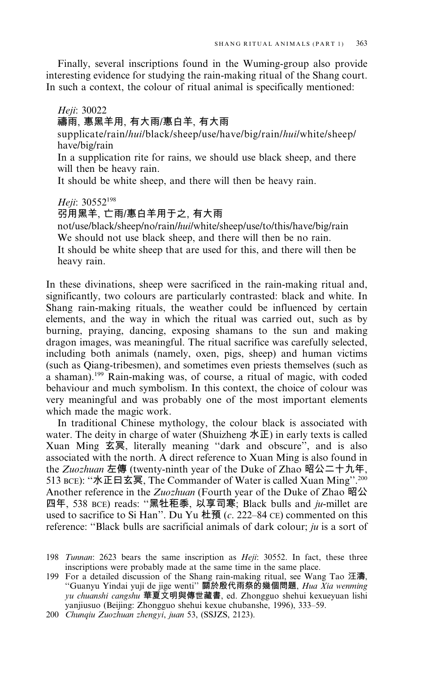Finally, several inscriptions found in the Wuming-group also provide interesting evidence for studying the rain-making ritual of the Shang court. In such a context, the colour of ritual animal is specifically mentioned:

# Heji: 30022

# 禱雨, 惠黑羊用, 有大雨/惠白羊, 有大雨

supplicate/rain/hui/black/sheep/use/have/big/rain/hui/white/sheep/ have/big/rain

In a supplication rite for rains, we should use black sheep, and there will then be heavy rain.

It should be white sheep, and there will then be heavy rain.

#### Heji: 30552<sup>198</sup>

#### 弜用黑羊,亡雨/惠白羊用于之, 有大雨

not/use/black/sheep/no/rain/hui/white/sheep/use/to/this/have/big/rain We should not use black sheep, and there will then be no rain. It should be white sheep that are used for this, and there will then be heavy rain.

In these divinations, sheep were sacrificed in the rain-making ritual and, significantly, two colours are particularly contrasted: black and white. In Shang rain-making rituals, the weather could be influenced by certain elements, and the way in which the ritual was carried out, such as by burning, praying, dancing, exposing shamans to the sun and making dragon images, was meaningful. The ritual sacrifice was carefully selected, including both animals (namely, oxen, pigs, sheep) and human victims (such as Qiang-tribesmen), and sometimes even priests themselves (such as a shaman).<sup>199</sup> Rain-making was, of course, a ritual of magic, with coded behaviour and much symbolism. In this context, the choice of colour was very meaningful and was probably one of the most important elements which made the magic work.

In traditional Chinese mythology, the colour black is associated with water. The deity in charge of water (Shuizheng  $\angle$  The early texts is called Xuan Ming 玄冥, literally meaning "dark and obscure", and is also associated with the north. A direct reference to Xuan Ming is also found in the Zuozhuan 左傳 (twenty-ninth year of the Duke of Zhao 昭公二十九年, 513 BCE): "水正曰玄冥, The Commander of Water is called Xuan Ming".<sup>200</sup> Another reference in the Zuozhuan (Fourth year of the Duke of Zhao 昭公 四年, 538 BCE) reads: "黑牡秬黍, 以享司寒; Black bulls and ju-millet are used to sacrifice to Si Han". Du Yu 杜預  $(c. 222-84 \text{ CE})$  commented on this reference: "Black bulls are sacrificial animals of dark colour;  $ju$  is a sort of

199 For a detailed discussion of the Shang rain-making ritual, see Wang Tao 汪濤, "Guanyu Yindai yuji de jige wenti" 關於殷代雨祭的幾個問題, Hua Xia wenming yu chuanshi cangshu 華夏文明與傳世藏書, ed. Zhongguo shehui kexueyuan lishi yanjiusuo (Beijing: Zhongguo shehui kexue chubanshe, 1996), 333-59.

200 Chungiu Zuozhuan zhengyi, juan 53, (SSJZS, 2123).

<sup>198</sup> Tunnan: 2623 bears the same inscription as *Heji*: 30552. In fact, these three inscriptions were probably made at the same time in the same place.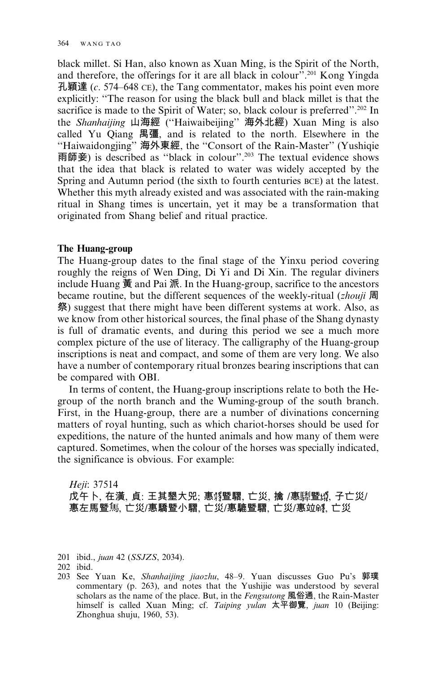black millet. Si Han, also known as Xuan Ming, is the Spirit of the North. and therefore, the offerings for it are all black in colour".<sup>201</sup> Kong Yingda 孔穎達 (c. 574–648 CE), the Tang commentator, makes his point even more explicitly: "The reason for using the black bull and black millet is that the sacrifice is made to the Spirit of Water; so, black colour is preferred".<sup>202</sup> In the *Shanhaijing* 山海經 ("Haiwaibeijing" 海外北經) Xuan Ming is also called Yu Qiang 禺彊, and is related to the north. Elsewhere in the "Haiwaidongjing" 海外東經, the "Consort of the Rain-Master" (Yushiqie 雨師妾) is described as "black in colour".<sup>203</sup> The textual evidence shows that the idea that black is related to water was widely accepted by the Spring and Autumn period (the sixth to fourth centuries BCE) at the latest. Whether this myth already existed and was associated with the rain-making ritual in Shang times is uncertain, yet it may be a transformation that originated from Shang belief and ritual practice.

## The Huang-group

The Huang-group dates to the final stage of the Yinxu period covering roughly the reigns of Wen Ding, Di Yi and Di Xin. The regular diviners include Huang  $\frac{2}{3}$  and Pai  $\frac{2}{3}$ . In the Huang-group, sacrifice to the ancestors became routine, but the different sequences of the weekly-ritual (zhouji 周 祭) suggest that there might have been different systems at work. Also, as we know from other historical sources, the final phase of the Shang dynasty is full of dramatic events, and during this period we see a much more complex picture of the use of literacy. The calligraphy of the Huang-group inscriptions is neat and compact, and some of them are very long. We also have a number of contemporary ritual bronzes bearing inscriptions that can be compared with OBI.

In terms of content, the Huang-group inscriptions relate to both the Hegroup of the north branch and the Wuming-group of the south branch. First, in the Huang-group, there are a number of divinations concerning matters of royal hunting, such as which chariot-horses should be used for expeditions, the nature of the hunted animals and how many of them were captured. Sometimes, when the colour of the horses was specially indicated, the significance is obvious. For example:

Heii: 37514 戊午卜, 在潢, 貞: 王其墾大兕; 惠��暨騽, 亡災, 擒 /惠騨暨��, 子亡災/ 惠左馬暨馬, 亡災/惠驕暨小騽, 亡災/惠騼暨騽, 亡災/惠竝够, 亡災

201 ibid., juan 42 (SSJZS, 2034).

203 See Yuan Ke, Shanhaijing jiaozhu, 48-9. Yuan discusses Guo Pu's 郭璞 commentary (p. 263), and notes that the Yushijie was understood by several scholars as the name of the place. But, in the Fengsutong 風俗通, the Rain-Master himself is called Xuan Ming; cf. Taiping yulan 太平御覽, juan 10 (Beijing: Zhonghua shuju, 1960, 53).

 $202$  ibid.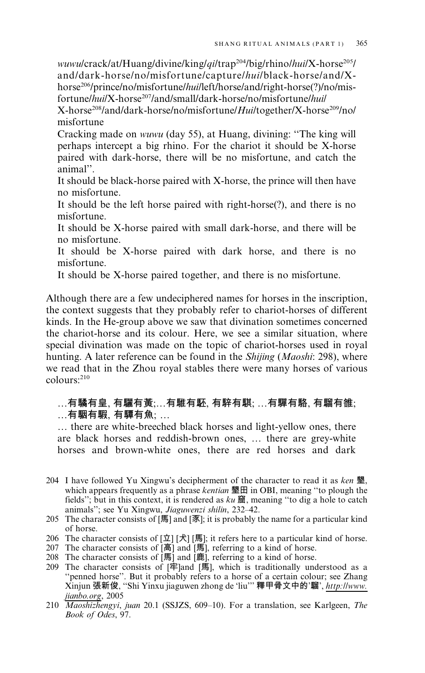wuwu/crack/at/Huang/divine/king/gi/trap<sup>204</sup>/big/rhino/hui/X-horse<sup>205</sup>/ and/dark-horse/no/misfortune/capture/hui/black-horse/and/Xhorse<sup>206</sup>/prince/no/misfortune/hui/left/horse/and/right-horse(?)/no/misfortune/hui/X-horse<sup>207</sup>/and/small/dark-horse/no/misfortune/hui/

X-horse<sup>208</sup>/and/dark-horse/no/misfortune/Hui/together/X-horse<sup>209</sup>/no/ misfortune

Cracking made on wuwu (day 55), at Huang, divining: "The king will perhaps intercept a big rhino. For the chariot it should be X-horse paired with dark-horse, there will be no misfortune, and catch the animal"

It should be black-horse paired with X-horse, the prince will then have no misfortune.

It should be the left horse paired with right-horse(?), and there is no misfortune.

It should be X-horse paired with small dark-horse, and there will be no misfortune.

It should be X-horse paired with dark horse, and there is no misfortune.

It should be X-horse paired together, and there is no misfortune.

Although there are a few undeciphered names for horses in the inscription, the context suggests that they probably refer to chariot-horses of different kinds. In the He-group above we saw that divination sometimes concerned the chariot-horse and its colour. Here, we see a similar situation, where special divination was made on the topic of chariot-horses used in royal hunting. A later reference can be found in the *Shijing* (*Maoshi*: 298), where we read that in the Zhou royal stables there were many horses of various  $\text{columns}^{\cdot 210}$ 

# …有驈有皇、有驪有黃;…有騅有駓, 有騂有騏; …有驒有駱, 有騮有雒; ...有駰有騢, 有驔有魚: ...

... there are white-breeched black horses and light-yellow ones, there are black horses and reddish-brown ones, ... there are grey-white horses and brown-white ones, there are red horses and dark

- 204 I have followed Yu Xingwu's decipherment of the character to read it as ken 墾, which appears frequently as a phrase *kentian*  $\mathbf{\mathcal{L}}$  in OBI, meaning "to plough the fields"; but in this context, it is rendered as  $ku \approx \pi$ , meaning "to dig a hole to catch animals"; see Yu Xingwu, Jiaguwenzi shilin, 232–42.
- 205 The character consists of  $[\overline{\mathbb{F}}]$  and  $[\overline{\mathbb{F}}]$ ; it is probably the name for a particular kind of horse.
- 206 The character consists of  $[\n\dot{\mathbb{L}}] [\n\dot{\mathbb{H}}]$ ; it refers here to a particular kind of horse.<br>207 The character consists of  $[\bar{a}]$  and  $[\bar{a}]$ ; referring to a kind of horse.
- 
- 208 The character consists of [馬] and [鹿], referring to a kind of horse.
- 209 The character consists of  $[4]$ and  $[4]$ , which is traditionally understood as a "penned horse". But it probably refers to a horse of a certain colour; see Zhang Xinjun 張新俊, "Shi Yinxu jiaguwen zhong de 'liu'" 釋甲骨文中的'騮', http://www.
- *itanbo.org*, 2005<br>210 *Maoshizhengyi, juan* 20.1 (SSJZS, 609–10). For a translation, see Karlgeen, *The* Book of Odes, 97.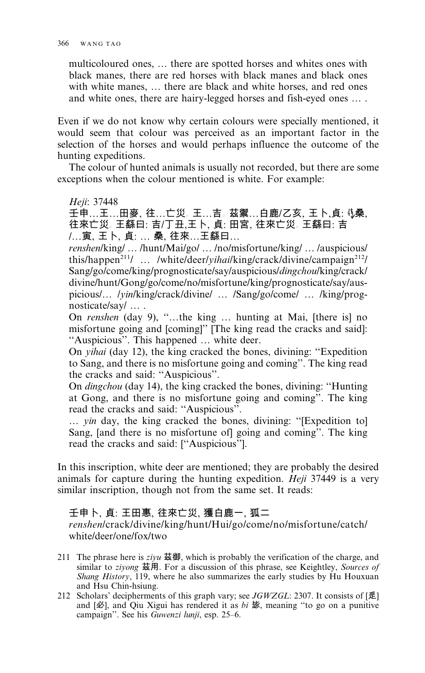multicoloured ones, ... there are spotted horses and whites ones with black manes, there are red horses with black manes and black ones with white manes, ... there are black and white horses, and red ones and white ones, there are hairy-legged horses and fish-eyed ones ....

Even if we do not know why certain colours were specially mentioned, it would seem that colour was perceived as an important factor in the selection of the horses and would perhaps influence the outcome of the hunting expeditions.

The colour of hunted animals is usually not recorded, but there are some exceptions when the colour mentioned is white. For example:

Heji: 37448

壬申…王…田麥、往…亡災。王…吉。茲禦…白鹿/乙亥、王卜,貞: 《桑、 往來亡災。王繇曰: 吉/丁丑,王卜, 貞: 田宮, 往來亡災。王繇曰: 吉 /...寅、王卜、貞: ... 桑、往來...王繇曰...

renshen/king/.../hunt/Mai/go/.../no/misfortune/king/.../auspicious/ this/happen<sup>211</sup>/ ... /white/deer/*yihailking/crack/divine/campaign<sup>212</sup>/* Sang/go/come/king/prognosticate/say/auspicious/*dingchou*/king/crack/ divine/hunt/Gong/go/come/no/misfortune/king/prognosticate/say/auspicious/... /yin/king/crack/divine/ ... /Sang/go/come/ ... /king/prognosticate/say/ ... .

On renshen (day 9), "...the king ... hunting at Mai, [there is] no misfortune going and [coming]" [The king read the cracks and said]: "Auspicious". This happened ... white deer.

On *yihai* (day 12), the king cracked the bones, divining: "Expedition to Sang, and there is no misfortune going and coming". The king read the cracks and said: "Auspicious".

On *dingchou* (day 14), the king cracked the bones, divining: "Hunting at Gong, and there is no misfortune going and coming". The king read the cracks and said: "Auspicious".

... yin day, the king cracked the bones, divining: "[Expedition to] Sang, [and there is no misfortune of] going and coming". The king read the cracks and said: ["Auspicious"].

In this inscription, white deer are mentioned; they are probably the desired animals for capture during the hunting expedition. *Heji* 37449 is a very similar inscription, though not from the same set. It reads:

# 壬申卜, 貞: 王田惠, 往來亡災, 獲白鹿一, 狐二

renshen/crack/divine/king/hunt/Hui/go/come/no/misfortune/catch/ white/deer/one/fox/two

- 211 The phrase here is  $ziyu \times \text{m}$ , which is probably the verification of the charge, and similar to *zivong* 茲用. For a discussion of this phrase, see Keightley, Sources of Shang History, 119, where he also summarizes the early studies by Hu Houxuan and Hsu Chin-hsiung.
- 212 Scholars' decipherments of this graph vary; see JGWZGL: 2307. It consists of  $\lceil \vec{\mathbb{E}} \rceil$ and  $[\mathcal{B}]$ , and Qiu Xigui has rendered it as bi  $\mathcal{B}$ , meaning "to go on a punitive campaign". See his Guwenzi lunji, esp. 25–6.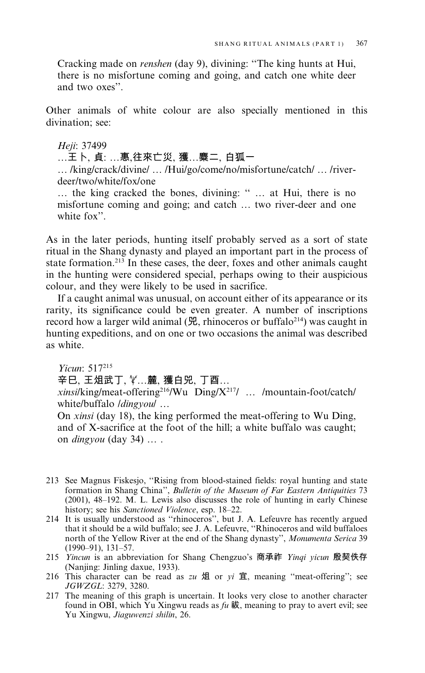Cracking made on *renshen* (day 9), divining: "The king hunts at Hui, there is no misfortune coming and going, and catch one white deer and two oxes".

Other animals of white colour are also specially mentioned in this divination: see:

#### Heji: 37499

…王卜、貞: …惠,往來亡災, 獲…麋二, 白狐一

... /king/crack/divine/ ... /Hui/go/come/no/misfortune/catch/ ... /riverdeer/two/white/fox/one

... the king cracked the bones, divining: " ... at Hui, there is no misfortune coming and going; and catch ... two river-deer and one white fox".

As in the later periods, hunting itself probably served as a sort of state ritual in the Shang dynasty and played an important part in the process of state formation.<sup>213</sup> In these cases, the deer, foxes and other animals caught in the hunting were considered special, perhaps owing to their auspicious colour, and they were likely to be used in sacrifice.

If a caught animal was unusual, on account either of its appearance or its rarity, its significance could be even greater. A number of inscriptions record how a larger wild animal  $(\mathcal{H}$ , rhinoceros or buffalo<sup>214</sup>) was caught in hunting expeditions, and on one or two occasions the animal was described as white.

Yicun: 517215 辛巳、王俎武丁、义…麓、獲白兕、丁酉…

xinsi/king/meat-offering<sup>216</sup>/Wu Ding/X<sup>217</sup>/ ... /mountain-foot/catch/ white/buffalo /dingyou/ ...

On *xinsi* (day 18), the king performed the meat-offering to Wu Ding, and of X-sacrifice at the foot of the hill; a white buffalo was caught; on *dingyou* (day  $34$ ) ...

- 213 See Magnus Fiskesjo, "Rising from blood-stained fields: royal hunting and state formation in Shang China", Bulletin of the Museum of Far Eastern Antiquities 73 (2001), 48–192. M. L. Lewis also discusses the role of hunting in early Chinese history; see his Sanctioned Violence, esp. 18-22.
- 214 It is usually understood as "rhinoceros", but J. A. Lefeuvre has recently argued that it should be a wild buffalo; see J. A. Lefeuvre, "Rhinoceros and wild buffaloes" north of the Yellow River at the end of the Shang dynasty", Monumenta Serica 39  $(1990 - 91), 131 - 57.$
- 215 Yincun is an abbreviation for Shang Chengzuo's 商承祚 Yinqi yicun 殷契佚存 (Nanjing: Jinling daxue, 1933).
- 216 This character can be read as zu 俎 or yi 宜, meaning "meat-offering"; see JGWZGL: 3279, 3280.
- 217 The meaning of this graph is uncertain. It looks very close to another character found in OBI, which Yu Xingwu reads as  $fu \n$ , meaning to pray to avert evil; see Yu Xingwu, Jiaguwenzi shilin, 26.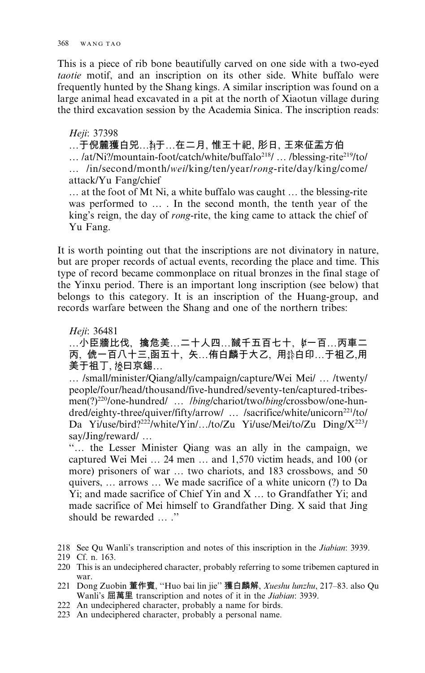This is a piece of rib bone beautifully carved on one side with a two-eved taotie motif, and an inscription on its other side. White buffalo were frequently hunted by the Shang kings. A similar inscription was found on a large animal head excavated in a pit at the north of Xiaotun village during the third excavation session by the Academia Sinica. The inscription reads:

### Heji: 37398

…于倪麓獲白兕…鹈于…在二月, 惟王十祀, 肜日, 王來佂盂方伯

... /at/Ni?/mountain-foot/catch/white/buffalo<sup>218</sup>/ ... /blessing-rite<sup>219</sup>/to/ ... /in/second/month/wei/king/ten/year/rong-rite/day/king/come/ attack/Yu Fang/chief

... at the foot of Mt Ni, a white buffalo was caught ... the blessing-rite was performed to ... . In the second month, the tenth year of the king's reign, the day of *rong*-rite, the king came to attack the chief of Yu Fang.

It is worth pointing out that the inscriptions are not divinatory in nature, but are proper records of actual events, recording the place and time. This type of record became commonplace on ritual bronzes in the final stage of the Yinxu period. There is an important long inscription (see below) that belongs to this category. It is an inscription of the Huang-group, and records warfare between the Shang and one of the northern tribes:

Heji: 36481

…小臣牆比伐,擒危美…二十人四…馘千五百七十,《一百…丙車二 丙、俿一百八十三、函五十、矢…侑白麟于大乙、用翁白印…于祖乙、用 美于祖丁, 馋曰京錫...

... /small/minister/Qiang/ally/campaign/capture/Wei Mei/ ... /twenty/ people/four/head/thousand/five-hundred/seventy-ten/captured-tribesmen(?)<sup>220</sup>/one-hundred/ ... *lbing/chariot/two/bing/crossbow/one-hun*dred/eighty-three/quiver/fifty/arrow/ ... /sacrifice/white/unicorn<sup>221</sup>/to/ Da Yi/use/bird?<sup>222</sup>/white/Yin/.../to/Zu Yi/use/Mei/to/Zu Ding/X<sup>223</sup>/ say/Jing/reward/...

"... the Lesser Minister Qiang was an ally in the campaign, we captured Wei Mei ... 24 men ... and 1,570 victim heads, and 100 (or more) prisoners of war ... two chariots, and 183 crossbows, and 50 quivers, ... arrows ... We made sacrifice of a white unicorn (?) to Da Yi; and made sacrifice of Chief Yin and X ... to Grandfather Yi; and made sacrifice of Mei himself to Grandfather Ding. X said that Jing should be rewarded "

- 221 Dong Zuobin 董作賓, "Huo bai lin jie" 獲白麟解, Xueshu lunzhu, 217-83. also Qu Wanli's 屈萬里 transcription and notes of it in the Jiabian: 3939.
- 222 An undeciphered character, probably a name for birds.
- 223 An undeciphered character, probably a personal name.

<sup>218</sup> See Qu Wanli's transcription and notes of this inscription in the Jiabian: 3939.

<sup>219</sup> Cf. n. 163.

<sup>220</sup> This is an undeciphered character, probably referring to some tribemen captured in war.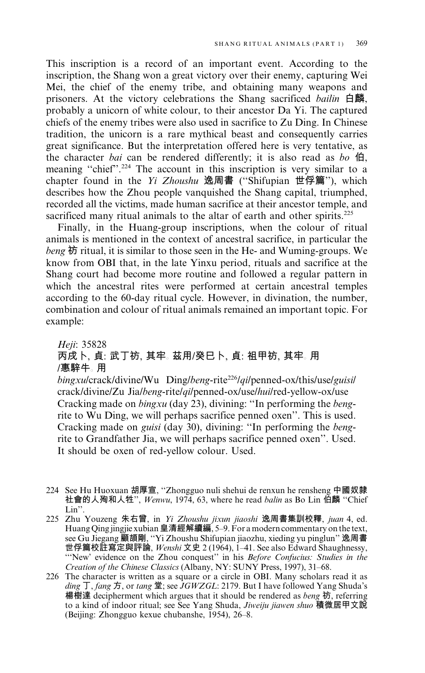This inscription is a record of an important event. According to the inscription, the Shang won a great victory over their enemy, capturing Wei Mei, the chief of the enemy tribe, and obtaining many weapons and prisoners. At the victory celebrations the Shang sacrificed *bailin* 白麟, probably a unicorn of white colour, to their ancestor Da Yi. The captured chiefs of the enemy tribes were also used in sacrifice to Zu Ding. In Chinese tradition, the unicorn is a rare mythical beast and consequently carries great significance. But the interpretation offered here is very tentative, as the character *bai* can be rendered differently; it is also read as *bo*  $\hat{H}$ . meaning "chief".<sup>224</sup> The account in this inscription is very similar to a chapter found in the *Yi Zhoushu* 逸周書 ("Shifupian 世俘篇"), which describes how the Zhou people vanguished the Shang capital, triumphed, recorded all the victims, made human sacrifice at their ancestor temple, and sacrificed many ritual animals to the altar of earth and other spirits.<sup>225</sup>

Finally, in the Huang-group inscriptions, when the colour of ritual animals is mentioned in the context of ancestral sacrifice, in particular the beng 祊 ritual, it is similar to those seen in the He- and Wuming-groups. We know from OBI that, in the late Yinxu period, rituals and sacrifice at the Shang court had become more routine and followed a regular pattern in which the ancestral rites were performed at certain ancestral temples according to the 60-day ritual cycle. However, in divination, the number, combination and colour of ritual animals remained an important topic. For example:

# Heji: 35828 丙戌卜, 貞: 武丁祊, 其牢。茲用/癸巳卜, 貞: 祖甲祊, 其牢。用 /惠騂牛。用

 $bingxulcrack/divine/Wu$  Ding/beng-rite<sup>226</sup>/gi/penned-ox/this/use/guisi/ crack/divine/Zu Jia/beng-rite/qi/penned-ox/use/hui/red-yellow-ox/use Cracking made on bingxu (day 23), divining: "In performing the bengrite to Wu Ding, we will perhaps sacrifice penned oxen". This is used. Cracking made on *guisi* (day 30), divining: "In performing the *beng*rite to Grandfather Jia, we will perhaps sacrifice penned oxen". Used. It should be oxen of red-yellow colour. Used.

- 224 See Hu Huoxuan 胡厚宣, "Zhongguo nuli shehui de renxun he rensheng 中國奴隸 社會的人殉和人牲", Wenwu, 1974, 63, where he read balin as Bo Lin 伯麟 "Chief  $Lin$ ".
- 225 Zhu Youzeng 朱右曾, in Yi Zhoushu jixun jiaoshi 逸周書集訓校釋, juan 4, ed. Huang Qing jingjie xubian 皇清經解續編, 5–9. For a modern commentary on the text, trump wing many that the contraction of the contribution of the contribution of the Gu Jiegang 顧頡剛, "Yi Zhoushu Shifupian jiaozhu, xieding yu pinglun" 逸周書<br>世俘篇校註寫定與評論, Wenshi 文史 2 (1964), 1–41. See also Edward Shaughnessy, "New' evidence on the Zhou conquest" in his Before Confucius: Studies in the Creation of the Chinese Classics (Albany, NY: SUNY Press, 1997), 31-68.
- 226 The character is written as a square or a circle in OBI. Many scholars read it as ding  $\overline{J}$ , fang  $\overline{B}$ , or tang  $\stackrel{\text{def}}{=}$ ; see JGWZGL: 2179. But I have followed Yang Shuda's 楊樹達 decipherment which argues that it should be rendered as beng 祊, referring to a kind of indoor ritual; see See Yang Shuda, Jiweiju jiawen shuo 積微居甲文說 (Beijing: Zhongguo kexue chubanshe, 1954), 26–8.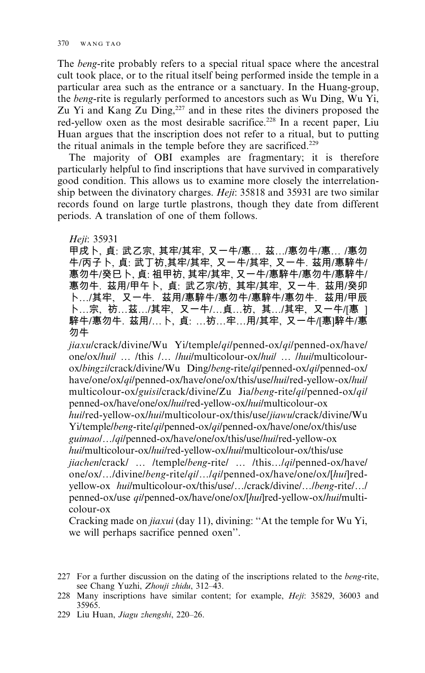The *beng*-rite probably refers to a special ritual space where the ancestral cult took place, or to the ritual itself being performed inside the temple in a particular area such as the entrance or a sanctuary. In the Huang-group, the *beng*-rite is regularly performed to ancestors such as Wu Ding, Wu Yi, Zu Yi and Kang Zu Ding, $227$  and in these rites the diviners proposed the red-yellow oxen as the most desirable sacrifice.<sup>228</sup> In a recent paper, Liu Huan argues that the inscription does not refer to a ritual, but to putting the ritual animals in the temple before they are sacrificed.<sup>229</sup>

The majority of OBI examples are fragmentary; it is therefore particularly helpful to find inscriptions that have survived in comparatively good condition. This allows us to examine more closely the interrelationship between the divinatory charges. *Heji*: 35818 and 35931 are two similar records found on large turtle plastrons, though they date from different periods. A translation of one of them follows.

Heji: 35931

甲戌卜, 貞: 武乙宗, 其牢/其牢, 又一牛/惠… 茲…/惠勿牛/惠… /惠勿 牛/丙子卜, 貞: 武丁祊,其牢/其牢, 又一牛/其牢, 又一牛. 茲用/惠騂牛/ 惠勿牛/癸巳卜, 貞: 祖甲祊, 其牢/其牢, 又一牛/惠騂牛/惠勿牛/惠騂牛/ 惠勿牛. 茲用/甲午卜, 貞: 武乙宗/祊, 其牢/其牢, 又一牛. 茲用/癸卯 卜…/其牢,又一牛.茲用/惠騂牛/惠勿牛/惠騂牛/惠勿牛.茲用/甲辰 卜…宗,祊…茲…/其牢,又一牛/…貞…祊,其…/其牢,又一牛/[惠 ] 騂牛/惠勿牛. 茲用/…卜, 貞: …祊…牢…用/其牢, 又一牛/[惠]騂牛/惠 勿牛

jiaxu/crack/divine/Wu Yi/temple/qi/penned-ox/qi/penned-ox/have/ one/ox/*huil ... /this /... /hui/m*ulticolour-ox/*huil ... /hui/m*ulticolourox/bingzi/crack/divine/Wu Ding/beng-rite/qi/penned-ox/qi/penned-ox/ have/one/ox/*qi*/penned-ox/have/one/ox/this/use/*hui*/red-yellow-ox/*hui*/ multicolour-ox/g*uisi*/crack/divine/Zu Jia/*beng-*rite/*qi*/penned-ox/*qi*/ penned-ox/have/one/ox/*hui*/red-yellow-ox/*hui*/multicolour-ox

*huil* red-yellow-ox*lhuil* multicolour-ox/this/use/*jiawul* crack/divine/Wu Yi/temple/*beng-*rite/*qi*/penned-ox/*qi*/penned-ox/have/one/ox/this/use g*uimaol* . . .*lqil* penned-ox/have/one/ox/this/use/*hui*/red-yellow-ox hui/multicolour-ox/hui/red-yellow-ox/hui/multicolour-ox/this/use jiachen/crack/ ... /temple/beng-rite/ ... /this.../qi/penned-ox/have/ one/ox/.../divine/beng-rite/qi/.../qi/penned-ox/have/one/ox/[hui]redyellow-ox *huil*multicolour-ox/this/use/.../crack/divine/.../*beng-*rite/.../ penned-ox/use qi/penned-ox/have/one/ox/[hui]red-yellow-ox/hui/multicolour-ox

Cracking made on *jiaxui* (day 11), divining: "At the temple for Wu Yi, we will perhaps sacrifice penned oxen".

- 227 For a further discussion on the dating of the inscriptions related to the *beng*-rite, see Chang Yuzhi, Zhouji zhidu, 312-43.
- 228 Many inscriptions have similar content; for example, *Heji*: 35829, 36003 and 35965.
- 229 Liu Huan, Jiagu zhengshi, 220–26.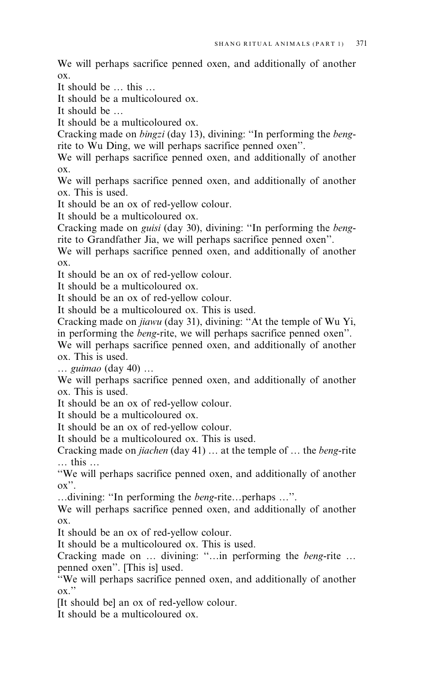We will perhaps sacrifice penned oxen, and additionally of another  $\alpha x$ 

It should be ... this ...

It should be a multicoloured ox

It should be  $\ldots$ 

It should be a multicoloured ox.

Cracking made on *bingzi* (day 13), divining: "In performing the *beng*rite to Wu Ding, we will perhaps sacrifice penned oxen".

We will perhaps sacrifice penned oxen, and additionally of another  $\alpha x$ 

We will perhaps sacrifice penned oxen, and additionally of another ox. This is used.

It should be an ox of red-yellow colour.

It should be a multicoloured ox.

Cracking made on *guisi* (day 30), divining: "In performing the *beng*rite to Grandfather Jia, we will perhaps sacrifice penned oxen".

We will perhaps sacrifice penned oxen, and additionally of another  $OX$ .

It should be an ox of red-yellow colour.

It should be a multicoloured ox.

It should be an ox of red-vellow colour.

It should be a multicoloured ox. This is used.

Cracking made on jiawu (day 31), divining: "At the temple of Wu Yi,

in performing the *beng*-rite, we will perhaps sacrifice penned oxen". We will perhaps sacrifice penned oxen, and additionally of another  $\alpha$  This is used

... guimao (day 40) ...

We will perhaps sacrifice penned oxen, and additionally of another ox. This is used.

It should be an ox of red-yellow colour.

It should be a multicoloured ox.

It should be an ox of red-yellow colour.

It should be a multicoloured ox. This is used.

Cracking made on jiachen (day 41) ... at the temple of ... the beng-rite ... this ...

"We will perhaps sacrifice penned oxen, and additionally of another  $\alpha x$ ".

... divining: "In performing the *beng*-rite... perhaps ...".

We will perhaps sacrifice penned oxen, and additionally of another  $\alpha x$ .

It should be an ox of red-vellow colour.

It should be a multicoloured ox. This is used.

Cracking made on ... divining: "...in performing the beng-rite ... penned oxen". [This is] used.

"We will perhaps sacrifice penned oxen, and additionally of another  $\alpha x$ "

[It should be] an ox of red-yellow colour.

It should be a multicoloured ox